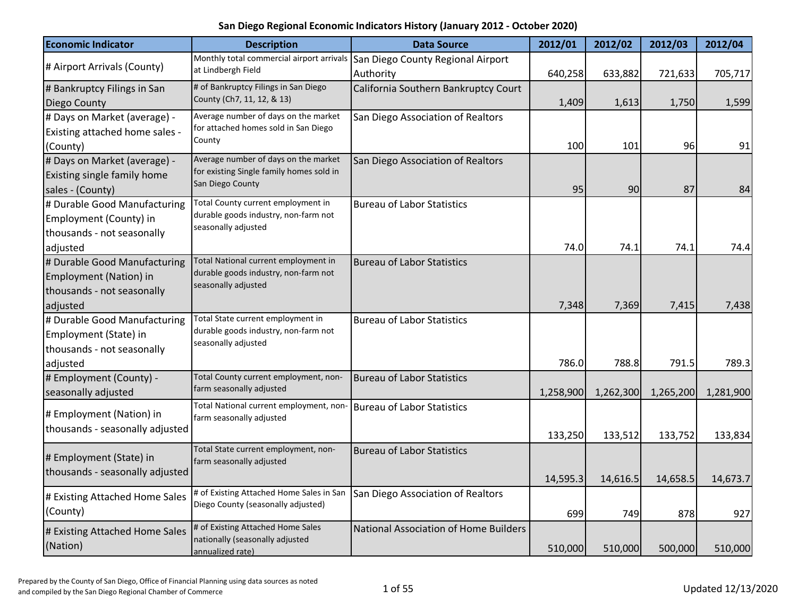| <b>Economic Indicator</b>                                                                        | <b>Description</b>                                                                                   | <b>Data Source</b>                             | 2012/01   | 2012/02   | 2012/03   | 2012/04   |
|--------------------------------------------------------------------------------------------------|------------------------------------------------------------------------------------------------------|------------------------------------------------|-----------|-----------|-----------|-----------|
| # Airport Arrivals (County)                                                                      | Monthly total commercial airport arrivals<br>at Lindbergh Field                                      | San Diego County Regional Airport<br>Authority | 640,258   | 633,882   | 721,633   | 705,717   |
| # Bankruptcy Filings in San<br>Diego County                                                      | # of Bankruptcy Filings in San Diego<br>County (Ch7, 11, 12, & 13)                                   | California Southern Bankruptcy Court           | 1,409     | 1,613     | 1,750     | 1,599     |
| # Days on Market (average) -<br>Existing attached home sales -<br>(County)                       | Average number of days on the market<br>for attached homes sold in San Diego<br>County               | San Diego Association of Realtors              | 100       | 101       | 96        | 91        |
| # Days on Market (average) -<br>Existing single family home<br>sales - (County)                  | Average number of days on the market<br>for existing Single family homes sold in<br>San Diego County | San Diego Association of Realtors              | 95        | 90        | 87        | 84        |
| # Durable Good Manufacturing<br>Employment (County) in<br>thousands - not seasonally<br>adjusted | Total County current employment in<br>durable goods industry, non-farm not<br>seasonally adjusted    | <b>Bureau of Labor Statistics</b>              | 74.0      | 74.1      | 74.1      | 74.4      |
| # Durable Good Manufacturing<br>Employment (Nation) in<br>thousands - not seasonally<br>adjusted | Total National current employment in<br>durable goods industry, non-farm not<br>seasonally adjusted  | <b>Bureau of Labor Statistics</b>              | 7,348     | 7,369     | 7,415     | 7,438     |
| # Durable Good Manufacturing<br>Employment (State) in<br>thousands - not seasonally<br>adjusted  | Total State current employment in<br>durable goods industry, non-farm not<br>seasonally adjusted     | <b>Bureau of Labor Statistics</b>              | 786.0     | 788.8     | 791.5     | 789.3     |
| # Employment (County) -<br>seasonally adjusted                                                   | Total County current employment, non-<br>farm seasonally adjusted                                    | <b>Bureau of Labor Statistics</b>              | 1,258,900 | 1,262,300 | 1,265,200 | 1,281,900 |
| # Employment (Nation) in<br>thousands - seasonally adjusted                                      | Total National current employment, non-<br>farm seasonally adjusted                                  | <b>Bureau of Labor Statistics</b>              | 133,250   | 133,512   | 133,752   | 133,834   |
| # Employment (State) in<br>thousands - seasonally adjusted                                       | Total State current employment, non-<br>farm seasonally adjusted                                     | <b>Bureau of Labor Statistics</b>              | 14,595.3  | 14,616.5  | 14,658.5  | 14,673.7  |
| # Existing Attached Home Sales<br>(County)                                                       | # of Existing Attached Home Sales in San<br>Diego County (seasonally adjusted)                       | San Diego Association of Realtors              | 699       | 749       | 878       | 927       |
| # Existing Attached Home Sales<br>(Nation)                                                       | # of Existing Attached Home Sales<br>nationally (seasonally adjusted<br>annualized rate)             | <b>National Association of Home Builders</b>   | 510,000   | 510,000   | 500,000   | 510,000   |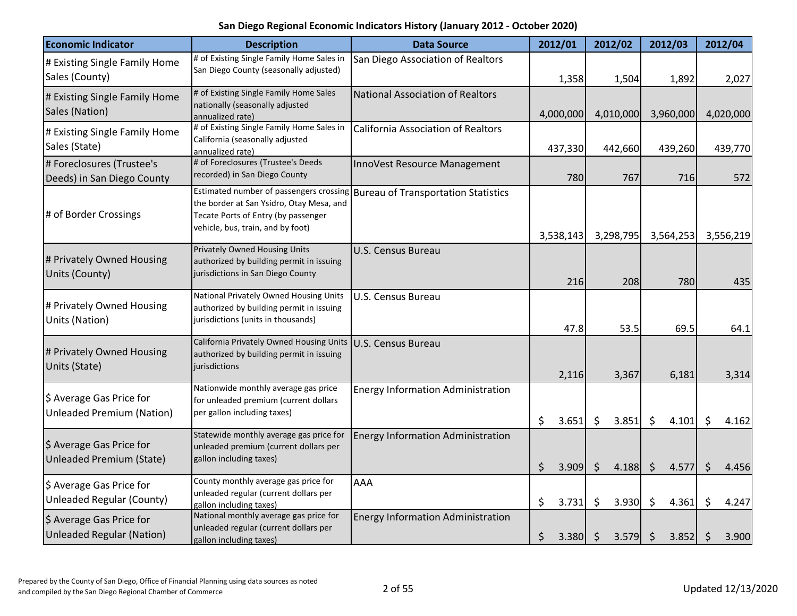| <b>Economic Indicator</b>                                    | <b>Description</b>                                                                                                                                              | <b>Data Source</b>                         | 2012/01     | 2012/02          | 2012/03                     | 2012/04     |
|--------------------------------------------------------------|-----------------------------------------------------------------------------------------------------------------------------------------------------------------|--------------------------------------------|-------------|------------------|-----------------------------|-------------|
| # Existing Single Family Home<br>Sales (County)              | # of Existing Single Family Home Sales in<br>San Diego County (seasonally adjusted)                                                                             | San Diego Association of Realtors          | 1,358       | 1,504            | 1,892                       | 2,027       |
| # Existing Single Family Home<br>Sales (Nation)              | # of Existing Single Family Home Sales<br>nationally (seasonally adjusted<br>annualized rate)                                                                   | National Association of Realtors           | 4,000,000   | 4,010,000        | 3,960,000                   | 4,020,000   |
| # Existing Single Family Home<br>Sales (State)               | # of Existing Single Family Home Sales in<br>California (seasonally adjusted<br>annualized rate)                                                                | <b>California Association of Realtors</b>  | 437,330     | 442,660          | 439,260                     | 439,770     |
| # Foreclosures (Trustee's<br>Deeds) in San Diego County      | # of Foreclosures (Trustee's Deeds<br>recorded) in San Diego County                                                                                             | InnoVest Resource Management               | 780         | 767              | 716                         | 572         |
| # of Border Crossings                                        | Estimated number of passengers crossing<br>the border at San Ysidro, Otay Mesa, and<br>Tecate Ports of Entry (by passenger<br>vehicle, bus, train, and by foot) | <b>Bureau of Transportation Statistics</b> | 3,538,143   | 3,298,795        | 3,564,253                   | 3,556,219   |
| # Privately Owned Housing<br>Units (County)                  | Privately Owned Housing Units<br>authorized by building permit in issuing<br>jurisdictions in San Diego County                                                  | <b>U.S. Census Bureau</b>                  | 216         | 208              | 780                         | 435         |
| # Privately Owned Housing<br>Units (Nation)                  | National Privately Owned Housing Units<br>authorized by building permit in issuing<br>jurisdictions (units in thousands)                                        | U.S. Census Bureau                         | 47.8        | 53.5             | 69.5                        | 64.1        |
| # Privately Owned Housing<br>Units (State)                   | California Privately Owned Housing Units<br>authorized by building permit in issuing<br>jurisdictions                                                           | U.S. Census Bureau                         | 2,116       | 3,367            | 6,181                       | 3,314       |
| \$ Average Gas Price for<br><b>Unleaded Premium (Nation)</b> | Nationwide monthly average gas price<br>for unleaded premium (current dollars<br>per gallon including taxes)                                                    | <b>Energy Information Administration</b>   | \$<br>3.651 | \$<br>3.851      | $\zeta$<br>4.101            | \$<br>4.162 |
| \$ Average Gas Price for<br><b>Unleaded Premium (State)</b>  | Statewide monthly average gas price for<br>unleaded premium (current dollars per<br>gallon including taxes)                                                     | <b>Energy Information Administration</b>   | \$<br>3.909 | $\zeta$<br>4.188 | $\ddot{\zeta}$<br>4.577     | \$<br>4.456 |
| \$ Average Gas Price for<br><b>Unleaded Regular (County)</b> | County monthly average gas price for<br>unleaded regular (current dollars per<br>gallon including taxes)                                                        | AAA                                        | \$<br>3.731 | \$<br>3.930      | $\ddot{\varsigma}$<br>4.361 | \$<br>4.247 |
| \$ Average Gas Price for<br><b>Unleaded Regular (Nation)</b> | National monthly average gas price for<br>unleaded regular (current dollars per<br>gallon including taxes)                                                      | <b>Energy Information Administration</b>   | \$<br>3.380 | \$<br>$3.579$ \$ | 3.852                       | \$<br>3.900 |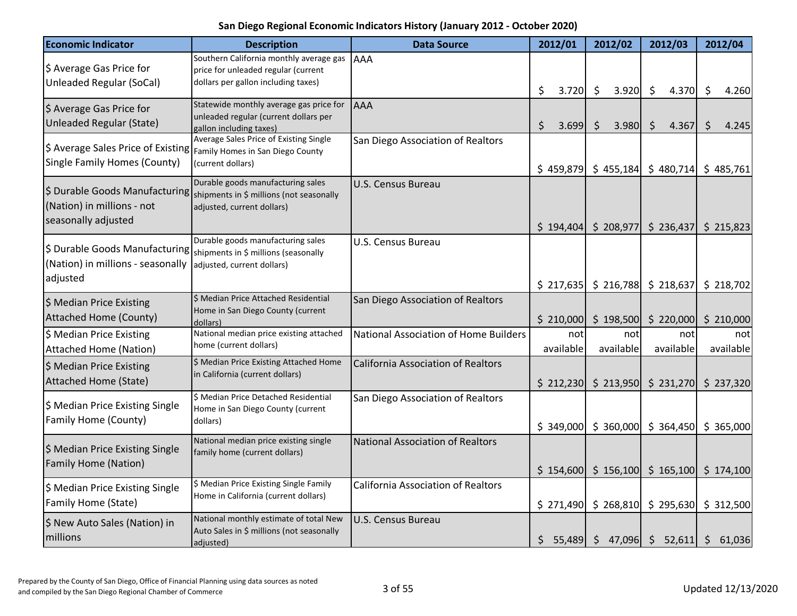**San Diego Regional Economic Indicators History (January 2012 - October 2020)**

| <b>Economic Indicator</b>                                                                                                          | <b>Description</b>                                                                                                                        | <b>Data Source</b>                    | 2012/01          | 2012/02                     | 2012/03                                                                                 | 2012/04          |  |
|------------------------------------------------------------------------------------------------------------------------------------|-------------------------------------------------------------------------------------------------------------------------------------------|---------------------------------------|------------------|-----------------------------|-----------------------------------------------------------------------------------------|------------------|--|
| \$ Average Gas Price for<br><b>Unleaded Regular (SoCal)</b>                                                                        | Southern California monthly average gas<br>price for unleaded regular (current<br>dollars per gallon including taxes)                     | AAA                                   | \$<br>3.720      | $\zeta$<br>$3.920 \mid \xi$ | 4.370                                                                                   | \$<br>4.260      |  |
| \$ Average Gas Price for<br>Unleaded Regular (State)                                                                               | Statewide monthly average gas price for<br>unleaded regular (current dollars per<br>gallon including taxes)                               | <b>AAA</b>                            | \$<br>3.699      | \$<br>3.980                 | $\frac{1}{2}$<br>4.367                                                                  | \$<br>4.245      |  |
| $\mid$ \$ Average Sales Price of Existing $\mid$ Family Homes in San Diego County<br><b>Single Family Homes (County)</b>           | Average Sales Price of Existing Single<br>(current dollars)                                                                               | San Diego Association of Realtors     |                  |                             | $\frac{1}{2}$ 459,879 $\frac{1}{2}$ 455,184 $\frac{1}{2}$ 480,714                       | \$485,761        |  |
| (Nation) in millions - not<br>seasonally adjusted                                                                                  | Durable goods manufacturing sales<br>S Durable Goods Manufacturing shipments in \$ millions (not seasonally<br>adjusted, current dollars) | <b>U.S. Census Bureau</b>             | \$194,404        | \$208,977                   | \$236,437                                                                               | \$215,823        |  |
| $\mid$ \$ Durable Goods Manufacturing $\mid$ shipments in \$ millions (seasonally<br>(Nation) in millions - seasonally<br>adjusted | Durable goods manufacturing sales<br>adjusted, current dollars)                                                                           | U.S. Census Bureau                    |                  |                             | $\vert$ \$ 217,635   \$ 216,788   \$ 218,637                                            | \$218,702        |  |
| \$ Median Price Existing<br><b>Attached Home (County)</b>                                                                          | \$ Median Price Attached Residential<br>Home in San Diego County (current<br>dollars)                                                     | San Diego Association of Realtors     |                  |                             | $\vert$ \$ 210,000 \$ 198,500 \$ 220,000 \$ 210,000                                     |                  |  |
| \$ Median Price Existing<br><b>Attached Home (Nation)</b>                                                                          | National median price existing attached<br>home (current dollars)                                                                         | National Association of Home Builders | not<br>available | not<br>available            | not<br>available                                                                        | not<br>available |  |
| \$ Median Price Existing<br><b>Attached Home (State)</b>                                                                           | \$ Median Price Existing Attached Home<br>in California (current dollars)                                                                 | California Association of Realtors    |                  |                             | $\vert$ \$ 212,230 \cdot \$ 213,950 \cdot \$ 231,270 \cdot \$ 237,320                   |                  |  |
| \$ Median Price Existing Single<br><b>Family Home (County)</b>                                                                     | \$ Median Price Detached Residential<br>Home in San Diego County (current<br>dollars)                                                     | San Diego Association of Realtors     |                  |                             | $\frac{1}{2}$ 349,000 $\frac{1}{2}$ 360,000 $\frac{1}{2}$ 364,450 $\frac{1}{2}$ 365,000 |                  |  |
| \$ Median Price Existing Single<br><b>Family Home (Nation)</b>                                                                     | National median price existing single<br>family home (current dollars)                                                                    | National Association of Realtors      |                  |                             | $\frac{1}{2}$ 154,600 $\frac{1}{2}$ 156,100 $\frac{1}{2}$ 165,100 $\frac{1}{2}$ 174,100 |                  |  |
| \$ Median Price Existing Single<br>Family Home (State)                                                                             | \$ Median Price Existing Single Family<br>Home in California (current dollars)                                                            | California Association of Realtors    |                  |                             | $\vert$ \$ 271,490 \cdot 268,810 \cdot 295,630 \cdot 312,500                            |                  |  |
| \$ New Auto Sales (Nation) in<br>millions                                                                                          | National monthly estimate of total New<br>Auto Sales in \$ millions (not seasonally<br>adjusted)                                          | U.S. Census Bureau                    |                  |                             | $\frac{1}{5}$ 55,489 $\frac{1}{5}$ 47,096 $\frac{1}{5}$ 52,611 $\frac{1}{5}$ 61,036     |                  |  |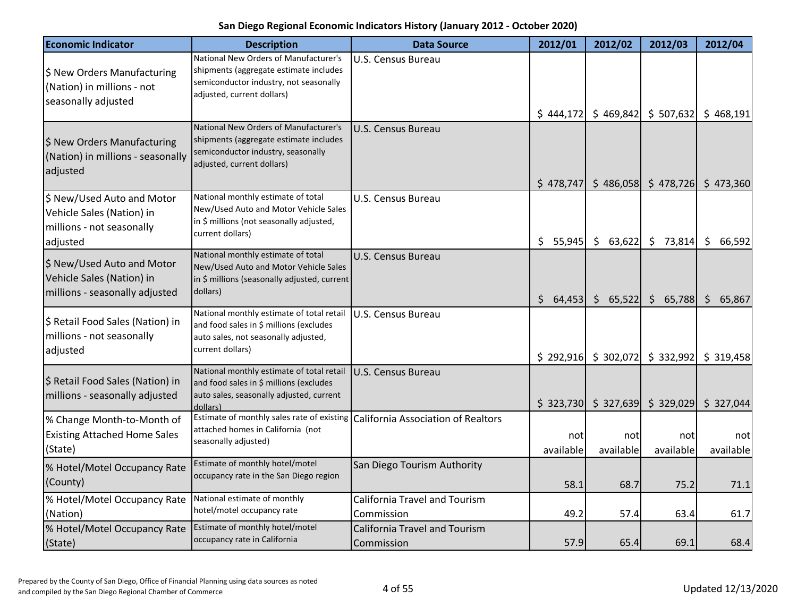| San Diego Regional Economic Indicators History (January 2012 - October 2020) |  |  |  |  |
|------------------------------------------------------------------------------|--|--|--|--|
|------------------------------------------------------------------------------|--|--|--|--|

| <b>Economic Indicator</b>                                                                        | <b>Description</b>                                                                                                                                      | <b>Data Source</b>                                 | 2012/01           | 2012/02                                                           | 2012/03               | 2012/04                                                                                 |
|--------------------------------------------------------------------------------------------------|---------------------------------------------------------------------------------------------------------------------------------------------------------|----------------------------------------------------|-------------------|-------------------------------------------------------------------|-----------------------|-----------------------------------------------------------------------------------------|
| \$ New Orders Manufacturing<br>(Nation) in millions - not<br>seasonally adjusted                 | National New Orders of Manufacturer's<br>shipments (aggregate estimate includes<br>semiconductor industry, not seasonally<br>adjusted, current dollars) | U.S. Census Bureau                                 | \$444,172         | \$469,842                                                         | \$507,632             | \$468,191                                                                               |
| \$ New Orders Manufacturing<br>(Nation) in millions - seasonally<br>adjusted                     | National New Orders of Manufacturer's<br>shipments (aggregate estimate includes<br>semiconductor industry, seasonally<br>adjusted, current dollars)     | <b>U.S. Census Bureau</b>                          | \$478,747         |                                                                   | $$486,058$ $$478,726$ | \$473,360                                                                               |
| \$ New/Used Auto and Motor<br>Vehicle Sales (Nation) in<br>millions - not seasonally<br>adjusted | National monthly estimate of total<br>New/Used Auto and Motor Vehicle Sales<br>in \$ millions (not seasonally adjusted,<br>current dollars)             | U.S. Census Bureau                                 | \$<br>55,945      | $\zeta$<br>63,622                                                 | \$73,814              | \$<br>66,592                                                                            |
| \$ New/Used Auto and Motor<br>Vehicle Sales (Nation) in<br>millions - seasonally adjusted        | National monthly estimate of total<br>New/Used Auto and Motor Vehicle Sales<br>in \$ millions (seasonally adjusted, current<br>dollars)                 | U.S. Census Bureau                                 | \$<br>$64,453$ \$ | 65,522                                                            | \$65,788              | \$65,867                                                                                |
| \$ Retail Food Sales (Nation) in<br>millions - not seasonally<br>adjusted                        | National monthly estimate of total retail<br>and food sales in \$ millions (excludes<br>auto sales, not seasonally adjusted,<br>current dollars)        | U.S. Census Bureau                                 |                   |                                                                   |                       | $\frac{1}{2}$ 292,916 $\frac{1}{2}$ 302,072 $\frac{1}{2}$ 332,992 $\frac{1}{2}$ 319,458 |
| \$ Retail Food Sales (Nation) in<br>millions - seasonally adjusted                               | National monthly estimate of total retail<br>and food sales in \$ millions (excludes<br>auto sales, seasonally adjusted, current<br>dollars)            | <b>U.S. Census Bureau</b>                          |                   | $\frac{1}{2}$ 323,730 $\frac{1}{2}$ 327,639 $\frac{1}{2}$ 329,029 |                       | \$327,044                                                                               |
| % Change Month-to-Month of<br><b>Existing Attached Home Sales</b><br>(State)                     | Estimate of monthly sales rate of existing<br>attached homes in California (not<br>seasonally adjusted)                                                 | California Association of Realtors                 | not<br>available  | notl<br>available                                                 | not<br>available      | not<br>available                                                                        |
| % Hotel/Motel Occupancy Rate<br>(County)                                                         | Estimate of monthly hotel/motel<br>occupancy rate in the San Diego region                                                                               | San Diego Tourism Authority                        | 58.1              | 68.7                                                              | 75.2                  | 71.1                                                                                    |
| % Hotel/Motel Occupancy Rate<br>(Nation)                                                         | National estimate of monthly<br>hotel/motel occupancy rate                                                                                              | <b>California Travel and Tourism</b><br>Commission | 49.2              | 57.4                                                              | 63.4                  | 61.7                                                                                    |
| % Hotel/Motel Occupancy Rate<br>(State)                                                          | Estimate of monthly hotel/motel<br>occupancy rate in California                                                                                         | California Travel and Tourism<br>Commission        | 57.9              | 65.4                                                              | 69.1                  | 68.4                                                                                    |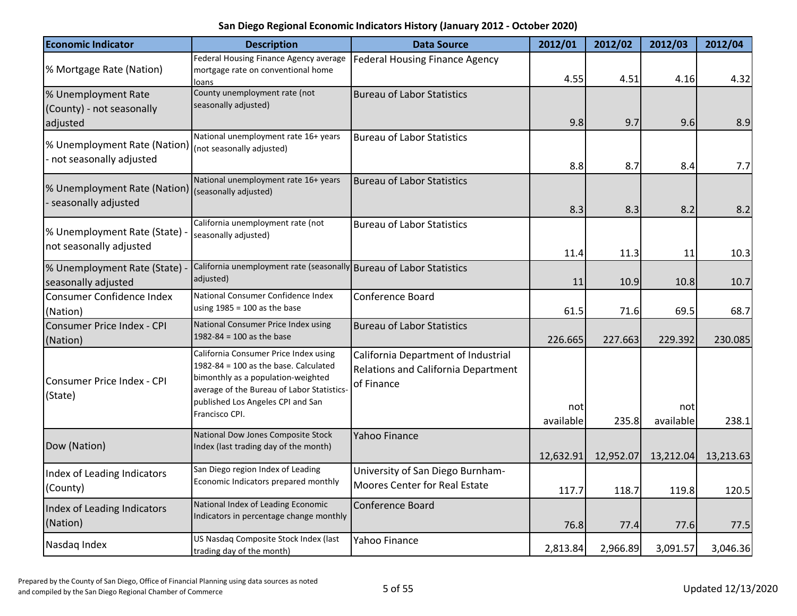|  | San Diego Regional Economic Indicators History (January 2012 - October 2020) |  |  |  |
|--|------------------------------------------------------------------------------|--|--|--|
|--|------------------------------------------------------------------------------|--|--|--|

| <b>Economic Indicator</b>                                                   | <b>Description</b>                                                               | <b>Data Source</b>                                | 2012/01   | 2012/02   | 2012/03   | 2012/04   |
|-----------------------------------------------------------------------------|----------------------------------------------------------------------------------|---------------------------------------------------|-----------|-----------|-----------|-----------|
|                                                                             | Federal Housing Finance Agency average                                           | <b>Federal Housing Finance Agency</b>             |           |           |           |           |
| % Mortgage Rate (Nation)                                                    | mortgage rate on conventional home<br>loans                                      |                                                   | 4.55      | 4.51      | 4.16      | 4.32      |
| % Unemployment Rate                                                         | County unemployment rate (not                                                    | <b>Bureau of Labor Statistics</b>                 |           |           |           |           |
| (County) - not seasonally                                                   | seasonally adjusted)                                                             |                                                   |           |           |           |           |
| adjusted                                                                    |                                                                                  |                                                   | 9.8       | 9.7       | 9.6       | 8.9       |
| % Unemployment Rate (Nation)<br>- not seasonally adjusted                   | National unemployment rate 16+ years<br>(not seasonally adjusted)                | <b>Bureau of Labor Statistics</b>                 |           |           |           |           |
|                                                                             |                                                                                  |                                                   | 8.8       | 8.7       | 8.4       | 7.7       |
| % Unemployment Rate (Nation) (seasonally adjusted)<br>- seasonally adjusted | National unemployment rate 16+ years                                             | <b>Bureau of Labor Statistics</b>                 |           |           |           |           |
|                                                                             | California unemployment rate (not                                                |                                                   | 8.3       | 8.3       | 8.2       | 8.2       |
| % Unemployment Rate (State) -<br>not seasonally adjusted                    | seasonally adjusted)                                                             | <b>Bureau of Labor Statistics</b>                 |           |           |           |           |
|                                                                             |                                                                                  |                                                   | 11.4      | 11.3      | 11        | 10.3      |
| % Unemployment Rate (State)<br>seasonally adjusted                          | California unemployment rate (seasonally Bureau of Labor Statistics<br>adjusted) |                                                   | 11        | 10.9      | 10.8      | 10.7      |
| Consumer Confidence Index                                                   | National Consumer Confidence Index                                               | Conference Board                                  |           |           |           |           |
| (Nation)                                                                    | using $1985 = 100$ as the base                                                   |                                                   | 61.5      | 71.6      | 69.5      | 68.7      |
| Consumer Price Index - CPI<br>(Nation)                                      | National Consumer Price Index using<br>1982-84 = 100 as the base                 | <b>Bureau of Labor Statistics</b>                 | 226.665   | 227.663   | 229.392   | 230.085   |
|                                                                             | California Consumer Price Index using                                            | California Department of Industrial               |           |           |           |           |
| Consumer Price Index - CPI                                                  | 1982-84 = 100 as the base. Calculated<br>bimonthly as a population-weighted      | Relations and California Department<br>of Finance |           |           |           |           |
| (State)                                                                     | average of the Bureau of Labor Statistics-                                       |                                                   |           |           |           |           |
|                                                                             | published Los Angeles CPI and San<br>Francisco CPI.                              |                                                   | not       |           | not       |           |
|                                                                             |                                                                                  |                                                   | available | 235.8     | available | 238.1     |
|                                                                             | National Dow Jones Composite Stock                                               | Yahoo Finance                                     |           |           |           |           |
| Dow (Nation)                                                                | Index (last trading day of the month)                                            |                                                   | 12,632.91 | 12,952.07 | 13,212.04 | 13,213.63 |
| Index of Leading Indicators                                                 | San Diego region Index of Leading                                                | University of San Diego Burnham-                  |           |           |           |           |
| (County)                                                                    | Economic Indicators prepared monthly                                             | <b>Moores Center for Real Estate</b>              | 117.7     | 118.7     | 119.8     | 120.5     |
| Index of Leading Indicators                                                 | National Index of Leading Economic                                               | <b>Conference Board</b>                           |           |           |           |           |
| (Nation)                                                                    | Indicators in percentage change monthly                                          |                                                   | 76.8      | 77.4      | 77.6      | 77.5      |
| Nasdaq Index                                                                | US Nasdaq Composite Stock Index (last<br>trading day of the month)               | Yahoo Finance                                     | 2,813.84  | 2,966.89  | 3,091.57  | 3,046.36  |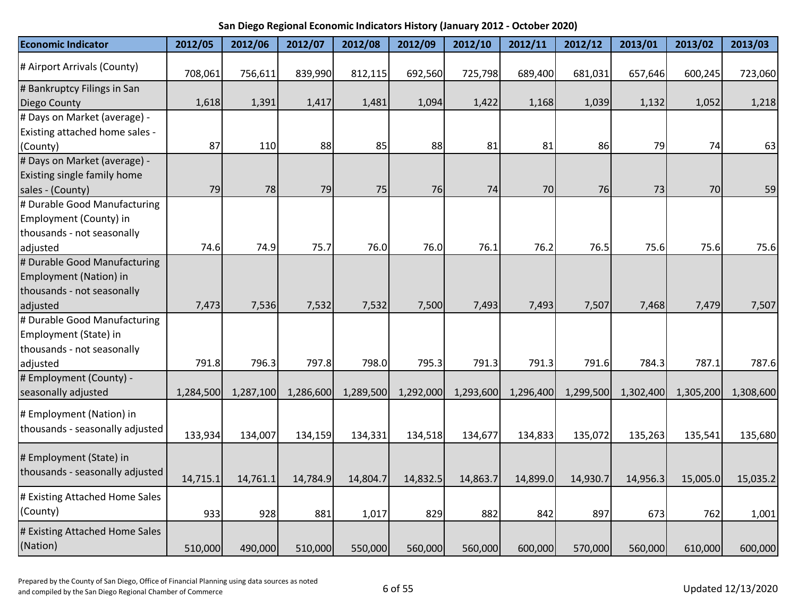| <b>Economic Indicator</b>                                                            | 2012/05   | 2012/06   | 2012/07   | 2012/08   | 2012/09   | 2012/10   | 2012/11   | 2012/12   | 2013/01   | 2013/02   | 2013/03   |
|--------------------------------------------------------------------------------------|-----------|-----------|-----------|-----------|-----------|-----------|-----------|-----------|-----------|-----------|-----------|
| # Airport Arrivals (County)                                                          | 708,061   | 756,611   | 839,990   | 812,115   | 692,560   | 725,798   | 689,400   | 681,031   | 657,646   | 600,245   | 723,060   |
| # Bankruptcy Filings in San<br><b>Diego County</b>                                   | 1,618     | 1,391     | 1,417     | 1,481     | 1,094     | 1,422     | 1,168     | 1,039     | 1,132     | 1,052     | 1,218     |
| # Days on Market (average) -<br>Existing attached home sales -                       |           |           |           |           |           |           |           |           |           |           |           |
| (County)                                                                             | 87        | 110       | 88        | 85        | 88        | 81        | 81        | 86        | 79        | 74        | 63        |
| # Days on Market (average) -<br>Existing single family home<br>sales - (County)      | 79        | 78        | 79        | 75        | 76        | 74        | 70        | 76        | 73        | 70        | 59        |
| # Durable Good Manufacturing<br>Employment (County) in<br>thousands - not seasonally |           |           |           |           |           |           |           |           |           |           |           |
| adjusted                                                                             | 74.6      | 74.9      | 75.7      | 76.0      | 76.0      | 76.1      | 76.2      | 76.5      | 75.6      | 75.6      | 75.6      |
| # Durable Good Manufacturing<br>Employment (Nation) in<br>thousands - not seasonally |           |           |           |           |           |           |           |           |           |           |           |
| adjusted                                                                             | 7,473     | 7,536     | 7,532     | 7,532     | 7,500     | 7,493     | 7,493     | 7,507     | 7,468     | 7,479     | 7,507     |
| # Durable Good Manufacturing<br>Employment (State) in<br>thousands - not seasonally  |           |           |           |           |           |           |           |           |           |           |           |
| adjusted                                                                             | 791.8     | 796.3     | 797.8     | 798.0     | 795.3     | 791.3     | 791.3     | 791.6     | 784.3     | 787.1     | 787.6     |
| # Employment (County) -<br>seasonally adjusted                                       | 1,284,500 | 1,287,100 | 1,286,600 | 1,289,500 | 1,292,000 | 1,293,600 | 1,296,400 | 1,299,500 | 1,302,400 | 1,305,200 | 1,308,600 |
| # Employment (Nation) in<br>thousands - seasonally adjusted                          | 133,934   | 134,007   | 134,159   | 134,331   | 134,518   | 134,677   | 134,833   | 135,072   | 135,263   | 135,541   | 135,680   |
| # Employment (State) in<br>thousands - seasonally adjusted                           | 14,715.1  | 14,761.1  | 14,784.9  | 14,804.7  | 14,832.5  | 14,863.7  | 14,899.0  | 14,930.7  | 14,956.3  | 15,005.0  | 15,035.2  |
| # Existing Attached Home Sales<br>(County)                                           | 933       | 928       | 881       | 1,017     | 829       | 882       | 842       | 897       | 673       | 762       | 1,001     |
| # Existing Attached Home Sales<br>(Nation)                                           | 510,000   | 490,000   | 510,000   | 550,000   | 560,000   | 560,000   | 600,000   | 570,000   | 560,000   | 610,000   | 600,000   |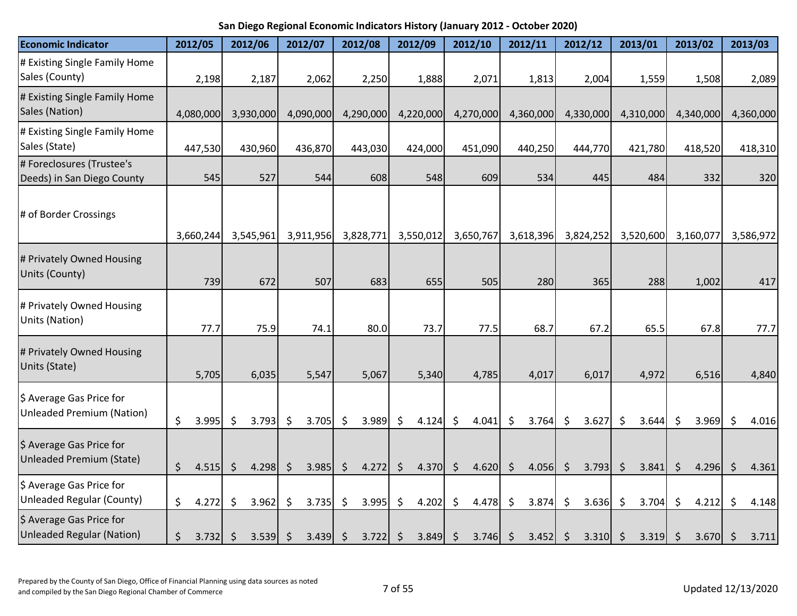| <b>Economic Indicator</b>                                    | 2012/05     | 2012/06          | 2012/07          | 2012/08                     | 2012/09          | 2012/10                          | 2012/11     | 2012/12                         | 2013/01                     | 2013/02     | 2013/03          |
|--------------------------------------------------------------|-------------|------------------|------------------|-----------------------------|------------------|----------------------------------|-------------|---------------------------------|-----------------------------|-------------|------------------|
| # Existing Single Family Home<br>Sales (County)              | 2,198       | 2,187            | 2,062            | 2,250                       | 1,888            | 2,071                            | 1,813       | 2,004                           | 1,559                       | 1,508       | 2,089            |
| # Existing Single Family Home<br>Sales (Nation)              | 4,080,000   | 3,930,000        | 4,090,000        | 4,290,000                   | 4,220,000        | 4,270,000                        | 4,360,000   | 4,330,000                       | 4,310,000                   | 4,340,000   | 4,360,000        |
| # Existing Single Family Home<br>Sales (State)               | 447,530     | 430,960          | 436,870          | 443,030                     | 424,000          | 451,090                          | 440,250     | 444,770                         | 421,780                     | 418,520     | 418,310          |
| # Foreclosures (Trustee's<br>Deeds) in San Diego County      | 545         | 527              | 544              | 608                         | 548              | 609                              | 534         | 445                             | 484                         | 332         | 320              |
| # of Border Crossings                                        | 3,660,244   | 3,545,961        | 3,911,956        | 3,828,771                   | 3,550,012        | 3,650,767                        | 3,618,396   | 3,824,252                       | 3,520,600                   | 3,160,077   | 3,586,972        |
| # Privately Owned Housing<br>Units (County)                  | 739         | 672              | 507              | 683                         | 655              | 505                              | 280         | 365                             | 288                         | 1,002       | 417              |
| # Privately Owned Housing<br>Units (Nation)                  | 77.7        | 75.9             | 74.1             | 80.0                        | 73.7             | 77.5                             | 68.7        | 67.2                            | 65.5                        | 67.8        | 77.7             |
| # Privately Owned Housing<br>Units (State)                   | 5,705       | 6,035            | 5,547            | 5,067                       | 5,340            | 4,785                            | 4,017       | 6,017                           | 4,972                       | 6,516       | 4,840            |
| \$ Average Gas Price for<br><b>Unleaded Premium (Nation)</b> | \$<br>3.995 | 3.793<br>\$      | \$<br>3.705      | 3.989<br>\$                 | \$<br>4.124      | \$<br>4.041                      | \$<br>3.764 | \$<br>3.627                     | \$<br>3.644                 | \$<br>3.969 | 4.016<br>\$      |
| \$ Average Gas Price for<br>Unleaded Premium (State)         | \$<br>4.515 | $\zeta$<br>4.298 | 3.985<br>\$      | $\ddot{\varsigma}$<br>4.272 | $\zeta$<br>4.370 | $\zeta$<br>4.620 \$              | 4.056       | $\zeta$<br>3.793                | $\ddot{\varsigma}$<br>3.841 | \$<br>4.296 | $\zeta$<br>4.361 |
| \$ Average Gas Price for<br>Unleaded Regular (County)        | \$<br>4.272 | \$<br>3.962      | 3.735<br>\$      | 3.995<br>\$                 | \$<br>4.202      | 4.478<br>\$                      | \$<br>3.874 | \$<br>3.636                     | 3.704<br>$\ddot{\varsigma}$ | \$<br>4.212 | 4.148<br>\$      |
| \$ Average Gas Price for<br><b>Unleaded Regular (Nation)</b> | \$<br>3.732 | $\zeta$<br>3.539 | $3.439$ \$<br>S. | 3.722                       | $\zeta$<br>3.849 | $\ddot{\varsigma}$<br>$3.746$ \$ | 3.452       | $\varsigma$<br>$3.310 \mid \xi$ | 3.319                       | \$<br>3.670 | \$<br>3.711      |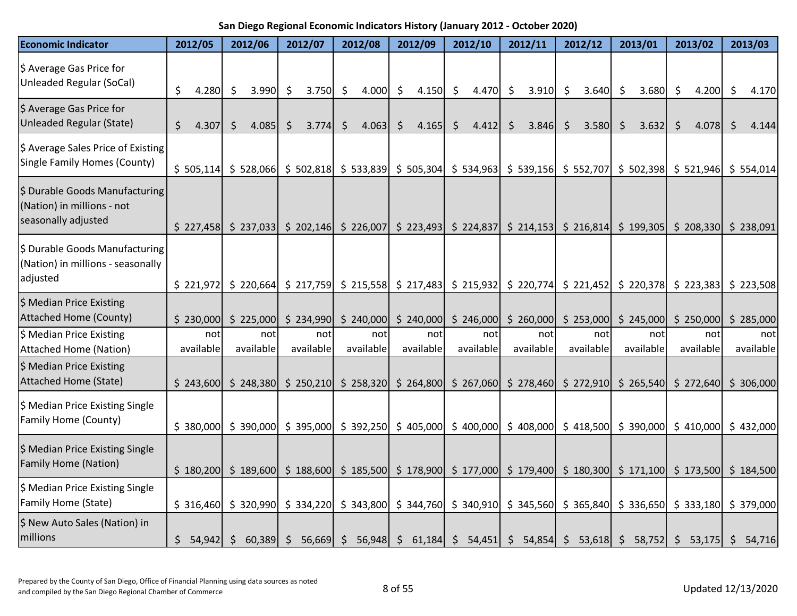| <b>Economic Indicator</b>                                                           |    | 2012/05          | 2012/06          |              | 2012/07                          |         | 2012/08                                                           |         | 2012/09          | 2012/10                                                                                                                             | 2012/11          | 2012/12               |         | 2013/01          | 2013/02                                                                                                                                                   | 2013/03          |
|-------------------------------------------------------------------------------------|----|------------------|------------------|--------------|----------------------------------|---------|-------------------------------------------------------------------|---------|------------------|-------------------------------------------------------------------------------------------------------------------------------------|------------------|-----------------------|---------|------------------|-----------------------------------------------------------------------------------------------------------------------------------------------------------|------------------|
| \$ Average Gas Price for<br><b>Unleaded Regular (SoCal)</b>                         | \$ | 4.280            | \$<br>3.990      | -\$          | 3.750                            | \$      | 4.000                                                             | \$      | 4.150            | \$<br>4.470                                                                                                                         | \$<br>3.910      | \$<br>3.640           | \$      | 3.680            | \$<br>4.200                                                                                                                                               | \$<br>4.170      |
| \$ Average Gas Price for<br><b>Unleaded Regular (State)</b>                         | \$ | 4.307            | \$<br>4.085      | <sup>S</sup> | 3.774                            | $\zeta$ | 4.063                                                             | $\zeta$ | 4.165            | \$<br>4.412                                                                                                                         | \$<br>3.846      | \$<br>3.580           | $\zeta$ | 3.632            | \$<br>4.078                                                                                                                                               | \$<br>4.144      |
| \$ Average Sales Price of Existing<br><b>Single Family Homes (County)</b>           |    |                  |                  |              |                                  |         |                                                                   |         |                  |                                                                                                                                     |                  |                       |         |                  | \$505,114 \$528,066 \$502,818 \$533,839 \$505,304 \$534,963 \$539,156 \$552,707 \$502,398 \$521,946 \$554,014                                             |                  |
| \$ Durable Goods Manufacturing<br>(Nation) in millions - not<br>seasonally adjusted |    | \$227,458        |                  |              |                                  |         | $\frac{1}{2}$ 237,033 $\frac{1}{2}$ 202,146 $\frac{1}{2}$ 226,007 |         |                  | $\frac{1}{2}$ 223,493 $\frac{1}{2}$ 224,837 $\frac{1}{2}$ 214,153 $\frac{1}{2}$ 216,814 $\frac{1}{2}$ 199,305                       |                  |                       |         |                  | \$208,330                                                                                                                                                 | \$238,091        |
| \$ Durable Goods Manufacturing<br>(Nation) in millions - seasonally<br>adjusted     |    | \$221,972        | \$220,664        |              |                                  |         |                                                                   |         |                  |                                                                                                                                     |                  |                       |         |                  | \$ 217,759 \$ 215,558 \$ 217,483 \$ 215,932 \$ 220,774 \$ 221,452 \$ 220,378 \$ 223,383                                                                   | \$223,508        |
| \$ Median Price Existing<br><b>Attached Home (County)</b>                           |    | \$230,000        | \$225,000        |              | \$234,990                        |         | \$240,000                                                         |         | \$240,000        | \$246,000                                                                                                                           | \$260,000        | $$253,000$ $$245,000$ |         |                  | \$250,000                                                                                                                                                 | \$285,000        |
| \$ Median Price Existing<br><b>Attached Home (Nation)</b>                           |    | not<br>available | not<br>available |              | not<br>available                 |         | not<br>available                                                  |         | not<br>available | not<br>available                                                                                                                    | not<br>available | not<br>available      |         | not<br>available | not<br>available                                                                                                                                          | not<br>available |
| \$ Median Price Existing<br><b>Attached Home (State)</b>                            |    |                  |                  |              |                                  |         |                                                                   |         |                  |                                                                                                                                     |                  |                       |         |                  | \$ 243,600 \$ 248,380 \$ 250,210 \$ 258,320 \$ 264,800 \$ 267,060 \$ 278,460 \$ 272,910 \$ 265,540 \$ 272,640                                             | \$306,000        |
| \$ Median Price Existing Single<br>Family Home (County)                             |    |                  |                  |              | $$380,000$ $$390,000$ $$395,000$ |         |                                                                   |         |                  |                                                                                                                                     |                  |                       |         |                  | $\frac{1}{2}$ 392,250 $\frac{1}{2}$ 405,000 $\frac{1}{2}$ 400,000 $\frac{1}{2}$ 408,000 $\frac{1}{2}$ 418,500 $\frac{1}{2}$ 390,000 $\frac{1}{2}$ 410,000 | \$432,000        |
| \$ Median Price Existing Single<br><b>Family Home (Nation)</b>                      |    |                  |                  |              |                                  |         |                                                                   |         |                  |                                                                                                                                     |                  |                       |         |                  | \$ 180,200 \$ 189,600 \$ 188,600 \$ 185,500 \$ 178,900 \$ 177,000 \$ 179,400 \$ 180,300 \$ 171,100 \$ 173,500 \$ 184,500                                  |                  |
| \$ Median Price Existing Single<br>Family Home (State)                              |    | \$316,460        |                  |              | $$320,990$ $$334,220$            |         |                                                                   |         |                  | $\frac{1}{5}$ 343,800 $\frac{1}{5}$ 344,760 $\frac{1}{5}$ 340,910 $\frac{1}{5}$ 345,560 $\frac{1}{5}$ 365,840 $\frac{1}{5}$ 336,650 |                  |                       |         |                  | \$333,180                                                                                                                                                 | \$379,000        |
| \$ New Auto Sales (Nation) in<br>millions                                           | S. |                  |                  |              |                                  |         |                                                                   |         |                  |                                                                                                                                     |                  |                       |         |                  | 54,942 \$ 60,389 \$ 56,669 \$ 56,948 \$ 61,184 \$ 54,451 \$ 54,854 \$ 53,618 \$ 58,752 \$ 53,175                                                          | \$54,716         |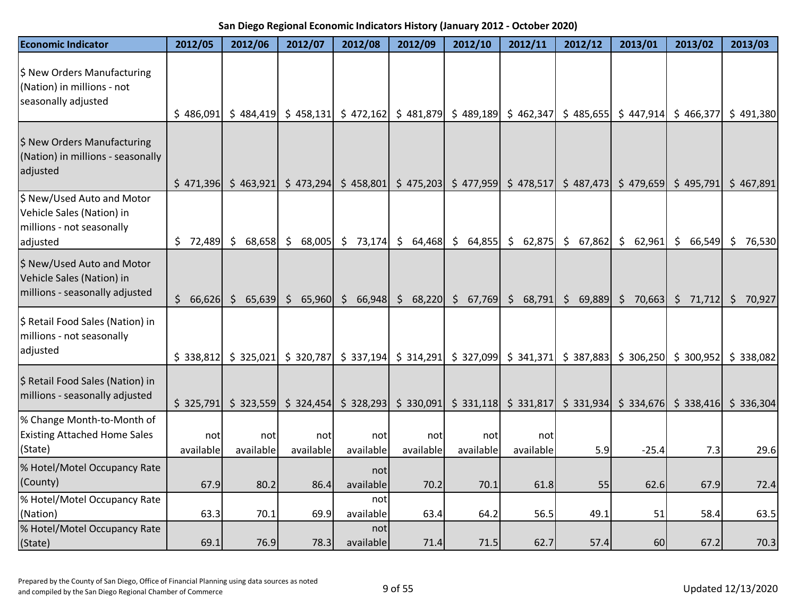| <b>Economic Indicator</b>                                                                        | 2012/05          | 2012/06               | 2012/07                                                                                                                                                                                                                     | 2012/08           | 2012/09           | 2012/10                                                                                 | 2012/11                                                                               | 2012/12   | 2013/01               | 2013/02           | 2013/03                |
|--------------------------------------------------------------------------------------------------|------------------|-----------------------|-----------------------------------------------------------------------------------------------------------------------------------------------------------------------------------------------------------------------------|-------------------|-------------------|-----------------------------------------------------------------------------------------|---------------------------------------------------------------------------------------|-----------|-----------------------|-------------------|------------------------|
| \$ New Orders Manufacturing<br>(Nation) in millions - not<br>seasonally adjusted                 | \$486,091        |                       | $$484,419$$ $$458,131$                                                                                                                                                                                                      |                   |                   | $\vert$ \$ 472,162 \, \$ 481,879 \, \$ 489,189 \, \$ 462,347                            |                                                                                       |           | $$485,655$ $$447,914$ | \$466,377         | \$491,380              |
| \$ New Orders Manufacturing<br>(Nation) in millions - seasonally<br>adjusted                     |                  | $$471,396$ $$463,921$ | \$473,294                                                                                                                                                                                                                   |                   |                   | $\frac{1}{2}$ 458,801 $\frac{1}{2}$ 475,203 $\frac{1}{2}$ 477,959 $\frac{1}{2}$ 478,517 |                                                                                       | \$487,473 | \$479,659             | \$495,791         | \$467,891              |
| \$ New/Used Auto and Motor<br>Vehicle Sales (Nation) in<br>millions - not seasonally<br>adjusted | \$.<br>72,489    | \$<br>68,658          | S.<br>68,005                                                                                                                                                                                                                | \$73,174          | \$64,468          | $\zeta$                                                                                 | $64,855$ \$ 62,875                                                                    | \$67,862  | $\zeta$<br>62,961     | $\zeta$<br>66,549 | $\mathsf{S}$<br>76,530 |
| \$ New/Used Auto and Motor<br>Vehicle Sales (Nation) in<br>millions - seasonally adjusted        | \$<br>66,626     | \$65,639              | $\zeta$<br>65,960                                                                                                                                                                                                           | $\zeta$<br>66,948 | 68,220<br>$\zeta$ |                                                                                         | $\begin{bmatrix} 5 & 67,769 \end{bmatrix}$ $\begin{bmatrix} 5 & 68,791 \end{bmatrix}$ | \$69,889  | \$70,663              | \$71,712          | $\zeta$<br>70,927      |
| \$ Retail Food Sales (Nation) in<br>millions - not seasonally<br>adjusted                        | \$338,812        |                       | $\frac{1}{2}$ \$ 325,021 \$ 320,787 \$ 337,194 \$ 314,291 \$ 327,099 \$ 341,371 \$ 387,883 \$ 306,250 \$ 300,952                                                                                                            |                   |                   |                                                                                         |                                                                                       |           |                       |                   | \$338,082              |
| \$ Retail Food Sales (Nation) in<br>millions - seasonally adjusted                               | \$325,791        |                       | $\frac{1}{5}$ 323,559 $\frac{1}{5}$ 324,454 $\frac{1}{5}$ 328,293 $\frac{1}{5}$ 330,091 $\frac{1}{5}$ 331,118 $\frac{1}{5}$ 331,817 $\frac{1}{5}$ 331,934 $\frac{1}{5}$ 334,676 $\frac{1}{5}$ 338,416 $\frac{1}{5}$ 336,304 |                   |                   |                                                                                         |                                                                                       |           |                       |                   |                        |
| % Change Month-to-Month of<br><b>Existing Attached Home Sales</b><br>(State)                     | not<br>available | not<br>available      | not<br>available                                                                                                                                                                                                            | not<br>available  | not<br>available  | not<br>available                                                                        | not<br>available                                                                      | 5.9       | $-25.4$               | 7.3               | 29.6                   |
| % Hotel/Motel Occupancy Rate<br>(County)                                                         | 67.9             | 80.2                  | 86.4                                                                                                                                                                                                                        | not<br>available  | 70.2              | 70.1                                                                                    | 61.8                                                                                  | 55        | 62.6                  | 67.9              | 72.4                   |
| % Hotel/Motel Occupancy Rate<br>(Nation)                                                         | 63.3             | 70.1                  | 69.9                                                                                                                                                                                                                        | not<br>available  | 63.4              | 64.2                                                                                    | 56.5                                                                                  | 49.1      | 51                    | 58.4              | 63.5                   |
| % Hotel/Motel Occupancy Rate<br>(State)                                                          | 69.1             | 76.9                  | 78.3                                                                                                                                                                                                                        | not<br>available  | 71.4              | 71.5                                                                                    | 62.7                                                                                  | 57.4      | 60                    | 67.2              | 70.3                   |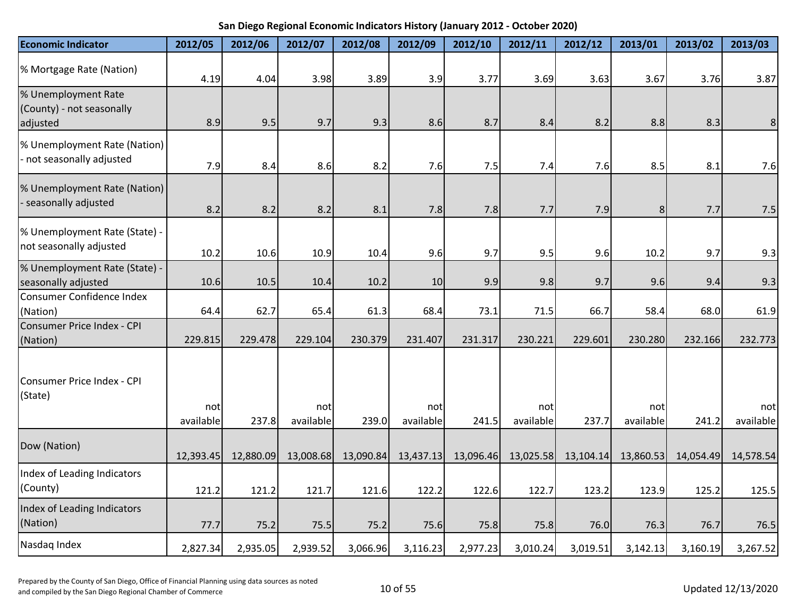| <b>Economic Indicator</b>                                    | 2012/05           | 2012/06   | 2012/07          | 2012/08   | 2012/09          | 2012/10   | 2012/11          | 2012/12   | 2013/01          | 2013/02   | 2013/03          |
|--------------------------------------------------------------|-------------------|-----------|------------------|-----------|------------------|-----------|------------------|-----------|------------------|-----------|------------------|
| % Mortgage Rate (Nation)                                     | 4.19              | 4.04      | 3.98             | 3.89      | 3.9              | 3.77      | 3.69             | 3.63      | 3.67             | 3.76      | 3.87             |
| % Unemployment Rate<br>(County) - not seasonally<br>adjusted | 8.9               | 9.5       | 9.7              | 9.3       | 8.6              | 8.7       | 8.4              | 8.2       | 8.8              | 8.3       | 8                |
| % Unemployment Rate (Nation)<br>- not seasonally adjusted    | 7.9               | 8.4       | 8.6              | 8.2       | 7.6              | 7.5       | 7.4              | 7.6       | 8.5              | 8.1       | 7.6              |
| % Unemployment Rate (Nation)<br>- seasonally adjusted        | 8.2               | 8.2       | 8.2              | 8.1       | 7.8              | 7.8       | 7.7              | 7.9       | 8 <sup>1</sup>   | 7.7       | 7.5              |
| % Unemployment Rate (State) -<br>not seasonally adjusted     | 10.2              | 10.6      | 10.9             | 10.4      | 9.6              | 9.7       | 9.5              | 9.6       | 10.2             | 9.7       | 9.3              |
| % Unemployment Rate (State) -<br>seasonally adjusted         | 10.6              | 10.5      | 10.4             | 10.2      | 10               | 9.9       | 9.8              | 9.7       | 9.6              | 9.4       | 9.3              |
| <b>Consumer Confidence Index</b><br>(Nation)                 | 64.4              | 62.7      | 65.4             | 61.3      | 68.4             | 73.1      | 71.5             | 66.7      | 58.4             | 68.0      | 61.9             |
| Consumer Price Index - CPI<br>(Nation)                       | 229.815           | 229.478   | 229.104          | 230.379   | 231.407          | 231.317   | 230.221          | 229.601   | 230.280          | 232.166   | 232.773          |
| Consumer Price Index - CPI<br>(State)                        | notl<br>available | 237.8     | not<br>available | 239.0     | not<br>available | 241.5     | not<br>available | 237.7     | not<br>available | 241.2     | not<br>available |
| Dow (Nation)                                                 | 12,393.45         | 12,880.09 | 13,008.68        | 13,090.84 | 13,437.13        | 13,096.46 | 13,025.58        | 13,104.14 | 13,860.53        | 14,054.49 | 14,578.54        |
| Index of Leading Indicators<br>(County)                      | 121.2             | 121.2     | 121.7            | 121.6     | 122.2            | 122.6     | 122.7            | 123.2     | 123.9            | 125.2     | 125.5            |
| Index of Leading Indicators<br>(Nation)                      | 77.7              | 75.2      | 75.5             | 75.2      | 75.6             | 75.8      | 75.8             | 76.0      | 76.3             | 76.7      | 76.5             |
| Nasdaq Index                                                 | 2,827.34          | 2,935.05  | 2,939.52         | 3,066.96  | 3,116.23         | 2,977.23  | 3,010.24         | 3,019.51  | 3,142.13         | 3,160.19  | 3,267.52         |

Prepared by the County of San Diego, Office of Financial Planning using data sources as noted and compiled by the San Diego, Since of Thinking and San Exerces as noted<br>and compiled by the San Diego Regional Chamber of Commerce 10 of 55 Updated 12/13/2020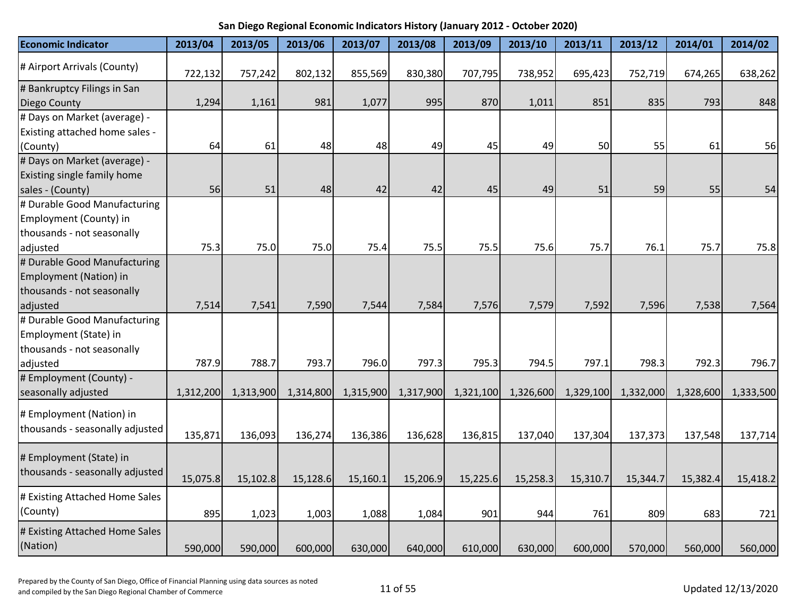| <b>Economic Indicator</b>                                                            | 2013/04   | 2013/05   | 2013/06   | 2013/07   | 2013/08   | 2013/09   | 2013/10   | 2013/11   | 2013/12   | 2014/01   | 2014/02   |
|--------------------------------------------------------------------------------------|-----------|-----------|-----------|-----------|-----------|-----------|-----------|-----------|-----------|-----------|-----------|
| # Airport Arrivals (County)                                                          | 722,132   | 757,242   | 802,132   | 855,569   | 830,380   | 707,795   | 738,952   | 695,423   | 752,719   | 674,265   | 638,262   |
| # Bankruptcy Filings in San<br><b>Diego County</b>                                   | 1,294     | 1,161     | 981       | 1,077     | 995       | 870       | 1,011     | 851       | 835       | 793       | 848       |
| # Days on Market (average) -<br>Existing attached home sales -                       |           |           |           |           |           |           |           |           |           |           |           |
| (County)                                                                             | 64        | 61        | 48        | 48        | 49        | 45        | 49        | 50        | 55        | 61        | 56        |
| # Days on Market (average) -<br>Existing single family home<br>sales - (County)      | 56        | 51        | 48        | 42        | 42        | 45        | 49        | 51        | 59        | 55        | 54        |
| # Durable Good Manufacturing<br>Employment (County) in<br>thousands - not seasonally |           |           |           |           |           |           |           |           |           |           |           |
| adjusted                                                                             | 75.3      | 75.0      | 75.0      | 75.4      | 75.5      | 75.5      | 75.6      | 75.7      | 76.1      | 75.7      | 75.8      |
| # Durable Good Manufacturing<br>Employment (Nation) in<br>thousands - not seasonally |           |           |           |           |           |           |           |           |           |           |           |
| adjusted                                                                             | 7,514     | 7,541     | 7,590     | 7,544     | 7,584     | 7,576     | 7,579     | 7,592     | 7,596     | 7,538     | 7,564     |
| # Durable Good Manufacturing<br>Employment (State) in<br>thousands - not seasonally  | 787.9     | 788.7     | 793.7     | 796.0     | 797.3     | 795.3     | 794.5     | 797.1     | 798.3     | 792.3     | 796.7     |
| adjusted<br># Employment (County) -                                                  |           |           |           |           |           |           |           |           |           |           |           |
| seasonally adjusted                                                                  | 1,312,200 | 1,313,900 | 1,314,800 | 1,315,900 | 1,317,900 | 1,321,100 | 1,326,600 | 1,329,100 | 1,332,000 | 1,328,600 | 1,333,500 |
| # Employment (Nation) in<br>thousands - seasonally adjusted                          | 135,871   | 136,093   | 136,274   | 136,386   | 136,628   | 136,815   | 137,040   | 137,304   | 137,373   | 137,548   | 137,714   |
| # Employment (State) in<br>thousands - seasonally adjusted                           | 15,075.8  | 15,102.8  | 15,128.6  | 15,160.1  | 15,206.9  | 15,225.6  | 15,258.3  | 15,310.7  | 15,344.7  | 15,382.4  | 15,418.2  |
| # Existing Attached Home Sales<br>(County)                                           | 895       | 1,023     | 1,003     | 1,088     | 1,084     | 901       | 944       | 761       | 809       | 683       | 721       |
| # Existing Attached Home Sales<br>(Nation)                                           | 590,000   | 590,000   | 600,000   | 630,000   | 640,000   | 610,000   | 630,000   | 600,000   | 570,000   | 560,000   | 560,000   |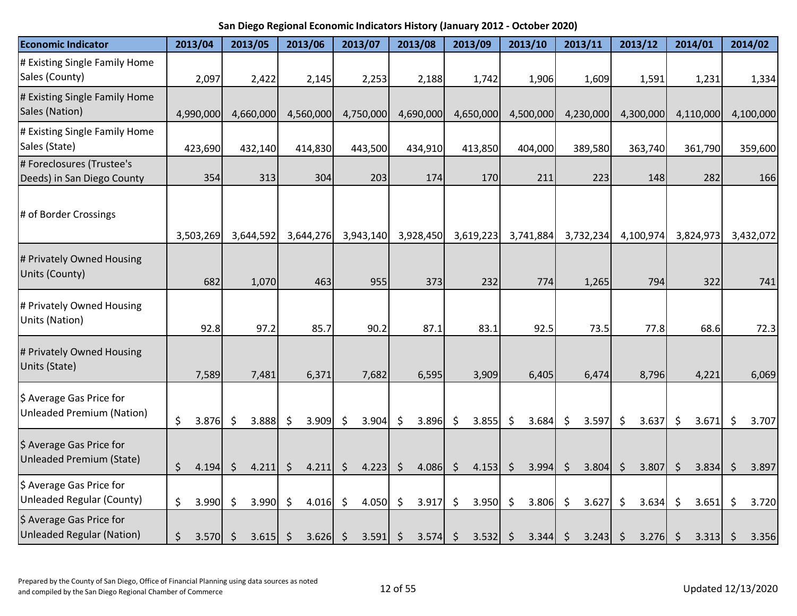**San Diego Regional Economic Indicators History (January 2012 - October 2020)**

| <b>Economic Indicator</b>                                    | 2013/04                   | 2013/05   |                     | 2013/06          | 2013/07                     |                    | 2013/08   |               | 2013/09          |         | 2013/10   |         | 2013/11         |         | 2013/12   |         | 2014/01   |         | 2014/02   |
|--------------------------------------------------------------|---------------------------|-----------|---------------------|------------------|-----------------------------|--------------------|-----------|---------------|------------------|---------|-----------|---------|-----------------|---------|-----------|---------|-----------|---------|-----------|
| # Existing Single Family Home<br>Sales (County)              | 2,097                     |           | 2,422               | 2,145            | 2,253                       |                    | 2,188     |               | 1,742            |         | 1,906     |         | 1,609           |         | 1,591     |         | 1,231     |         | 1,334     |
| # Existing Single Family Home<br>Sales (Nation)              | 4,990,000                 | 4,660,000 |                     | 4,560,000        | 4,750,000                   |                    | 4,690,000 |               | 4,650,000        |         | 4,500,000 |         | 4,230,000       |         | 4,300,000 |         | 4,110,000 |         | 4,100,000 |
| # Existing Single Family Home<br>Sales (State)               | 423,690                   | 432,140   |                     | 414,830          | 443,500                     |                    | 434,910   |               | 413,850          |         | 404,000   |         | 389,580         |         | 363,740   |         | 361,790   |         | 359,600   |
| # Foreclosures (Trustee's<br>Deeds) in San Diego County      | 354                       |           | 313                 | 304              | 203                         |                    | 174       |               | 170              |         | 211       |         | 223             |         | 148       |         | 282       |         | 166       |
| # of Border Crossings                                        | 3,503,269                 | 3,644,592 |                     | 3,644,276        | 3,943,140                   |                    | 3,928,450 |               | 3,619,223        |         | 3,741,884 |         | 3,732,234       |         | 4,100,974 |         | 3,824,973 |         | 3,432,072 |
| # Privately Owned Housing<br>Units (County)                  | 682                       |           | 1,070               | 463              | 955                         |                    | 373       |               | 232              |         | 774       |         | 1,265           |         | 794       |         | 322       |         | 741       |
| # Privately Owned Housing<br>Units (Nation)                  | 92.8                      |           | 97.2                | 85.7             | 90.2                        |                    | 87.1      |               | 83.1             |         | 92.5      |         | 73.5            |         | 77.8      |         | 68.6      |         | 72.3      |
| # Privately Owned Housing<br>Units (State)                   | 7,589                     |           | 7,481               | 6,371            | 7,682                       |                    | 6,595     |               | 3,909            |         | 6,405     |         | 6,474           |         | 8,796     |         | 4,221     |         | 6,069     |
| \$ Average Gas Price for<br>Unleaded Premium (Nation)        | \$<br>3.876               | \$        | 3.888               | 3.909<br>-\$     | 3.904<br>$\ddot{\varsigma}$ | \$                 | 3.896     | \$            | 3.855            | \$      | 3.684     | \$      | 3.597           | $\zeta$ | 3.637     | \$      | 3.671     | \$      | 3.707     |
| \$ Average Gas Price for<br>Unleaded Premium (State)         | \$<br>4.194 $\frac{1}{2}$ |           | 4.211 $\frac{1}{2}$ | 4.211            | $\zeta$<br>4.223            | $\ddot{\varsigma}$ | 4.086     | $\frac{1}{2}$ | 4.153 $\vert$ \$ |         | 3.994     | $\zeta$ | 3.804 \$        |         | 3.807     | $\zeta$ | 3.834     | $\zeta$ | 3.897     |
| \$ Average Gas Price for<br><b>Unleaded Regular (County)</b> | \$<br>3.990               | \$        | 3.990               | \$<br>4.016      | $\ddot{\phi}$<br>4.050      | \$                 | 3.917     | \$            | 3.950            | \$      | 3.806     | \$      | 3.627           | \$      | 3.634     | \$      | 3.651     | \$      | 3.720     |
| \$ Average Gas Price for<br><b>Unleaded Regular (Nation)</b> | \$<br>$3.570 \mid$ \$     |           | 3.615               | $3.626$ \$<br>S. | 3.591                       | $\ddot{\varsigma}$ | 3.574 \$  |               | 3.532            | $\zeta$ | 3.344     | $\zeta$ | $3.243 \mid$ \$ |         | 3.276     | $\zeta$ | 3.313     | \$      | 3.356     |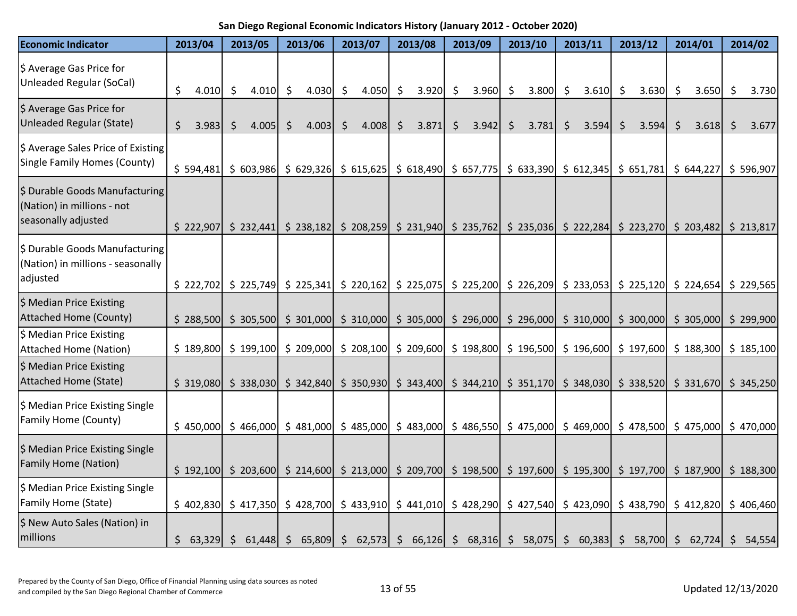| <b>Economic Indicator</b>                                                           |     | 2013/04   |    | 2013/05                               |              | 2013/06   |         | 2013/07               |         | 2013/08   | 2013/09                                                                                                                                                                         | 2013/10     |                    | 2013/11                          |         | 2013/12 |    | 2014/01                                                                                                                  |    | 2014/02   |
|-------------------------------------------------------------------------------------|-----|-----------|----|---------------------------------------|--------------|-----------|---------|-----------------------|---------|-----------|---------------------------------------------------------------------------------------------------------------------------------------------------------------------------------|-------------|--------------------|----------------------------------|---------|---------|----|--------------------------------------------------------------------------------------------------------------------------|----|-----------|
| \$ Average Gas Price for<br><b>Unleaded Regular (SoCal)</b>                         | \$  | 4.010     | \$ | 4.010                                 | -\$          | 4.030     | $\zeta$ | 4.050                 | \$      | 3.920     | \$<br>3.960                                                                                                                                                                     | \$<br>3.800 | $\ddot{\varsigma}$ | 3.610                            | $\zeta$ | 3.630   | \$ | 3.650                                                                                                                    | \$ | 3.730     |
| \$ Average Gas Price for<br><b>Unleaded Regular (State)</b>                         | Ś   | 3.983     | Š. | 4.005                                 | <sup>S</sup> | 4.003     | \$      | 4.008                 | $\zeta$ | 3.871     | \$<br>3.942                                                                                                                                                                     | \$<br>3.781 | \$                 | 3.594                            | $\zeta$ | 3.594   | Ŝ. | 3.618                                                                                                                    | Ŝ. | 3.677     |
| \$ Average Sales Price of Existing<br><b>Single Family Homes (County)</b>           |     | \$594,481 |    |                                       |              |           |         |                       |         |           | $\frac{1}{5}$ 603,986 $\frac{1}{5}$ 629,326 $\frac{1}{5}$ 615,625 $\frac{1}{5}$ 618,490 $\frac{1}{5}$ 657,775 $\frac{1}{5}$ 633,390 $\frac{1}{5}$ 612,345 $\frac{1}{5}$ 651,781 |             |                    |                                  |         |         |    | $$644,227$ $$596,907$                                                                                                    |    |           |
| \$ Durable Goods Manufacturing<br>(Nation) in millions - not<br>seasonally adjusted |     | \$222,907 |    | \$232,441                             |              | \$238,182 |         | \$208,259             |         |           | $\frac{1}{2}$ 231,940 $\frac{1}{2}$ 235,762 $\frac{1}{2}$ 235,036 $\frac{1}{2}$ 222,284 $\frac{1}{2}$ 223,270                                                                   |             |                    |                                  |         |         |    | \$203,482                                                                                                                |    | \$213,817 |
| \$ Durable Goods Manufacturing<br>(Nation) in millions - seasonally<br>adjusted     |     | \$222,702 |    | $\vert$ \$ 225,749 $\vert$ \$ 225,341 |              |           |         |                       |         |           |                                                                                                                                                                                 |             |                    |                                  |         |         |    | $\vert$ \$ 220,162 \, \$ 225,075 \, \$ 225,200 \, \$ 226,209 \, \$ 233,053 \, \$ 225,120 \, \$ 224,654                   |    | \$229,565 |
| \$ Median Price Existing<br><b>Attached Home (County)</b>                           |     | \$288,500 |    | \$305,500                             |              |           |         | $$301,000$ $$310,000$ |         |           | $\frac{1}{2}$ 305,000 $\frac{1}{2}$ 296,000 $\frac{1}{2}$ 296,000 $\frac{1}{2}$ 310,000 $\frac{1}{2}$ 300,000                                                                   |             |                    |                                  |         |         |    | $$305,000 \$299,900$                                                                                                     |    |           |
| \$ Median Price Existing<br><b>Attached Home (Nation)</b>                           |     | \$189,800 |    | $$199,100 \& 209,000$                 |              |           |         | \$208,100             |         | \$209,600 | \$198,800                                                                                                                                                                       |             |                    | $$196,500$ $$196,600$ $$197,600$ |         |         |    | \$188,300                                                                                                                |    | \$185,100 |
| \$ Median Price Existing<br><b>Attached Home (State)</b>                            |     |           |    |                                       |              |           |         |                       |         |           |                                                                                                                                                                                 |             |                    |                                  |         |         |    | \$ 319,080 \$ 338,030 \$ 342,840 \$ 350,930 \$ 343,400 \$ 344,210 \$ 351,170 \$ 348,030 \$ 338,520 \$ 331,670 \$ 345,250 |    |           |
| \$ Median Price Existing Single<br>Family Home (County)                             |     |           |    |                                       |              |           |         |                       |         |           |                                                                                                                                                                                 |             |                    |                                  |         |         |    | \$ 450,000 \$ 466,000 \$ 481,000 \$ 485,000 \$ 483,000 \$ 486,550 \$ 475,000 \$ 469,000 \$ 478,500 \$ 475,000 \$ 470,000 |    |           |
| \$ Median Price Existing Single<br><b>Family Home (Nation)</b>                      |     |           |    |                                       |              |           |         |                       |         |           |                                                                                                                                                                                 |             |                    |                                  |         |         |    | \$ 192,100 \$ 203,600 \$ 214,600 \$ 213,000 \$ 209,700 \$ 198,500 \$ 197,600 \$ 195,300 \$ 197,700 \$ 187,900 \$ 188,300 |    |           |
| \$ Median Price Existing Single<br>Family Home (State)                              |     |           |    | $$402,830$ $$417,350$ $$428,700$      |              |           |         |                       |         |           | $\frac{1}{2}$ 433,910 $\frac{1}{2}$ 441,010 $\frac{1}{2}$ 428,290 $\frac{1}{2}$ 427,540 $\frac{1}{2}$ 423,090 $\frac{1}{2}$ 438,790                                             |             |                    |                                  |         |         |    | \$412,820                                                                                                                |    | \$406,460 |
| \$ New Auto Sales (Nation) in<br>millions                                           | \$. |           |    |                                       |              |           |         |                       |         |           |                                                                                                                                                                                 |             |                    |                                  |         |         |    | 63,329 \$ 61,448 \$ 65,809 \$ 62,573 \$ 66,126 \$ 68,316 \$ 58,075 \$ 60,383 \$ 58,700 \$ 62,724 \$ 54,554               |    |           |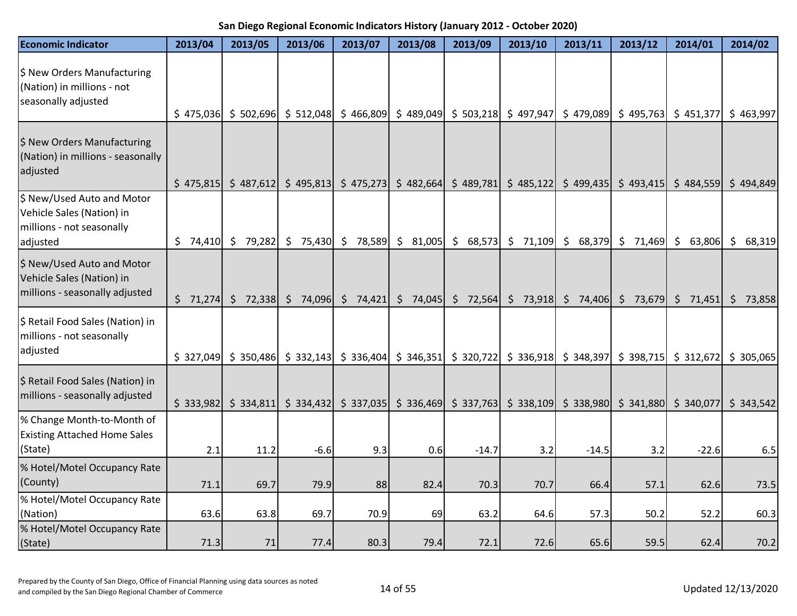| <b>Economic Indicator</b>                                                                        | 2013/04  | 2013/05  | 2013/06                                                      | 2013/07  | 2013/08  | 2013/09 | 2013/10                                                                                                                                                                                                                     | 2013/11 | 2013/12  | 2014/01           | 2014/02           |
|--------------------------------------------------------------------------------------------------|----------|----------|--------------------------------------------------------------|----------|----------|---------|-----------------------------------------------------------------------------------------------------------------------------------------------------------------------------------------------------------------------------|---------|----------|-------------------|-------------------|
| \$ New Orders Manufacturing<br>(Nation) in millions - not<br>seasonally adjusted                 |          |          | $\vert$ \$ 475,036 \, \$ 502,696 \, \$ 512,048 \, \$ 466,809 |          |          |         | $\frac{1}{2}$ 489,049 $\frac{1}{2}$ 503,218 $\frac{1}{2}$ 497,947 $\frac{1}{2}$ 479,089 $\frac{1}{2}$ 495,763 $\frac{1}{2}$ 451,377                                                                                         |         |          |                   | \$463,997         |
| \$ New Orders Manufacturing<br>(Nation) in millions - seasonally<br>adjusted                     |          |          |                                                              |          |          |         | $\frac{1}{2}$ 475,815 $\frac{1}{2}$ 487,612 $\frac{1}{2}$ 495,813 $\frac{1}{2}$ 475,273 $\frac{1}{2}$ 482,664 $\frac{1}{2}$ 489,781 $\frac{1}{2}$ 485,122 $\frac{1}{2}$ 499,435 $\frac{1}{2}$ 493,415                       |         |          | \$484,559         | \$494,849         |
| \$ New/Used Auto and Motor<br>Vehicle Sales (Nation) in<br>millions - not seasonally<br>adjusted | \$74,410 | \$79,282 | \$75,430                                                     | \$78,589 | \$31,005 |         | $\frac{1}{2}$ 68,573 $\frac{1}{2}$ 71,109 $\frac{1}{2}$ 68,379                                                                                                                                                              |         | \$71,469 | $\zeta$<br>63,806 | 68,319<br>$\zeta$ |
| \$ New/Used Auto and Motor<br>Vehicle Sales (Nation) in<br>millions - seasonally adjusted        | \$71,274 |          | $\frac{1}{2}$ 72,338 \$ 74,096 \$ 74,421 \$ 74,045           |          |          |         | $\frac{1}{2}$ 72,564 $\frac{1}{2}$ 73,918 $\frac{1}{2}$ 74,406 $\frac{1}{2}$ 73,679                                                                                                                                         |         |          | \$71,451          | \$73,858          |
| \$ Retail Food Sales (Nation) in<br>millions - not seasonally<br>adjusted                        |          |          |                                                              |          |          |         | $\frac{1}{5}$ 327,049 $\frac{1}{5}$ 350,486 $\frac{1}{5}$ 332,143 $\frac{1}{5}$ 336,404 $\frac{1}{5}$ 346,351 $\frac{1}{5}$ 320,722 $\frac{1}{5}$ 336,918 $\frac{1}{5}$ 348,397 $\frac{1}{5}$ 398,715 $\frac{1}{5}$ 312,672 |         |          |                   | \$305,065         |
| \$ Retail Food Sales (Nation) in<br>millions - seasonally adjusted                               |          |          |                                                              |          |          |         | \$ 333,982 \$ 334,811 \$ 334,432 \$ 337,035 \$ 336,469 \$ 337,763 \$ 338,109 \$ 338,980 \$ 341,880 \$ 340,077                                                                                                               |         |          |                   | \$343,542         |
| % Change Month-to-Month of<br><b>Existing Attached Home Sales</b><br>(State)                     | 2.1      | 11.2     | $-6.6$                                                       | 9.3      | 0.6      | $-14.7$ | 3.2                                                                                                                                                                                                                         | $-14.5$ | 3.2      | $-22.6$           | 6.5               |
| % Hotel/Motel Occupancy Rate<br>(County)                                                         | 71.1     | 69.7     | 79.9                                                         | 88       | 82.4     | 70.3    | 70.7                                                                                                                                                                                                                        | 66.4    | 57.1     | 62.6              | 73.5              |
| % Hotel/Motel Occupancy Rate<br>(Nation)                                                         | 63.6     | 63.8     | 69.7                                                         | 70.9     | 69       | 63.2    | 64.6                                                                                                                                                                                                                        | 57.3    | 50.2     | 52.2              | 60.3              |
| % Hotel/Motel Occupancy Rate<br>(State)                                                          | 71.3     | 71       | 77.4                                                         | 80.3     | 79.4     | 72.1    | 72.6                                                                                                                                                                                                                        | 65.6    | 59.5     | 62.4              | 70.2              |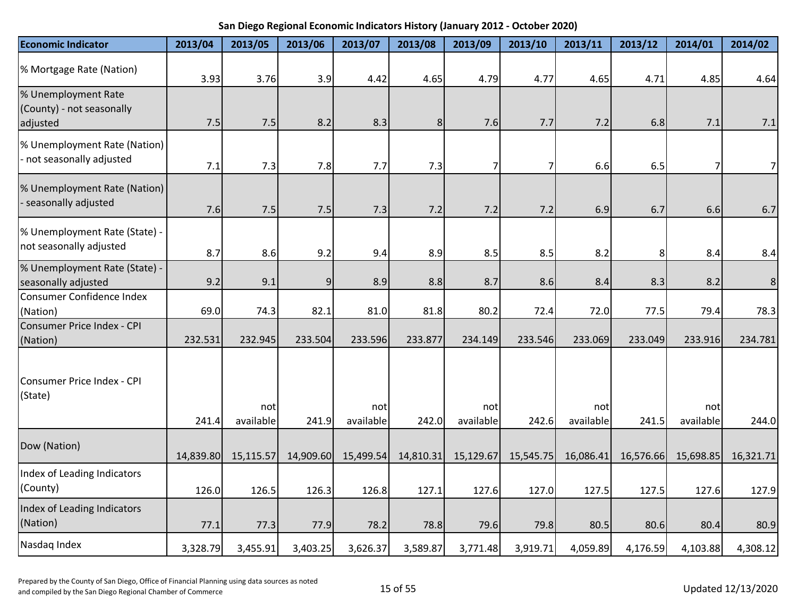| <b>Economic Indicator</b>                                    | 2013/04   | 2013/05          | 2013/06   | 2013/07          | 2013/08   | 2013/09          | 2013/10        | 2013/11          | 2013/12   | 2014/01          | 2014/02        |
|--------------------------------------------------------------|-----------|------------------|-----------|------------------|-----------|------------------|----------------|------------------|-----------|------------------|----------------|
| % Mortgage Rate (Nation)                                     | 3.93      | 3.76             | 3.9       | 4.42             | 4.65      | 4.79             | 4.77           | 4.65             | 4.71      | 4.85             | 4.64           |
| % Unemployment Rate<br>(County) - not seasonally<br>adjusted | 7.5       | 7.5              | 8.2       | 8.3              | 8         | 7.6              | 7.7            | 7.2              | 6.8       | 7.1              | 7.1            |
| % Unemployment Rate (Nation)<br>- not seasonally adjusted    | 7.1       | 7.3              | 7.8       | 7.7              | 7.3       | $\overline{7}$   | 7 <sup>1</sup> | 6.6              | 6.5       |                  | $\overline{7}$ |
| % Unemployment Rate (Nation)<br>- seasonally adjusted        | 7.6       | 7.5              | 7.5       | 7.3              | 7.2       | 7.2              | 7.2            | 6.9              | 6.7       | 6.6              | 6.7            |
| % Unemployment Rate (State) -<br>not seasonally adjusted     | 8.7       | 8.6              | 9.2       | 9.4              | 8.9       | 8.5              | 8.5            | 8.2              | 8         | 8.4              | 8.4            |
| % Unemployment Rate (State) -<br>seasonally adjusted         | 9.2       | 9.1              | 9         | 8.9              | 8.8       | 8.7              | 8.6            | 8.4              | 8.3       | 8.2              | 8              |
| Consumer Confidence Index<br>(Nation)                        | 69.0      | 74.3             | 82.1      | 81.0             | 81.8      | 80.2             | 72.4           | 72.0             | 77.5      | 79.4             | 78.3           |
| Consumer Price Index - CPI<br>(Nation)                       | 232.531   | 232.945          | 233.504   | 233.596          | 233.877   | 234.149          | 233.546        | 233.069          | 233.049   | 233.916          | 234.781        |
| Consumer Price Index - CPI<br>(State)                        | 241.4     | not<br>available | 241.9     | not<br>available | 242.0     | not<br>available | 242.6          | not<br>available | 241.5     | not<br>available | 244.0          |
| Dow (Nation)                                                 | 14,839.80 | 15,115.57        | 14,909.60 | 15,499.54        | 14,810.31 | 15,129.67        | 15,545.75      | 16,086.41        | 16,576.66 | 15,698.85        | 16,321.71      |
| Index of Leading Indicators<br>(County)                      | 126.0     | 126.5            | 126.3     | 126.8            | 127.1     | 127.6            | 127.0          | 127.5            | 127.5     | 127.6            | 127.9          |
| Index of Leading Indicators<br>(Nation)                      | 77.1      | 77.3             | 77.9      | 78.2             | 78.8      | 79.6             | 79.8           | 80.5             | 80.6      | 80.4             | 80.9           |
| Nasdag Index                                                 | 3,328.79  | 3,455.91         | 3,403.25  | 3,626.37         | 3,589.87  | 3,771.48         | 3,919.71       | 4,059.89         | 4,176.59  | 4,103.88         | 4,308.12       |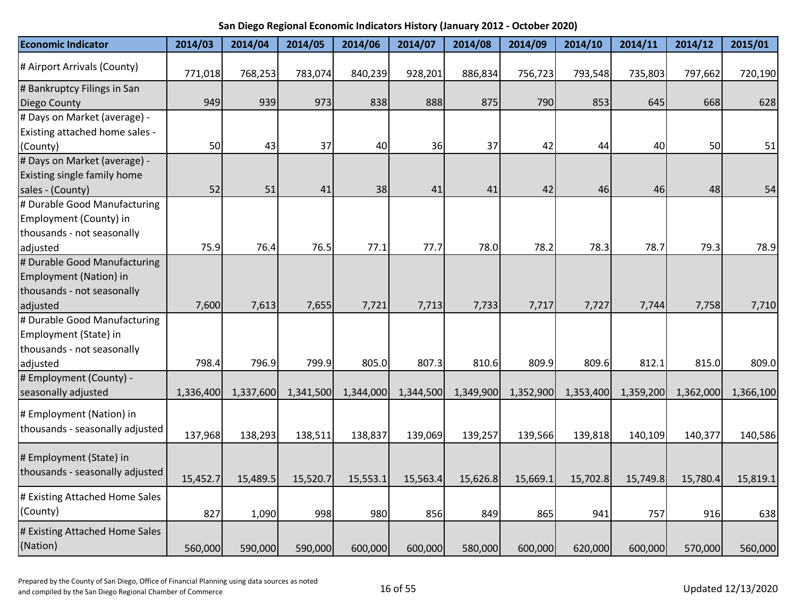| <b>Economic Indicator</b>                                                            | 2014/03   | 2014/04   | 2014/05   | 2014/06   | 2014/07   | 2014/08   | 2014/09   | 2014/10   | 2014/11   | 2014/12   | 2015/01   |
|--------------------------------------------------------------------------------------|-----------|-----------|-----------|-----------|-----------|-----------|-----------|-----------|-----------|-----------|-----------|
| # Airport Arrivals (County)                                                          | 771,018   | 768,253   | 783,074   | 840,239   | 928,201   | 886,834   | 756,723   | 793,548   | 735,803   | 797,662   | 720,190   |
| # Bankruptcy Filings in San<br>Diego County                                          | 949       | 939       | 973       | 838       | 888       | 875       | 790       | 853       | 645       | 668       | 628       |
| # Days on Market (average) -<br>Existing attached home sales -                       |           |           |           |           |           |           |           |           |           |           |           |
| (County)                                                                             | 50        | 43        | 37        | 40        | 36        | 37        | 42        | 44        | 40        | 50        | 51        |
| # Days on Market (average) -<br>Existing single family home                          |           |           |           |           |           |           |           |           |           |           |           |
| sales - (County)                                                                     | 52        | 51        | 41        | 38        | 41        | 41        | 42        | 46        | 46        | 48        | 54        |
| # Durable Good Manufacturing<br>Employment (County) in<br>thousands - not seasonally |           |           |           |           |           |           |           |           |           |           |           |
| adjusted                                                                             | 75.9      | 76.4      | 76.5      | 77.1      | 77.7      | 78.0      | 78.2      | 78.3      | 78.7      | 79.3      | 78.9      |
| # Durable Good Manufacturing<br>Employment (Nation) in<br>thousands - not seasonally |           |           |           |           |           |           |           |           |           |           |           |
| adjusted                                                                             | 7,600     | 7,613     | 7,655     | 7,721     | 7,713     | 7,733     | 7,717     | 7,727     | 7,744     | 7,758     | 7,710     |
| # Durable Good Manufacturing<br>Employment (State) in<br>thousands - not seasonally  |           |           |           |           |           |           |           |           |           |           |           |
| adjusted                                                                             | 798.4     | 796.9     | 799.9     | 805.0     | 807.3     | 810.6     | 809.9     | 809.6     | 812.1     | 815.0     | 809.0     |
| # Employment (County) -<br>seasonally adjusted                                       | 1,336,400 | 1,337,600 | 1,341,500 | 1,344,000 | 1,344,500 | 1,349,900 | 1,352,900 | 1,353,400 | 1,359,200 | 1,362,000 | 1,366,100 |
| # Employment (Nation) in<br>thousands - seasonally adjusted                          | 137,968   | 138,293   | 138,511   | 138,837   | 139,069   | 139,257   | 139,566   | 139,818   | 140,109   | 140,377   | 140,586   |
| # Employment (State) in<br>thousands - seasonally adjusted                           | 15,452.7  | 15,489.5  | 15,520.7  | 15,553.1  | 15,563.4  | 15,626.8  | 15,669.1  | 15,702.8  | 15,749.8  | 15,780.4  | 15,819.1  |
| # Existing Attached Home Sales<br>(County)                                           | 827       | 1,090     | 998       | 980       | 856       | 849       | 865       | 941       | 757       | 916       | 638       |
| # Existing Attached Home Sales<br>(Nation)                                           | 560,000   | 590,000   | 590,000   | 600,000   | 600,000   | 580,000   | 600,000   | 620,000   | 600,000   | 570,000   | 560,000   |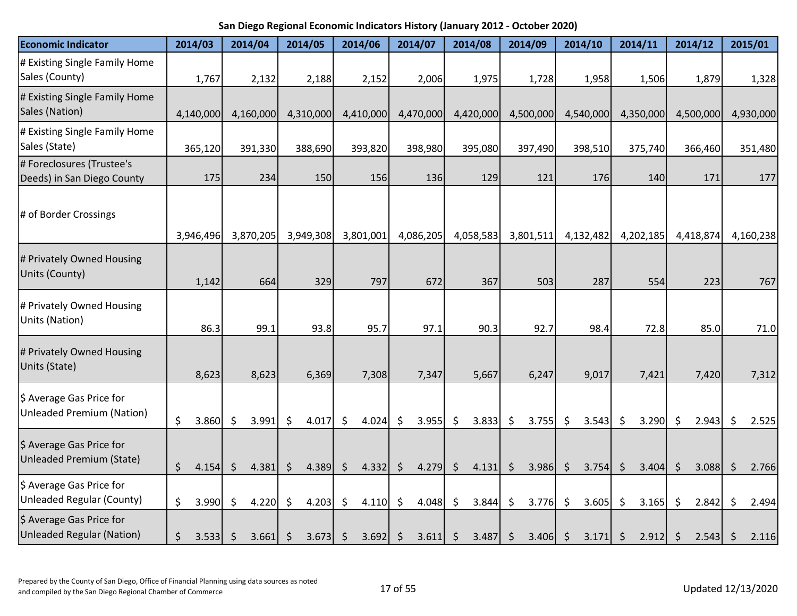| <b>Economic Indicator</b>                                    | 2014/03          | 2014/04          | 2014/05                   | 2014/06     | 2014/07                     | 2014/08                        | 2014/09                      | 2014/10              | 2014/11                     | 2014/12          | 2015/01     |
|--------------------------------------------------------------|------------------|------------------|---------------------------|-------------|-----------------------------|--------------------------------|------------------------------|----------------------|-----------------------------|------------------|-------------|
| # Existing Single Family Home<br>Sales (County)              | 1,767            | 2,132            | 2,188                     | 2,152       | 2,006                       | 1,975                          | 1,728                        | 1,958                | 1,506                       | 1,879            | 1,328       |
| # Existing Single Family Home<br>Sales (Nation)              | 4,140,000        | 4,160,000        | 4,310,000                 | 4,410,000   | 4,470,000                   | 4,420,000                      | 4,500,000                    | 4,540,000            | 4,350,000                   | 4,500,000        | 4,930,000   |
| # Existing Single Family Home<br>Sales (State)               | 365,120          | 391,330          | 388,690                   | 393,820     | 398,980                     | 395,080                        | 397,490                      | 398,510              | 375,740                     | 366,460          | 351,480     |
| # Foreclosures (Trustee's<br>Deeds) in San Diego County      | 175              | 234              | 150                       | 156         | 136                         | 129                            | 121                          | 176                  | 140                         | 171              | 177         |
| # of Border Crossings                                        | 3,946,496        | 3,870,205        | 3,949,308                 | 3,801,001   | 4,086,205                   | 4,058,583                      | 3,801,511                    | 4,132,482            | 4,202,185                   | 4,418,874        | 4,160,238   |
| # Privately Owned Housing<br>Units (County)                  | 1,142            | 664              | 329                       | 797         | 672                         | 367                            | 503                          | 287                  | 554                         | 223              | 767         |
| # Privately Owned Housing<br>Units (Nation)                  | 86.3             | 99.1             | 93.8                      | 95.7        | 97.1                        | 90.3                           | 92.7                         | 98.4                 | 72.8                        | 85.0             | 71.0        |
| # Privately Owned Housing<br>Units (State)                   | 8,623            | 8,623            | 6,369                     | 7,308       | 7,347                       | 5,667                          | 6,247                        | 9,017                | 7,421                       | 7,420            | 7,312       |
| \$ Average Gas Price for<br><b>Unleaded Premium (Nation)</b> | \$<br>3.860      | \$<br>3.991      | \$<br>4.017               | \$<br>4.024 | 3.955<br>-\$                | \$<br>3.833                    | $\ddot{\bm{\zeta}}$<br>3.755 | \$<br>3.543          | \$<br>3.290                 | \$<br>2.943      | \$<br>2.525 |
| \$ Average Gas Price for<br>Unleaded Premium (State)         | \$<br>4.154      | $\zeta$<br>4.381 | 4.389 $\frac{1}{2}$<br>Ŝ. | 4.332       | $\zeta$<br>4.279            | $\zeta$<br>4.131 $\frac{1}{2}$ | 3.986                        | $\zeta$<br>3.754     | $\ddot{\varsigma}$<br>3.404 | \$<br>$3.088$ \$ | 2.766       |
| \$ Average Gas Price for<br>Unleaded Regular (County)        | \$<br>3.990      | \$<br>4.220      | 4.203<br>\$               | 4.110<br>\$ | $\ddot{\varsigma}$<br>4.048 | \$<br>3.844                    | \$<br>3.776                  | \$<br>3.605          | \$<br>3.165                 | \$<br>2.842      | \$<br>2.494 |
| \$ Average Gas Price for<br><b>Unleaded Regular (Nation)</b> | \$<br>$3.533$ \$ | 3.661            | $3.673$ \$<br>S.          | 3.692       | $\ddot{\varsigma}$<br>3.611 | $\zeta$<br>3.487               | $\zeta$<br>3.406             | $\varsigma$<br>3.171 | $\varsigma$<br>2.912        | \$<br>2.543      | \$<br>2.116 |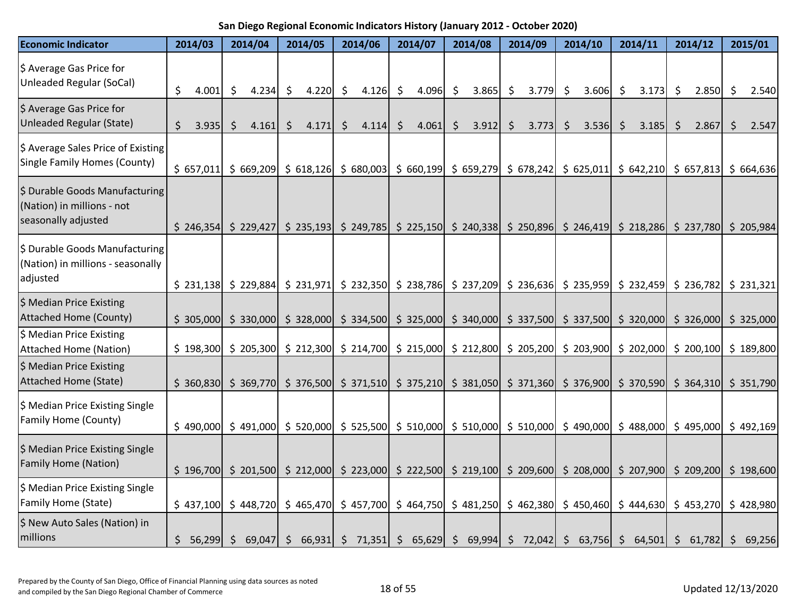| <b>Economic Indicator</b>                                                           |                    | 2014/03   | 2014/04                                                           |              | 2014/05 |         | 2014/06 |         | 2014/07 | 2014/08     |         | 2014/09 |         | 2014/10                                                                                                                                                                         |                    | 2014/11 | 2014/12                                                                                                                                                                                                                                        |         | 2015/01   |
|-------------------------------------------------------------------------------------|--------------------|-----------|-------------------------------------------------------------------|--------------|---------|---------|---------|---------|---------|-------------|---------|---------|---------|---------------------------------------------------------------------------------------------------------------------------------------------------------------------------------|--------------------|---------|------------------------------------------------------------------------------------------------------------------------------------------------------------------------------------------------------------------------------------------------|---------|-----------|
| \$ Average Gas Price for<br><b>Unleaded Regular (SoCal)</b>                         | \$                 | 4.001     | \$<br>4.234 \$                                                    |              | 4.220   | $\zeta$ | 4.126   | -\$     | 4.096   | \$<br>3.865 | \$      | 3.779   | $\zeta$ | 3.606                                                                                                                                                                           | $\ddot{\varsigma}$ | 3.173   | \$<br>2.850                                                                                                                                                                                                                                    | \$      | 2.540     |
| \$ Average Gas Price for<br><b>Unleaded Regular (State)</b>                         | $\mathsf{\dot{S}}$ | 3.935     | \$<br>4.161                                                       | <sup>S</sup> | 4.171   | $\zeta$ | 4.114   | $\zeta$ | 4.061   | \$<br>3.912 | $\zeta$ | 3.773   | \$      | 3.536                                                                                                                                                                           | $\ddot{\varsigma}$ | 3.185   | \$<br>2.867                                                                                                                                                                                                                                    | $\zeta$ | 2.547     |
| \$ Average Sales Price of Existing<br><b>Single Family Homes (County)</b>           |                    |           |                                                                   |              |         |         |         |         |         |             |         |         |         |                                                                                                                                                                                 |                    |         | \$ 657,011 \$ 669,209 \$ 618,126 \$ 680,003 \$ 660,199 \$ 659,279 \$ 678,242 \$ 625,011 \$ 642,210 \$ 657,813 \$ 664,636                                                                                                                       |         |           |
| \$ Durable Goods Manufacturing<br>(Nation) in millions - not<br>seasonally adjusted |                    | \$246,354 |                                                                   |              |         |         |         |         |         |             |         |         |         |                                                                                                                                                                                 |                    |         | $\vert$ \$ 229,427 \cdot \$ 235,193 \cdot \$ 249,785 \cdot \$ 225,150 \cdot \$ 240,338 \cdot \$ 250,896 \cdot \$ 246,419 \cdot \$ 237,780 \cdot \$ 237,780 \cdot \$ 237,780 \cdot \$ 237,780 \cdot \$ 237,780 \cdot \$ 237,780 \cdot \$ 237,78 |         | \$205,984 |
| \$ Durable Goods Manufacturing<br>(Nation) in millions - seasonally<br>adjusted     |                    |           | $\frac{1}{2}$ 231,138 $\frac{1}{2}$ 229,884 $\frac{1}{2}$ 231,971 |              |         |         |         |         |         |             |         |         |         |                                                                                                                                                                                 |                    |         | $\frac{1}{2}$ 232,350 $\frac{1}{2}$ 238,786 $\frac{1}{2}$ 237,209 $\frac{1}{2}$ 236,636 $\frac{1}{2}$ 235,959 $\frac{1}{2}$ 232,459 $\frac{1}{2}$ 236,782                                                                                      |         | \$231,321 |
| \$ Median Price Existing<br><b>Attached Home (County)</b>                           |                    |           | $$305,000 \mid $330,000$                                          |              |         |         |         |         |         |             |         |         |         | $\frac{1}{2}$ 328,000 $\frac{1}{2}$ 334,500 $\frac{1}{2}$ 325,000 $\frac{1}{2}$ 340,000 $\frac{1}{2}$ 337,500 $\frac{1}{2}$ 337,500 $\frac{1}{2}$ 320,000                       |                    |         | $$326,000 \ $325,000$                                                                                                                                                                                                                          |         |           |
| \$ Median Price Existing<br><b>Attached Home (Nation)</b>                           |                    | \$198,300 |                                                                   |              |         |         |         |         |         |             |         |         |         | $\frac{1}{2}$ 205,300 $\frac{1}{2}$ 212,300 $\frac{1}{2}$ 214,700 $\frac{1}{2}$ 215,000 $\frac{1}{2}$ 212,800 $\frac{1}{2}$ 205,200 $\frac{1}{2}$ 203,900 $\frac{1}{2}$ 202,000 |                    |         | $$200,100$ $$189,800$                                                                                                                                                                                                                          |         |           |
| \$ Median Price Existing<br><b>Attached Home (State)</b>                            |                    |           |                                                                   |              |         |         |         |         |         |             |         |         |         |                                                                                                                                                                                 |                    |         | \$ 360,830 \$ 369,770 \$ 376,500 \$ 371,510 \$ 375,210 \$ 381,050 \$ 371,360 \$ 376,900 \$ 370,590 \$ 364,310 \$ 351,790                                                                                                                       |         |           |
| \$ Median Price Existing Single<br>Family Home (County)                             |                    |           |                                                                   |              |         |         |         |         |         |             |         |         |         |                                                                                                                                                                                 |                    |         | \$ 490,000 \$ 491,000 \$ 520,000 \$ 525,500 \$ 510,000 \$ 510,000 \$ 510,000 \$ 490,000 \$ 488,000 \$ 495,000 \$ 492,169                                                                                                                       |         |           |
| \$ Median Price Existing Single<br><b>Family Home (Nation)</b>                      |                    |           |                                                                   |              |         |         |         |         |         |             |         |         |         |                                                                                                                                                                                 |                    |         | \$ 196,700 \$ 201,500 \$ 212,000 \$ 223,000 \$ 222,500 \$ 219,100 \$ 209,600 \$ 208,000 \$ 207,900 \$ 209,200 \$ 198,600                                                                                                                       |         |           |
| \$ Median Price Existing Single<br><b>Family Home (State)</b>                       |                    |           | $\frac{1}{2}$ 437,100 $\frac{1}{2}$ 448,720 $\frac{1}{2}$ 465,470 |              |         |         |         |         |         |             |         |         |         |                                                                                                                                                                                 |                    |         | \$ 457,700 \$ 464,750 \$ 481,250 \$ 462,380 \$ 450,460 \$ 444,630 \$ 453,270 \$ 428,980                                                                                                                                                        |         |           |
| \$ New Auto Sales (Nation) in<br>millions                                           | \$                 |           |                                                                   |              |         |         |         |         |         |             |         |         |         |                                                                                                                                                                                 |                    |         | 56,299 \$ 69,047 \$ 66,931 \$ 71,351 \$ 65,629 \$ 69,994 \$ 72,042 \$ 63,756 \$ 64,501 \$ 61,782                                                                                                                                               |         | \$69,256  |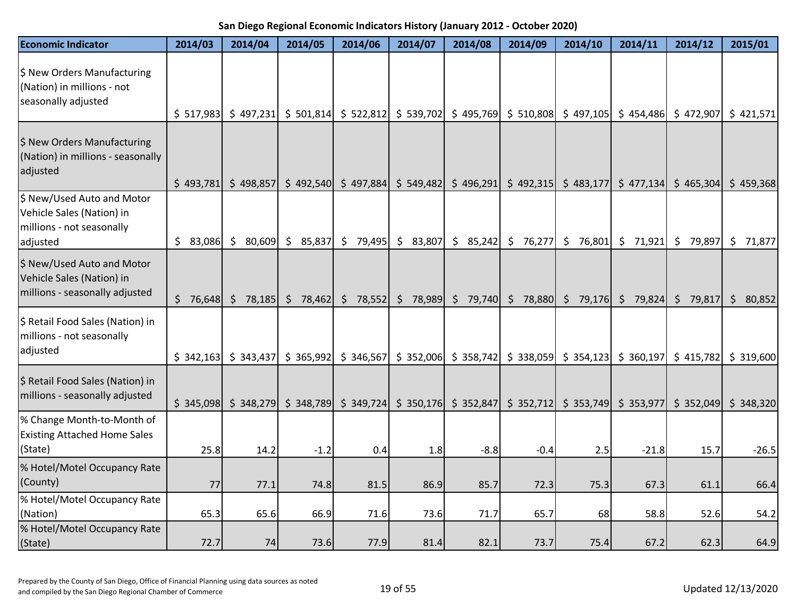| <b>Economic Indicator</b>                                                                        | 2014/03       | 2014/04                                                                                                                                                                                      | 2014/05           | 2014/06  | 2014/07  | 2014/08                                                                                                                                                   | 2014/09                                     | 2014/10  | 2014/11   | 2014/12   | 2015/01                |
|--------------------------------------------------------------------------------------------------|---------------|----------------------------------------------------------------------------------------------------------------------------------------------------------------------------------------------|-------------------|----------|----------|-----------------------------------------------------------------------------------------------------------------------------------------------------------|---------------------------------------------|----------|-----------|-----------|------------------------|
| \$ New Orders Manufacturing<br>(Nation) in millions - not<br>seasonally adjusted                 |               | $$ 517,983$ $$ 497,231$                                                                                                                                                                      | \$501,814         |          |          | $\frac{1}{2}$ 522,812 $\frac{1}{2}$ 539,702 $\frac{1}{2}$ 495,769 $\frac{1}{2}$ 510,808 $\frac{1}{2}$ 497,105 $\frac{1}{2}$ 454,486 $\frac{1}{2}$ 472,907 |                                             |          |           |           | \$421,571              |
| \$ New Orders Manufacturing<br>(Nation) in millions - seasonally<br>adjusted                     |               | $$493,781$ $$498,857$                                                                                                                                                                        | \$492,540         |          |          | $\frac{1}{2}$ 497,884 $\frac{1}{2}$ 549,482 $\frac{1}{2}$ 496,291 $\frac{1}{2}$ 492,315 $\frac{1}{2}$ 483,177                                             |                                             |          | \$477,134 | \$465,304 | \$459,368              |
| \$ New/Used Auto and Motor<br>Vehicle Sales (Nation) in<br>millions - not seasonally<br>adjusted | \$.<br>83,086 | $\zeta$<br>80,609                                                                                                                                                                            | $\zeta$<br>85,837 | \$79,495 | \$83,807 |                                                                                                                                                           | $\binom{1}{2}$ 85,242 $\binom{1}{2}$ 76,277 | \$76,801 | \$71,921  | \$79,897  | \$71,877               |
| \$ New/Used Auto and Motor<br>Vehicle Sales (Nation) in<br>millions - seasonally adjusted        |               | $\frac{1}{5}$ 76,648 $\frac{1}{5}$ 78,185 $\frac{1}{5}$ 78,462 $\frac{1}{5}$ 78,552 $\frac{1}{5}$ 78,989 $\frac{1}{5}$ 79,740 $\frac{1}{5}$ 78,880 $\frac{1}{5}$ 79,176 $\frac{1}{5}$ 79,824 |                   |          |          |                                                                                                                                                           |                                             |          |           | \$79,817  | $\mathsf{S}$<br>80,852 |
| \$ Retail Food Sales (Nation) in<br>millions - not seasonally<br>adjusted                        |               | \$ 342,163 \$ 343,437 \$ 365,992 \$ 346,567 \$ 352,006 \$ 358,742 \$ 338,059 \$ 354,123 \$ 360,197 \$ 415,782 \$ 319,600                                                                     |                   |          |          |                                                                                                                                                           |                                             |          |           |           |                        |
| \$ Retail Food Sales (Nation) in<br>millions - seasonally adjusted                               |               | $$345,098$ $$348,279$                                                                                                                                                                        |                   |          |          | $\frac{1}{5}$ 348,789 $\frac{1}{5}$ 349,724 $\frac{1}{5}$ 350,176 $\frac{1}{5}$ 352,847 $\frac{1}{5}$ 352,712 $\frac{1}{5}$ 353,749 $\frac{1}{5}$ 353,977 |                                             |          |           |           | $$352,049$ $$348,320$  |
| % Change Month-to-Month of<br><b>Existing Attached Home Sales</b><br>(State)                     | 25.8          | 14.2                                                                                                                                                                                         | $-1.2$            | 0.4      | 1.8      | $-8.8$                                                                                                                                                    | $-0.4$                                      | 2.5      | $-21.8$   | 15.7      | $-26.5$                |
| % Hotel/Motel Occupancy Rate<br>(County)                                                         | 77            | 77.1                                                                                                                                                                                         | 74.8              | 81.5     | 86.9     | 85.7                                                                                                                                                      | 72.3                                        | 75.3     | 67.3      | 61.1      | 66.4                   |
| % Hotel/Motel Occupancy Rate<br>(Nation)                                                         | 65.3          | 65.6                                                                                                                                                                                         | 66.9              | 71.6     | 73.6     | 71.7                                                                                                                                                      | 65.7                                        | 68       | 58.8      | 52.6      | 54.2                   |
| % Hotel/Motel Occupancy Rate<br>(State)                                                          | 72.7          | 74                                                                                                                                                                                           | 73.6              | 77.9     | 81.4     | 82.1                                                                                                                                                      | 73.7                                        | 75.4     | 67.2      | 62.3      | 64.9                   |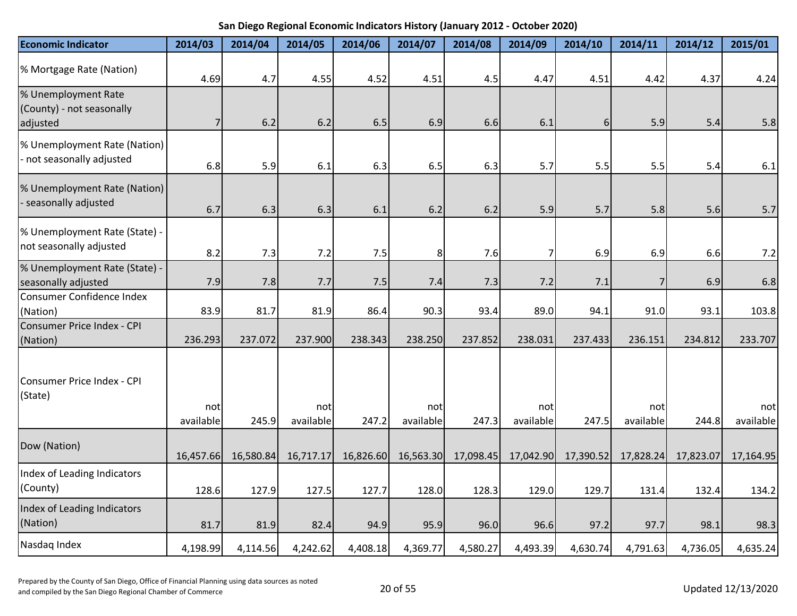| San Diego Regional Economic Indicators History (January 2012 - October 2020) |  |  |
|------------------------------------------------------------------------------|--|--|
|------------------------------------------------------------------------------|--|--|

| <b>Economic Indicator</b>                                    | 2014/03          | 2014/04   | 2014/05          | 2014/06   | 2014/07          | 2014/08   | 2014/09          | 2014/10   | 2014/11          | 2014/12   | 2015/01          |
|--------------------------------------------------------------|------------------|-----------|------------------|-----------|------------------|-----------|------------------|-----------|------------------|-----------|------------------|
| % Mortgage Rate (Nation)                                     | 4.69             | 4.7       | 4.55             | 4.52      | 4.51             | 4.5       | 4.47             | 4.51      | 4.42             | 4.37      | 4.24             |
| % Unemployment Rate<br>(County) - not seasonally<br>adjusted | $\overline{7}$   | 6.2       | 6.2              | 6.5       | 6.9              | 6.6       | 6.1              | $6 \mid$  | 5.9              | 5.4       | 5.8              |
| % Unemployment Rate (Nation)<br>- not seasonally adjusted    | 6.8              | 5.9       | 6.1              | 6.3       | 6.5              | 6.3       | 5.7              | 5.5       | 5.5              | 5.4       | 6.1              |
| % Unemployment Rate (Nation)<br>- seasonally adjusted        | 6.7              | 6.3       | 6.3              | 6.1       | 6.2              | 6.2       | 5.9              | 5.7       | 5.8              | 5.6       | 5.7              |
| % Unemployment Rate (State) -<br>not seasonally adjusted     | 8.2              | 7.3       | 7.2              | 7.5       | 8                | 7.6       | 7 <sup>1</sup>   | 6.9       | 6.9              | 6.6       | 7.2              |
| % Unemployment Rate (State) -<br>seasonally adjusted         | 7.9              | 7.8       | 7.7              | 7.5       | 7.4              | 7.3       | 7.2              | 7.1       | $\overline{7}$   | 6.9       | 6.8              |
| Consumer Confidence Index<br>(Nation)                        | 83.9             | 81.7      | 81.9             | 86.4      | 90.3             | 93.4      | 89.0             | 94.1      | 91.0             | 93.1      | 103.8            |
| Consumer Price Index - CPI<br>(Nation)                       | 236.293          | 237.072   | 237.900          | 238.343   | 238.250          | 237.852   | 238.031          | 237.433   | 236.151          | 234.812   | 233.707          |
| Consumer Price Index - CPI<br>(State)                        | not<br>available | 245.9     | not<br>available | 247.2     | not<br>available | 247.3     | not<br>available | 247.5     | not<br>available | 244.8     | not<br>available |
| Dow (Nation)                                                 | 16,457.66        | 16,580.84 | 16,717.17        | 16,826.60 | 16,563.30        | 17,098.45 | 17,042.90        | 17,390.52 | 17,828.24        | 17,823.07 | 17,164.95        |
| Index of Leading Indicators<br>(County)                      | 128.6            | 127.9     | 127.5            | 127.7     | 128.0            | 128.3     | 129.0            | 129.7     | 131.4            | 132.4     | 134.2            |
| Index of Leading Indicators<br>(Nation)                      | 81.7             | 81.9      | 82.4             | 94.9      | 95.9             | 96.0      | 96.6             | 97.2      | 97.7             | 98.1      | 98.3             |
| Nasdaq Index                                                 | 4,198.99         | 4,114.56  | 4,242.62         | 4,408.18  | 4,369.77         | 4,580.27  | 4,493.39         | 4,630.74  | 4,791.63         | 4,736.05  | 4,635.24         |

Prepared by the County of San Diego, Office of Financial Planning using data sources as noted and compiled by the San Diego, British, Since of Thiming and Sources as noted<br>and compiled by the San Diego Regional Chamber of Commerce 20 of 55 Updated 12/13/2020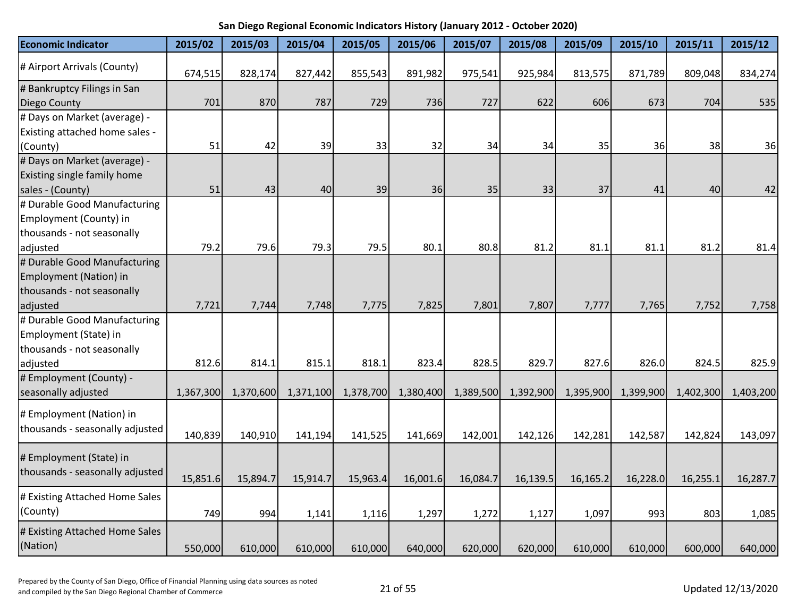| <b>Economic Indicator</b>                                                            | 2015/02   | 2015/03   | 2015/04   | 2015/05   | 2015/06   | 2015/07   | 2015/08   | 2015/09   | 2015/10   | 2015/11   | 2015/12   |
|--------------------------------------------------------------------------------------|-----------|-----------|-----------|-----------|-----------|-----------|-----------|-----------|-----------|-----------|-----------|
| # Airport Arrivals (County)                                                          | 674,515   | 828,174   | 827,442   | 855,543   | 891,982   | 975,541   | 925,984   | 813,575   | 871,789   | 809,048   | 834,274   |
| # Bankruptcy Filings in San<br><b>Diego County</b>                                   | 701       | 870       | 787       | 729       | 736       | 727       | 622       | 606       | 673       | 704       | 535       |
| # Days on Market (average) -<br>Existing attached home sales -                       |           |           |           |           |           |           |           |           |           |           |           |
| (County)                                                                             | 51        | 42        | 39        | 33        | 32        | 34        | 34        | 35        | 36        | 38        | 36        |
| # Days on Market (average) -<br>Existing single family home<br>sales - (County)      | 51        | 43        | 40        | 39        | 36        | 35        | 33        | 37        | 41        | 40        | 42        |
| # Durable Good Manufacturing<br>Employment (County) in<br>thousands - not seasonally |           |           |           |           |           |           |           |           |           |           |           |
| adjusted                                                                             | 79.2      | 79.6      | 79.3      | 79.5      | 80.1      | 80.8      | 81.2      | 81.1      | 81.1      | 81.2      | 81.4      |
| # Durable Good Manufacturing<br>Employment (Nation) in<br>thousands - not seasonally |           |           |           |           |           |           |           |           |           |           |           |
| adjusted                                                                             | 7,721     | 7,744     | 7,748     | 7,775     | 7,825     | 7,801     | 7,807     | 7,777     | 7,765     | 7,752     | 7,758     |
| # Durable Good Manufacturing<br>Employment (State) in<br>thousands - not seasonally  |           |           |           |           |           |           |           |           |           |           |           |
| adjusted                                                                             | 812.6     | 814.1     | 815.1     | 818.1     | 823.4     | 828.5     | 829.7     | 827.6     | 826.0     | 824.5     | 825.9     |
| # Employment (County) -<br>seasonally adjusted                                       | 1,367,300 | 1,370,600 | 1,371,100 | 1,378,700 | 1,380,400 | 1,389,500 | 1,392,900 | 1,395,900 | 1,399,900 | 1,402,300 | 1,403,200 |
| # Employment (Nation) in<br>thousands - seasonally adjusted                          | 140,839   | 140,910   | 141,194   | 141,525   | 141,669   | 142,001   | 142,126   | 142,281   | 142,587   | 142,824   | 143,097   |
| # Employment (State) in<br>thousands - seasonally adjusted                           | 15,851.6  | 15,894.7  | 15,914.7  | 15,963.4  | 16,001.6  | 16,084.7  | 16,139.5  | 16,165.2  | 16,228.0  | 16,255.1  | 16,287.7  |
| # Existing Attached Home Sales<br>(County)                                           | 749       | 994       | 1,141     | 1,116     | 1,297     | 1,272     | 1,127     | 1,097     | 993       | 803       | 1,085     |
| # Existing Attached Home Sales<br>(Nation)                                           | 550,000   | 610,000   | 610,000   | 610,000   | 640,000   | 620,000   | 620,000   | 610,000   | 610,000   | 600,000   | 640,000   |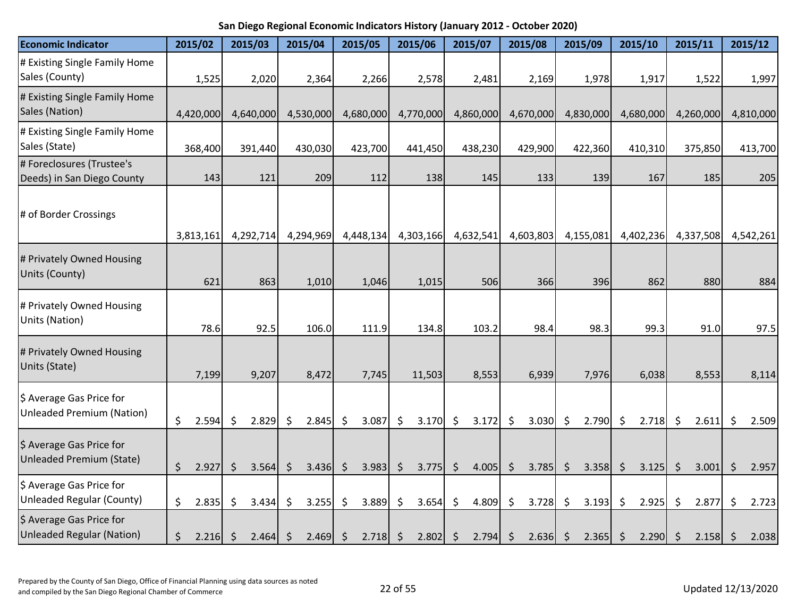| <b>Economic Indicator</b>                                    | 2015/02          |      | 2015/03          | 2015/04   |            |         | 2015/05          | 2015/06          |                | 2015/07    |         | 2015/08    |                     | 2015/09    |         | 2015/10   |         | 2015/11      | 2015/12     |
|--------------------------------------------------------------|------------------|------|------------------|-----------|------------|---------|------------------|------------------|----------------|------------|---------|------------|---------------------|------------|---------|-----------|---------|--------------|-------------|
| # Existing Single Family Home<br>Sales (County)              | 1,525            |      | 2,020            |           | 2,364      |         | 2,266            | 2,578            |                | 2,481      |         | 2,169      |                     | 1,978      |         | 1,917     |         | 1,522        | 1,997       |
| # Existing Single Family Home<br>Sales (Nation)              | 4,420,000        |      | 4,640,000        | 4,530,000 |            |         | 4,680,000        | 4,770,000        |                | 4,860,000  |         | 4,670,000  |                     | 4,830,000  |         | 4,680,000 |         | 4,260,000    | 4,810,000   |
| # Existing Single Family Home<br>Sales (State)               | 368,400          |      | 391,440          | 430,030   |            |         | 423,700          | 441,450          |                | 438,230    |         | 429,900    |                     | 422,360    |         | 410,310   |         | 375,850      | 413,700     |
| # Foreclosures (Trustee's<br>Deeds) in San Diego County      |                  | 143  | 121              |           | 209        |         | 112              | 138              |                | 145        |         | 133        |                     | 139        |         | 167       |         | 185          | 205         |
| # of Border Crossings                                        | 3,813,161        |      | 4,292,714        | 4,294,969 |            |         | 4,448,134        | 4,303,166        |                | 4,632,541  |         | 4,603,803  |                     | 4,155,081  |         | 4,402,236 |         | 4,337,508    | 4,542,261   |
| # Privately Owned Housing<br>Units (County)                  |                  | 621  | 863              |           | 1,010      |         | 1,046            | 1,015            |                | 506        |         | 366        |                     | 396        |         | 862       |         | 880          | 884         |
| # Privately Owned Housing<br>Units (Nation)                  |                  | 78.6 | 92.5             |           | 106.0      |         | 111.9            | 134.8            |                | 103.2      |         | 98.4       |                     | 98.3       |         | 99.3      |         | 91.0         | 97.5        |
| # Privately Owned Housing<br>Units (State)                   | 7,199            |      | 9,207            |           | 8,472      |         | 7,745            | 11,503           |                | 8,553      |         | 6,939      |                     | 7,976      |         | 6,038     |         | 8,553        | 8,114       |
| \$ Average Gas Price for<br>Unleaded Premium (Nation)        | \$<br>2.594      |      | \$<br>2.829      | \$        | 2.845      | $\zeta$ | 3.087            | \$<br>3.170      | $\zeta$        | 3.172      | $\zeta$ | 3.030      | \$                  | 2.790      | $\zeta$ | 2.718     | $\zeta$ | 2.611        | \$<br>2.509 |
| \$ Average Gas Price for<br>Unleaded Premium (State)         | $\zeta$<br>2.927 |      | 3.564<br>$\zeta$ | \$        | $3.436$ \$ |         | $3.983 \mid \xi$ | 3.775            | $\ddot{\zeta}$ | 4.005 \$   |         | 3.785      | $\ddot{\mathsf{S}}$ | $3.358$ \$ |         | 3.125     | $\zeta$ | $3.001 \div$ | 2.957       |
| \$ Average Gas Price for<br>Unleaded Regular (County)        | \$<br>2.835      |      | \$<br>3.434      | \$        | 3.255      | \$      | 3.889            | \$<br>3.654      | \$             | 4.809      | \$      | 3.728      | \$                  | 3.193      | \$      | 2.925     | \$      | 2.877        | \$<br>2.723 |
| \$ Average Gas Price for<br><b>Unleaded Regular (Nation)</b> | \$<br>$2.216$ \$ |      | 2.464            | \$        | $2.469$ \$ |         | $2.718$ \$       | $2.802 \mid \xi$ |                | $2.794$ \$ |         | $2.636$ \$ |                     | $2.365$ \$ |         | 2.290     | $\zeta$ | 2.158        | \$<br>2.038 |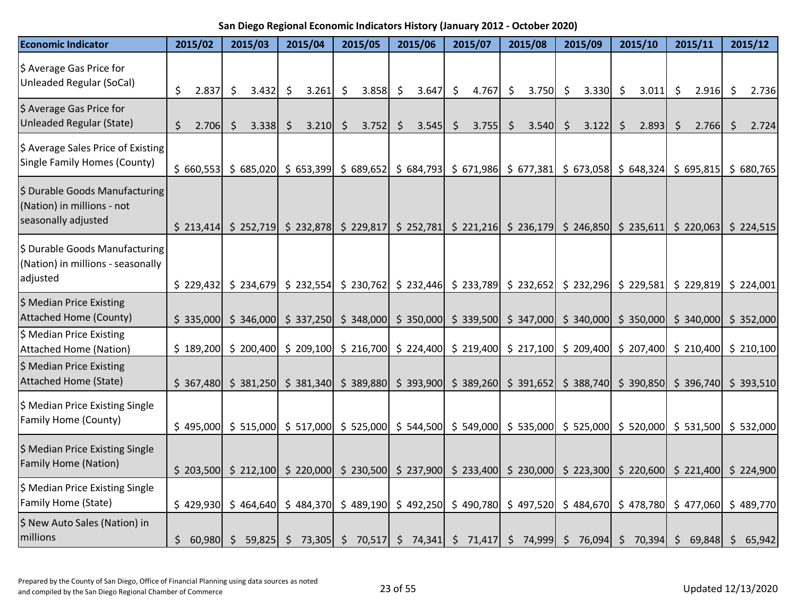| <b>Economic Indicator</b>                                                           |    | 2015/02   |    | 2015/03 |      | 2015/04 |         | 2015/05                                                                                                                                                                                               |         | 2015/06 | 2015/07                                                                                                       | 2015/08     |         | 2015/09 |                    | 2015/10   |    | 2015/11                                                                                                                                                                                    | 2015/12     |
|-------------------------------------------------------------------------------------|----|-----------|----|---------|------|---------|---------|-------------------------------------------------------------------------------------------------------------------------------------------------------------------------------------------------------|---------|---------|---------------------------------------------------------------------------------------------------------------|-------------|---------|---------|--------------------|-----------|----|--------------------------------------------------------------------------------------------------------------------------------------------------------------------------------------------|-------------|
| \$ Average Gas Price for<br><b>Unleaded Regular (SoCal)</b>                         | \$ | 2.837     | \$ | 3.432   | - \$ | 3.261   | $\zeta$ | 3.858                                                                                                                                                                                                 | \$      | 3.647   | \$<br>4.767                                                                                                   | \$<br>3.750 | $\zeta$ | 3.330   | $\ddot{\varsigma}$ | 3.011     | \$ | 2.916                                                                                                                                                                                      | \$<br>2.736 |
| \$ Average Gas Price for<br><b>Unleaded Regular (State)</b>                         | Ś  | 2.706     | Ŝ. | 3.338   |      | 3.210   | $\zeta$ | 3.752                                                                                                                                                                                                 | $\zeta$ | 3.545   | \$<br>3.755                                                                                                   | \$<br>3.540 | $\zeta$ | 3.122   | $\zeta$            | 2.893     | Ŝ. | 2.766                                                                                                                                                                                      | \$<br>2.724 |
| \$ Average Sales Price of Existing<br><b>Single Family Homes (County)</b>           |    |           |    |         |      |         |         | $\frac{1}{5}$ 660,553 $\frac{1}{5}$ 685,020 $\frac{1}{5}$ 653,399 $\frac{1}{5}$ 689,652                                                                                                               |         |         | $$684,793$ $$671,986$ $$677,381$                                                                              |             |         |         |                    |           |    | $\frac{1}{2}$ 673,058 $\frac{1}{2}$ 648,324 $\frac{1}{2}$ 695,815                                                                                                                          | \$680,765   |
| \$ Durable Goods Manufacturing<br>(Nation) in millions - not<br>seasonally adjusted |    | \$213,414 |    |         |      |         |         | $\vert$ \$ 252,719 \, \$ 232,878 \, \$ 229,817                                                                                                                                                        |         |         | $\vert$ \$ 252,781 \cdot \$ 221,216 \cdot \$ 236,179 \cdot \$ 246,850 \cdot \$ 235,611 \cdot \$               |             |         |         |                    |           |    | \$220,063                                                                                                                                                                                  | \$224,515   |
| \$ Durable Goods Manufacturing<br>(Nation) in millions - seasonally<br>adjusted     |    | \$229,432 |    |         |      |         |         |                                                                                                                                                                                                       |         |         |                                                                                                               |             |         |         |                    |           |    | $\binom{234,679}{5}$ $\binom{232,554}{5}$ $\binom{230,762}{5}$ $\binom{232,446}{5}$ $\binom{233,789}{5}$ $\binom{232,652}{5}$ $\binom{232,296}{5}$ $\binom{29,581}{5}$ $\binom{29,819}{5}$ | \$224,001   |
| \$ Median Price Existing<br><b>Attached Home (County)</b>                           |    |           |    |         |      |         |         | $\frac{1}{2}$ 335,000 $\frac{1}{2}$ 346,000 $\frac{1}{2}$ 337,250 $\frac{1}{2}$ 348,000                                                                                                               |         |         | $\frac{1}{2}$ 350,000 $\frac{1}{2}$ 339,500 $\frac{1}{2}$ 347,000 $\frac{1}{2}$ 340,000 $\frac{1}{2}$ 350,000 |             |         |         |                    |           |    | $$340,000 \$352,000$                                                                                                                                                                       |             |
| \$ Median Price Existing<br><b>Attached Home (Nation)</b>                           |    | \$189,200 |    |         |      |         |         | $\frac{1}{2}$ 200,400 $\frac{1}{2}$ 209,100 $\frac{1}{2}$ 216,700 $\frac{1}{2}$ 224,400 $\frac{1}{2}$ 219,400 $\frac{1}{2}$ 217,100 $\frac{1}{2}$ 209,400                                             |         |         |                                                                                                               |             |         |         |                    | \$207,400 |    | \$210,400                                                                                                                                                                                  | \$210,100   |
| \$ Median Price Existing<br><b>Attached Home (State)</b>                            |    |           |    |         |      |         |         |                                                                                                                                                                                                       |         |         |                                                                                                               |             |         |         |                    |           |    | \$ 367,480 \$ 381,250 \$ 381,340 \$ 389,880 \$ 393,900 \$ 389,260 \$ 391,652 \$ 388,740 \$ 390,850 \$ 396,740 \$ 393,510                                                                   |             |
| \$ Median Price Existing Single<br>Family Home (County)                             |    |           |    |         |      |         |         |                                                                                                                                                                                                       |         |         |                                                                                                               |             |         |         |                    |           |    | \$ 495,000 \$ 515,000 \$ 517,000 \$ 525,000 \$ 544,500 \$ 549,000 \$ 535,000 \$ 525,000 \$ 520,000 \$ 531,500 \$ 532,000                                                                   |             |
| \$ Median Price Existing Single<br><b>Family Home (Nation)</b>                      |    |           |    |         |      |         |         |                                                                                                                                                                                                       |         |         |                                                                                                               |             |         |         |                    |           |    | \$ 203,500 \$ 212,100 \$ 220,000 \$ 230,500 \$ 237,900 \$ 233,400 \$ 230,000 \$ 223,300 \$ 220,600 \$ 221,400 \$ 224,900                                                                   |             |
| \$ Median Price Existing Single<br>Family Home (State)                              |    |           |    |         |      |         |         | $\frac{1}{2}$ 429,930 $\frac{1}{2}$ 464,640 $\frac{1}{2}$ 484,370 $\frac{1}{2}$ 489,190 $\frac{1}{2}$ 492,250 $\frac{1}{2}$ 490,780 $\frac{1}{2}$ 497,520 $\frac{1}{2}$ 484,670 $\frac{1}{2}$ 478,780 |         |         |                                                                                                               |             |         |         |                    |           |    | \$477,060                                                                                                                                                                                  | \$489,770   |
| \$ New Auto Sales (Nation) in<br>millions                                           | \$ |           |    |         |      |         |         |                                                                                                                                                                                                       |         |         |                                                                                                               |             |         |         |                    |           |    | $60,980$ \$ 59,825 \$ 73,305 \$ 70,517 \$ 74,341 \$ 71,417 \$ 74,999 \$ 76,094 \$ 70,394 \$ 69,848                                                                                         | \$65,942    |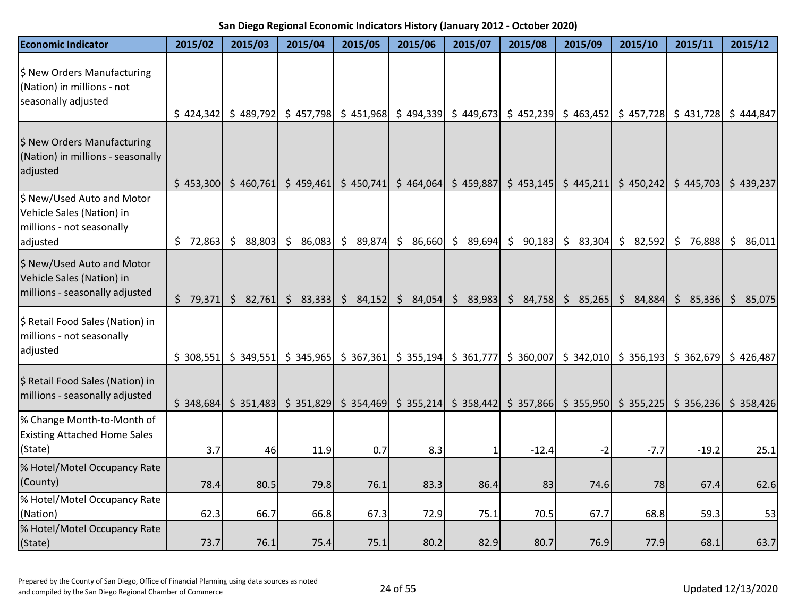| <b>Economic Indicator</b>                                                                        | 2015/02       | 2015/03  | 2015/04                                                                           | 2015/05  | 2015/06  | 2015/07 | 2015/08                                                                                                                                                                                                                     | 2015/09 | 2015/10  | 2015/11   | 2015/12           |
|--------------------------------------------------------------------------------------------------|---------------|----------|-----------------------------------------------------------------------------------|----------|----------|---------|-----------------------------------------------------------------------------------------------------------------------------------------------------------------------------------------------------------------------------|---------|----------|-----------|-------------------|
| \$ New Orders Manufacturing<br>(Nation) in millions - not<br>seasonally adjusted                 | \$424,342     |          | $\frac{1}{2}$ 489,792 $\frac{1}{2}$ 457,798 $\frac{1}{2}$ 451,968                 |          |          |         | $\frac{1}{2}$ 494,339 $\frac{1}{2}$ 449,673 $\frac{1}{2}$ 452,239 $\frac{1}{2}$ 463,452 $\frac{1}{2}$ 457,728 $\frac{1}{2}$ 431,728                                                                                         |         |          |           | \$444,847         |
| \$ New Orders Manufacturing<br>(Nation) in millions - seasonally<br>adjusted                     |               |          | $\frac{1}{2}$ 453,300 $\frac{1}{2}$ 460,761 $\frac{1}{2}$ 459,461                 |          |          |         | $\frac{1}{2}$ 450,741 $\frac{1}{2}$ 464,064 $\frac{1}{2}$ 459,887 $\frac{1}{2}$ 453,145 $\frac{1}{2}$ 445,211 $\frac{1}{2}$ 450,242                                                                                         |         |          | \$445,703 | \$439,237         |
| \$ New/Used Auto and Motor<br>Vehicle Sales (Nation) in<br>millions - not seasonally<br>adjusted | 72,863<br>\$. | \$88,803 | $\ddot{\mathsf{S}}$<br>86,083                                                     | \$89,874 | \$86,660 |         | $\frac{1}{2}$ 89,694 $\frac{1}{2}$ 90,183 $\frac{1}{2}$ 83,304                                                                                                                                                              |         | \$82,592 | \$76,888  | $\zeta$<br>86,011 |
| \$ New/Used Auto and Motor<br>Vehicle Sales (Nation) in<br>millions - seasonally adjusted        | \$79,371      |          | $\begin{bmatrix} 5 & 82,761 & 5 & 83,333 & 5 & 84,152 & 5 & 84,054 \end{bmatrix}$ |          |          |         | $\begin{bmatrix} 5 & 83.983 \end{bmatrix}$ $\begin{bmatrix} 5 & 84.758 \end{bmatrix}$ $\begin{bmatrix} 5 & 85.265 \end{bmatrix}$ $\begin{bmatrix} 5 & 84.884 \end{bmatrix}$                                                 |         |          | \$85,336  | \$85,075          |
| \$ Retail Food Sales (Nation) in<br>millions - not seasonally<br>adjusted                        | \$308,551     |          |                                                                                   |          |          |         | $\frac{1}{2}$ 349,551 $\frac{1}{2}$ 345,965 $\frac{1}{2}$ 367,361 $\frac{1}{2}$ 355,194 $\frac{1}{2}$ 361,777 $\frac{1}{2}$ 360,007 $\frac{1}{2}$ 342,010 $\frac{1}{2}$ 356,193 $\frac{1}{2}$ 362,679 $\frac{1}{2}$ 426,487 |         |          |           |                   |
| \$ Retail Food Sales (Nation) in<br>millions - seasonally adjusted                               | \$348,684     |          |                                                                                   |          |          |         | \$ 351,483 \$ 351,829 \$ 354,469 \$ 355,214 \$ 358,442 \$ 357,866 \$ 355,950 \$ 355,225 \$ 356,236 \$ 358,426                                                                                                               |         |          |           |                   |
| % Change Month-to-Month of<br><b>Existing Attached Home Sales</b><br>(State)                     | 3.7           | 46       | 11.9                                                                              | 0.7      | 8.3      |         | $-12.4$                                                                                                                                                                                                                     | $-2$    | $-7.7$   | $-19.2$   | 25.1              |
| % Hotel/Motel Occupancy Rate<br>(County)                                                         | 78.4          | 80.5     | 79.8                                                                              | 76.1     | 83.3     | 86.4    | 83                                                                                                                                                                                                                          | 74.6    | 78       | 67.4      | 62.6              |
| % Hotel/Motel Occupancy Rate<br>(Nation)                                                         | 62.3          | 66.7     | 66.8                                                                              | 67.3     | 72.9     | 75.1    | 70.5                                                                                                                                                                                                                        | 67.7    | 68.8     | 59.3      | 53                |
| % Hotel/Motel Occupancy Rate<br>(State)                                                          | 73.7          | 76.1     | 75.4                                                                              | 75.1     | 80.2     | 82.9    | 80.7                                                                                                                                                                                                                        | 76.9    | 77.9     | 68.1      | 63.7              |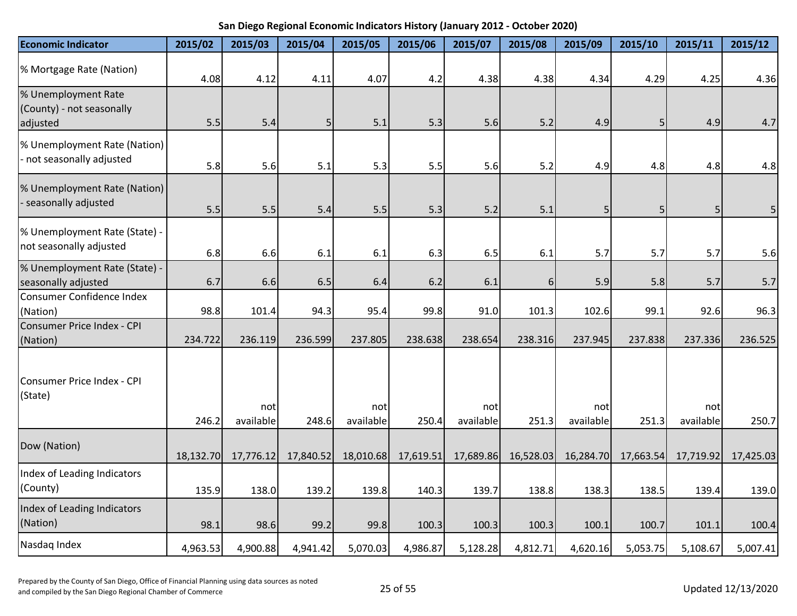| San Diego Regional Economic Indicators History (January 2012 - October 2020) |  |  |  |
|------------------------------------------------------------------------------|--|--|--|
|------------------------------------------------------------------------------|--|--|--|

| <b>Economic Indicator</b>                                    | 2015/02   | 2015/03          | 2015/04        | 2015/05          | 2015/06   | 2015/07          | 2015/08   | 2015/09          | 2015/10   | 2015/11          | 2015/12   |
|--------------------------------------------------------------|-----------|------------------|----------------|------------------|-----------|------------------|-----------|------------------|-----------|------------------|-----------|
| % Mortgage Rate (Nation)                                     | 4.08      | 4.12             | 4.11           | 4.07             | 4.2       | 4.38             | 4.38      | 4.34             | 4.29      | 4.25             | 4.36      |
| % Unemployment Rate<br>(County) - not seasonally<br>adjusted | 5.5       | 5.4              | 5 <sup>1</sup> | 5.1              | 5.3       | 5.6              | 5.2       | 4.9              | 5         | 4.9              | 4.7       |
| % Unemployment Rate (Nation)<br>- not seasonally adjusted    | 5.8       | 5.6              | 5.1            | 5.3              | 5.5       | 5.6              | 5.2       | 4.9              | 4.8       | 4.8              | 4.8       |
| % Unemployment Rate (Nation)<br>- seasonally adjusted        | 5.5       | 5.5              | 5.4            | 5.5              | 5.3       | 5.2              | 5.1       | 5                | 5         | 5                | 5         |
| % Unemployment Rate (State) -<br>not seasonally adjusted     | 6.8       | 6.6              | 6.1            | 6.1              | 6.3       | 6.5              | 6.1       | 5.7              | 5.7       | 5.7              | 5.6       |
| % Unemployment Rate (State) -<br>seasonally adjusted         | 6.7       | 6.6              | 6.5            | 6.4              | 6.2       | 6.1              | $6 \mid$  | 5.9              | 5.8       | 5.7              | 5.7       |
| Consumer Confidence Index<br>(Nation)                        | 98.8      | 101.4            | 94.3           | 95.4             | 99.8      | 91.0             | 101.3     | 102.6            | 99.1      | 92.6             | 96.3      |
| Consumer Price Index - CPI<br>(Nation)                       | 234.722   | 236.119          | 236.599        | 237.805          | 238.638   | 238.654          | 238.316   | 237.945          | 237.838   | 237.336          | 236.525   |
| Consumer Price Index - CPI<br>(State)                        | 246.2     | not<br>available | 248.6          | not<br>available | 250.4     | not<br>available | 251.3     | not<br>available | 251.3     | not<br>available | 250.7     |
| Dow (Nation)                                                 | 18,132.70 | 17,776.12        | 17,840.52      | 18,010.68        | 17,619.51 | 17,689.86        | 16,528.03 | 16,284.70        | 17,663.54 | 17,719.92        | 17,425.03 |
| Index of Leading Indicators<br>(County)                      | 135.9     | 138.0            | 139.2          | 139.8            | 140.3     | 139.7            | 138.8     | 138.3            | 138.5     | 139.4            | 139.0     |
| Index of Leading Indicators<br>(Nation)                      | 98.1      | 98.6             | 99.2           | 99.8             | 100.3     | 100.3            | 100.3     | 100.1            | 100.7     | 101.1            | 100.4     |
| Nasdaq Index                                                 | 4,963.53  | 4,900.88         | 4,941.42       | 5,070.03         | 4,986.87  | 5,128.28         | 4,812.71  | 4,620.16         | 5,053.75  | 5,108.67         | 5,007.41  |

Prepared by the County of San Diego, Office of Financial Planning using data sources as noted and compiled by the San Diego, British, Since of Thiminghaming asing data sources as noted<br>and compiled by the San Diego Regional Chamber of Commerce 25 of 55 Updated 12/13/2020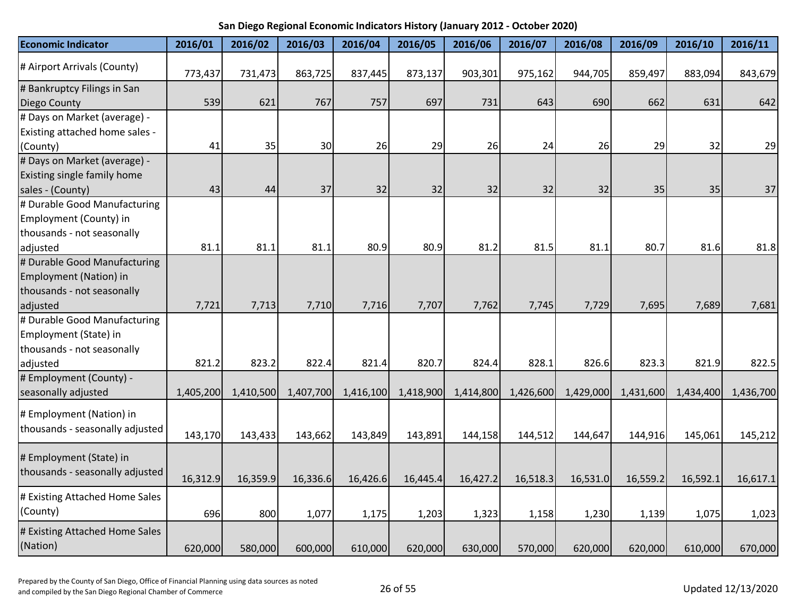| <b>Economic Indicator</b>                                                                        | 2016/01   | 2016/02   | 2016/03   | 2016/04   | 2016/05   | 2016/06   | 2016/07   | 2016/08   | 2016/09   | 2016/10   | 2016/11   |
|--------------------------------------------------------------------------------------------------|-----------|-----------|-----------|-----------|-----------|-----------|-----------|-----------|-----------|-----------|-----------|
| # Airport Arrivals (County)                                                                      | 773,437   | 731,473   | 863,725   | 837,445   | 873,137   | 903,301   | 975,162   | 944,705   | 859,497   | 883,094   | 843,679   |
| # Bankruptcy Filings in San<br>Diego County                                                      | 539       | 621       | 767       | 757       | 697       | 731       | 643       | 690       | 662       | 631       | 642       |
| # Days on Market (average) -<br>Existing attached home sales -<br>(County)                       | 41        | 35        | 30        | 26        | 29        | 26        | 24        | 26        | 29        | 32        | 29        |
| # Days on Market (average) -<br>Existing single family home<br>sales - (County)                  | 43        | 44        | 37        | 32        | 32        | 32        | 32        | 32        | 35        | 35        | 37        |
| # Durable Good Manufacturing<br>Employment (County) in<br>thousands - not seasonally<br>adjusted | 81.1      | 81.1      | 81.1      | 80.9      | 80.9      | 81.2      | 81.5      | 81.1      | 80.7      | 81.6      | 81.8      |
| # Durable Good Manufacturing<br>Employment (Nation) in<br>thousands - not seasonally<br>adjusted | 7,721     | 7,713     | 7,710     | 7,716     | 7,707     | 7,762     | 7,745     | 7,729     | 7,695     | 7,689     | 7,681     |
| # Durable Good Manufacturing<br>Employment (State) in<br>thousands - not seasonally<br>adjusted  | 821.2     | 823.2     | 822.4     | 821.4     | 820.7     | 824.4     | 828.1     | 826.6     | 823.3     | 821.9     | 822.5     |
| # Employment (County) -<br>seasonally adjusted                                                   | 1,405,200 | 1,410,500 | 1,407,700 | 1,416,100 | 1,418,900 | 1,414,800 | 1,426,600 | 1,429,000 | 1,431,600 | 1,434,400 | 1,436,700 |
| # Employment (Nation) in<br>thousands - seasonally adjusted                                      | 143,170   | 143,433   | 143,662   | 143,849   | 143,891   | 144,158   | 144,512   | 144,647   | 144,916   | 145,061   | 145,212   |
| # Employment (State) in<br>thousands - seasonally adjusted                                       | 16,312.9  | 16,359.9  | 16,336.6  | 16,426.6  | 16,445.4  | 16,427.2  | 16,518.3  | 16,531.0  | 16,559.2  | 16,592.1  | 16,617.1  |
| # Existing Attached Home Sales<br>(County)                                                       | 696       | 800       | 1,077     | 1,175     | 1,203     | 1,323     | 1,158     | 1,230     | 1,139     | 1,075     | 1,023     |
| # Existing Attached Home Sales<br>(Nation)                                                       | 620,000   | 580,000   | 600,000   | 610,000   | 620,000   | 630,000   | 570,000   | 620,000   | 620,000   | 610,000   | 670,000   |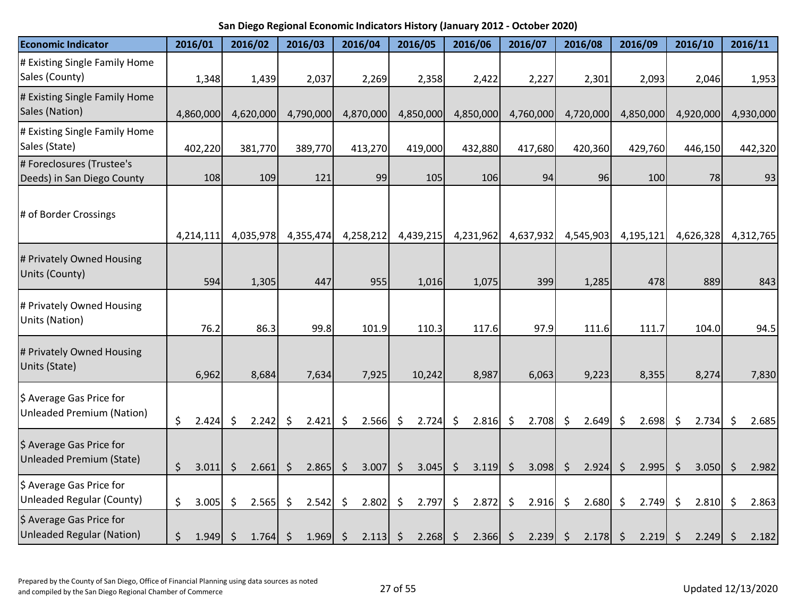| <b>Economic Indicator</b>                                    | 2016/01   |            | 2016/02                  | 2016/03          |         | 2016/04          | 2016/05     |         | 2016/06    | 2016/07     |         | 2016/08         |         | 2016/09   | 2016/10                | 2016/11     |
|--------------------------------------------------------------|-----------|------------|--------------------------|------------------|---------|------------------|-------------|---------|------------|-------------|---------|-----------------|---------|-----------|------------------------|-------------|
| # Existing Single Family Home<br>Sales (County)              |           | 1,348      | 1,439                    | 2,037            |         | 2,269            | 2,358       |         | 2,422      | 2,227       |         | 2,301           |         | 2,093     | 2,046                  | 1,953       |
| # Existing Single Family Home<br>Sales (Nation)              | 4,860,000 |            | 4,620,000                | 4,790,000        |         | 4,870,000        | 4,850,000   |         | 4,850,000  | 4,760,000   |         | 4,720,000       |         | 4,850,000 | 4,920,000              | 4,930,000   |
| # Existing Single Family Home<br>Sales (State)               |           | 402,220    | 381,770                  | 389,770          |         | 413,270          | 419,000     |         | 432,880    | 417,680     |         | 420,360         |         | 429,760   | 446,150                | 442,320     |
| # Foreclosures (Trustee's<br>Deeds) in San Diego County      |           | 108        | 109                      | 121              |         | 99               | 105         |         | 106        | 94          |         | 96              |         | 100       | 78                     | 93          |
| # of Border Crossings                                        | 4,214,111 |            | 4,035,978                | 4,355,474        |         | 4,258,212        | 4,439,215   |         | 4,231,962  | 4,637,932   |         | 4,545,903       |         | 4,195,121 | 4,626,328              | 4,312,765   |
| # Privately Owned Housing<br>Units (County)                  |           | 594        | 1,305                    | 447              |         | 955              | 1,016       |         | 1,075      | 399         |         | 1,285           |         | 478       | 889                    | 843         |
| # Privately Owned Housing<br>Units (Nation)                  |           | 76.2       | 86.3                     | 99.8             |         | 101.9            | 110.3       |         | 117.6      | 97.9        |         | 111.6           |         | 111.7     | 104.0                  | 94.5        |
| # Privately Owned Housing<br>Units (State)                   |           | 6,962      | 8,684                    | 7,634            |         | 7,925            | 10,242      |         | 8,987      | 6,063       |         | 9,223           |         | 8,355     | 8,274                  | 7,830       |
| \$ Average Gas Price for<br>Unleaded Premium (Nation)        | \$        | 2.424      | \$<br>2.242              | \$<br>2.421      | $\zeta$ | 2.566            | \$<br>2.724 | \$      | $2.816$ \$ | 2.708       | \$      | 2.649           | $\zeta$ | 2.698     | \$<br>2.734            | \$<br>2.685 |
| \$ Average Gas Price for<br>Unleaded Premium (State)         | \$        | 3.011      | $2.661 \;$ \$<br>$\zeta$ | $2.865$ \$       |         | $3.007$ \$       | 3.045       | $\zeta$ | $3.119$ \$ | 3.098       | $\zeta$ | $2.924 \mid$ \$ |         | 2.995     | \$<br>$3.050 \mid \xi$ | 2.982       |
| \$ Average Gas Price for<br>Unleaded Regular (County)        | \$        | 3.005      | \$<br>2.565              | \$<br>2.542      | \$      | 2.802            | \$<br>2.797 | \$      | 2.872      | \$<br>2.916 | \$      | 2.680           | \$      | 2.749     | \$<br>2.810            | \$<br>2.863 |
| \$ Average Gas Price for<br><b>Unleaded Regular (Nation)</b> | \$        | $1.949$ \$ | 1.764                    | \$<br>$1.969$ \$ |         | $2.113 \mid \xi$ | $2.268$ \$  |         | $2.366$ \$ | $2.239$ \$  |         | 2.178           | $\zeta$ | 2.219     | \$<br>2.249            | \$<br>2.182 |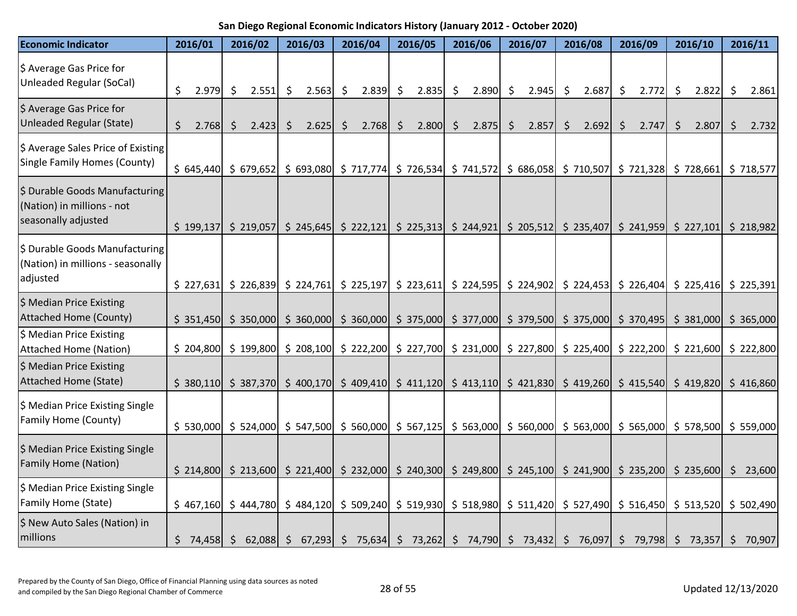| <b>Economic Indicator</b>                                                           | 2016/01     |                     | 2016/02                          |     | 2016/03 |         | 2016/04   |         | 2016/05 |         | 2016/06                                                                                                       |         | 2016/07 |         | 2016/08 |                    | 2016/09 | 2016/10                                                                                                                                                                                                                     | 2016/11     |
|-------------------------------------------------------------------------------------|-------------|---------------------|----------------------------------|-----|---------|---------|-----------|---------|---------|---------|---------------------------------------------------------------------------------------------------------------|---------|---------|---------|---------|--------------------|---------|-----------------------------------------------------------------------------------------------------------------------------------------------------------------------------------------------------------------------------|-------------|
| \$ Average Gas Price for<br><b>Unleaded Regular (SoCal)</b>                         | \$<br>2.979 | $\ddot{\mathsf{S}}$ | 2.551                            | -\$ | 2.563   | $\zeta$ | 2.839     | \$      | 2.835   | \$      | 2.890                                                                                                         | \$      | 2.945   | $\zeta$ | 2.687   | $\ddot{\varsigma}$ | 2.772   | \$<br>2.822                                                                                                                                                                                                                 | \$<br>2.861 |
| \$ Average Gas Price for<br><b>Unleaded Regular (State)</b>                         | \$<br>2.768 | $\zeta$             | 2.423                            | -\$ | 2.625   | $\zeta$ | 2.768     | $\zeta$ | 2.800   | $\zeta$ | 2.875                                                                                                         | $\zeta$ | 2.857   | \$      | 2.692   | $\zeta$            | 2.747   | \$<br>2.807                                                                                                                                                                                                                 | \$<br>2.732 |
| \$ Average Sales Price of Existing<br><b>Single Family Homes (County)</b>           |             |                     |                                  |     |         |         |           |         |         |         |                                                                                                               |         |         |         |         |                    |         | \$ 645,440 \$ 679,652 \$ 693,080 \$ 717,774 \$ 726,534 \$ 741,572 \$ 686,058 \$ 710,507 \$ 721,328 \$ 728,661 \$ 718,577                                                                                                    |             |
| \$ Durable Goods Manufacturing<br>(Nation) in millions - not<br>seasonally adjusted | \$199,137   |                     |                                  |     |         |         |           |         |         |         | $\vert$ \$ 219,057 \cdot \$ 245,645 \cdot \$ 222,121 \cdot \$ 225,313 \cdot \$ 244,921 \cdot \$               |         |         |         |         |                    |         | $\frac{1}{2}$ 205,512 $\frac{1}{2}$ 235,407 $\frac{1}{2}$ 241,959 $\frac{1}{2}$ 227,101                                                                                                                                     | \$218,982   |
| \$ Durable Goods Manufacturing<br>(Nation) in millions - seasonally<br>adjusted     | \$227,631   |                     |                                  |     |         |         |           |         |         |         |                                                                                                               |         |         |         |         |                    |         | $\frac{1}{2}$ 226,839 $\frac{1}{2}$ 224,761 $\frac{1}{2}$ 225,197 $\frac{1}{2}$ 223,611 $\frac{1}{2}$ 224,595 $\frac{1}{2}$ 224,902 $\frac{1}{2}$ 224,453 $\frac{1}{2}$ 226,404 $\frac{1}{2}$ 225,416 $\frac{1}{2}$ 225,391 |             |
| \$ Median Price Existing<br><b>Attached Home (County)</b>                           |             |                     | $$351,450$ $$350,000$ $$360,000$ |     |         |         | \$360,000 |         |         |         | $\frac{1}{2}$ 375,000 $\frac{1}{2}$ 377,000 $\frac{1}{2}$ 379,500 $\frac{1}{2}$ 375,000 $\frac{1}{2}$ 370,495 |         |         |         |         |                    |         | $$381,000$ $$365,000$                                                                                                                                                                                                       |             |
| \$ Median Price Existing<br><b>Attached Home (Nation)</b>                           | \$204,800   |                     |                                  |     |         |         |           |         |         |         |                                                                                                               |         |         |         |         |                    |         | $\frac{1}{2}$ 199,800 $\frac{1}{2}$ 208,100 $\frac{1}{2}$ 222,200 $\frac{1}{2}$ 227,700 $\frac{1}{2}$ 231,000 $\frac{1}{2}$ 227,800 $\frac{1}{2}$ 225,400 $\frac{1}{2}$ 222,200 $\frac{1}{2}$ 221,600                       | \$222,800   |
| \$ Median Price Existing<br><b>Attached Home (State)</b>                            |             |                     |                                  |     |         |         |           |         |         |         |                                                                                                               |         |         |         |         |                    |         | \$ 380,110 \$ 387,370 \$ 400,170 \$ 409,410 \$ 411,120 \$ 413,110 \$ 421,830 \$ 419,260 \$ 415,540 \$ 419,820 \$ 416,860                                                                                                    |             |
| \$ Median Price Existing Single<br>Family Home (County)                             |             |                     |                                  |     |         |         |           |         |         |         |                                                                                                               |         |         |         |         |                    |         | \$ 50,000 \$ 524,000 \$ 547,500 \$ 560,000 \$ 567,125 \$ 563,000 \$ 560,000 \$ 563,000 \$ 565,000 \$ 578,500 \$ 559,000                                                                                                     |             |
| \$ Median Price Existing Single<br><b>Family Home (Nation)</b>                      |             |                     |                                  |     |         |         |           |         |         |         |                                                                                                               |         |         |         |         |                    |         | \$ 214,800 \$ 213,600 \$ 221,400 \$ 232,000 \$ 240,300 \$ 249,800 \$ 245,100 \$ 241,900 \$ 235,200 \$ 235,600 \$ 23,600                                                                                                     |             |
| \$ Median Price Existing Single<br>Family Home (State)                              |             |                     |                                  |     |         |         |           |         |         |         |                                                                                                               |         |         |         |         |                    |         | \$ 467,160 \$ 444,780 \$ 484,120 \$ 509,240 \$ 519,930 \$ 518,980 \$ 511,420 \$ 527,490 \$ 516,450 \$ 513,520 \$ 502,490                                                                                                    |             |
| \$ New Auto Sales (Nation) in<br>millions                                           |             |                     |                                  |     |         |         |           |         |         |         |                                                                                                               |         |         |         |         |                    |         | \$ 74,458 \$ 62,088 \$ 67,293 \$ 75,634 \$ 73,262 \$ 74,790 \$ 73,432 \$ 76,097 \$ 79,798 \$ 73,357                                                                                                                         | \$70,907    |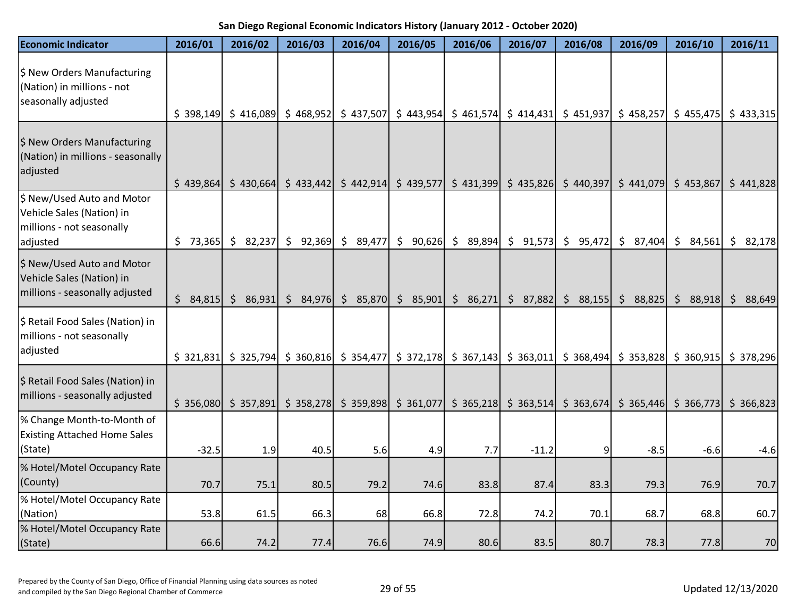| <b>Economic Indicator</b>                                                                        | 2016/01  | 2016/02                                              | 2016/03   | 2016/04                                   | 2016/05  | 2016/06                                                                                                                                                                                                                     | 2016/07                                                        | 2016/08                                   | 2016/09   | 2016/10   | 2016/11                 |
|--------------------------------------------------------------------------------------------------|----------|------------------------------------------------------|-----------|-------------------------------------------|----------|-----------------------------------------------------------------------------------------------------------------------------------------------------------------------------------------------------------------------------|----------------------------------------------------------------|-------------------------------------------|-----------|-----------|-------------------------|
| \$ New Orders Manufacturing<br>(Nation) in millions - not<br>seasonally adjusted                 |          | $$398,149$$ $$416,089$                               | \$468,952 |                                           |          | $\frac{1}{2}$ 437,507 $\frac{1}{2}$ 443,954 $\frac{1}{2}$ 461,574 $\frac{1}{2}$ 414,431 $\frac{1}{2}$ 451,937 $\frac{1}{2}$ 458,257                                                                                         |                                                                |                                           |           |           | $$455,475$ $$433,315$   |
| \$ New Orders Manufacturing<br>(Nation) in millions - seasonally<br>adjusted                     |          | $$439,864$ $$430,664$                                | \$433,442 |                                           |          | $\frac{1}{2}$ 442,914 $\frac{1}{2}$ 439,577 $\frac{1}{2}$ 431,399 $\frac{1}{2}$ 435,826 $\frac{1}{2}$ 440,397                                                                                                               |                                                                |                                           | \$441,079 | \$453,867 | \$441,828               |
| \$ New/Used Auto and Motor<br>Vehicle Sales (Nation) in<br>millions - not seasonally<br>adjusted | \$73,365 | \$82,237                                             | \$92,369  | \$89,477                                  |          | $\begin{bmatrix} 5 & 90,626 \end{bmatrix}$ $\begin{bmatrix} 5 & 89,894 \end{bmatrix}$                                                                                                                                       |                                                                | $\frac{1}{2}$ 91,573 $\frac{1}{2}$ 95,472 | \$87,404  | \$34,561  | $\frac{1}{2}$<br>82,178 |
| \$ New/Used Auto and Motor<br>Vehicle Sales (Nation) in<br>millions - seasonally adjusted        |          | $\begin{bmatrix} 5 & 84,815 \end{bmatrix}$ \$ 86,931 |           | $\frac{1}{2}$ 84,976 $\frac{1}{2}$ 85,870 | \$85,901 |                                                                                                                                                                                                                             | $\frac{1}{2}$ 86,271 $\frac{1}{2}$ 87,882 $\frac{1}{2}$ 88,155 |                                           | \$88,825  | \$88,918  | Ŝ.<br>88,649            |
| \$ Retail Food Sales (Nation) in<br>millions - not seasonally<br>adjusted                        |          |                                                      |           |                                           |          | $\frac{1}{2}$ 321,831 $\frac{1}{5}$ 325,794 $\frac{1}{5}$ 360,816 $\frac{1}{5}$ 354,477 $\frac{1}{5}$ 372,178 $\frac{1}{5}$ 367,143 $\frac{1}{5}$ 363,011 $\frac{1}{5}$ 368,494 $\frac{1}{5}$ 353,828 $\frac{1}{5}$ 360,915 |                                                                |                                           |           |           | \$378,296               |
| \$ Retail Food Sales (Nation) in<br>millions - seasonally adjusted                               |          | $$356,080$ $$357,891$                                |           |                                           |          | $\frac{1}{5}$ 358,278 $\frac{1}{5}$ 359,898 $\frac{1}{5}$ 361,077 $\frac{1}{5}$ 365,218 $\frac{1}{5}$ 363,514 $\frac{1}{5}$ 363,674 $\frac{1}{5}$ 365,446 $\frac{1}{5}$ 366,773 $\frac{1}{5}$ 366,823                       |                                                                |                                           |           |           |                         |
| % Change Month-to-Month of<br><b>Existing Attached Home Sales</b><br>(State)                     | $-32.5$  | 1.9                                                  | 40.5      | 5.6                                       | 4.9      | 7.7                                                                                                                                                                                                                         | $-11.2$                                                        | 9                                         | $-8.5$    | $-6.6$    | $-4.6$                  |
| % Hotel/Motel Occupancy Rate<br>(County)                                                         | 70.7     | 75.1                                                 | 80.5      | 79.2                                      | 74.6     | 83.8                                                                                                                                                                                                                        | 87.4                                                           | 83.3                                      | 79.3      | 76.9      | 70.7                    |
| % Hotel/Motel Occupancy Rate<br>(Nation)                                                         | 53.8     | 61.5                                                 | 66.3      | 68                                        | 66.8     | 72.8                                                                                                                                                                                                                        | 74.2                                                           | 70.1                                      | 68.7      | 68.8      | 60.7                    |
| % Hotel/Motel Occupancy Rate<br>(State)                                                          | 66.6     | 74.2                                                 | 77.4      | 76.6                                      | 74.9     | 80.6                                                                                                                                                                                                                        | 83.5                                                           | 80.7                                      | 78.3      | 77.8      | 70                      |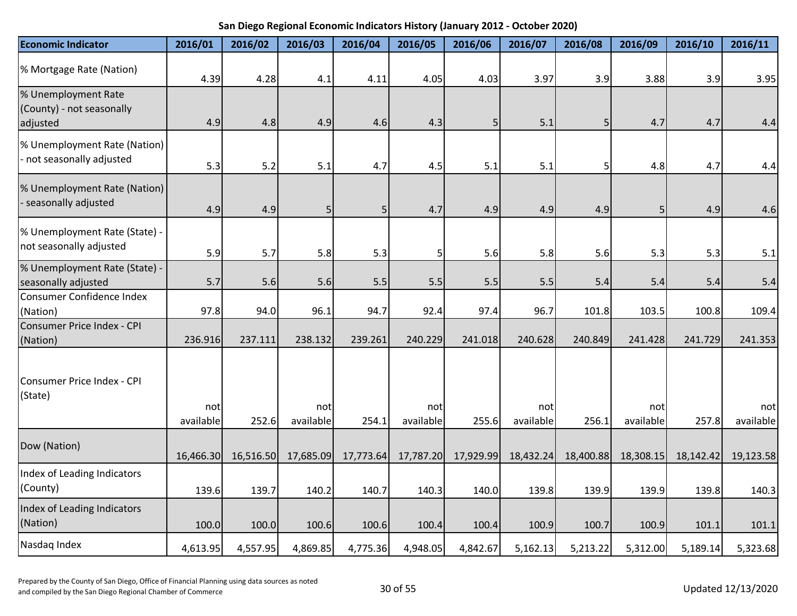| <b>Economic Indicator</b>                                    | 2016/01           | 2016/02   | 2016/03          | 2016/04        | 2016/05           | 2016/06   | 2016/07          | 2016/08   | 2016/09          | 2016/10   | 2016/11          |
|--------------------------------------------------------------|-------------------|-----------|------------------|----------------|-------------------|-----------|------------------|-----------|------------------|-----------|------------------|
| % Mortgage Rate (Nation)                                     | 4.39              | 4.28      | 4.1              | 4.11           | 4.05              | 4.03      | 3.97             | 3.9       | 3.88             | 3.9       | 3.95             |
| % Unemployment Rate<br>(County) - not seasonally<br>adjusted | 4.9               | 4.8       | 4.9              | 4.6            | 4.3               | 5         | 5.1              | 5         | 4.7              | 4.7       | 4.4              |
| % Unemployment Rate (Nation)<br>- not seasonally adjusted    | 5.3               | 5.2       | 5.1              | 4.7            | 4.5               | 5.1       | 5.1              | 5         | 4.8              | 4.7       | 4.4              |
| % Unemployment Rate (Nation)<br>- seasonally adjusted        | 4.9               | 4.9       | 5 <sup>1</sup>   | 5 <sup>1</sup> | 4.7               | 4.9       | 4.9              | 4.9       | 5 <sup>1</sup>   | 4.9       | 4.6              |
| % Unemployment Rate (State) -<br>not seasonally adjusted     | 5.9               | 5.7       | 5.8              | 5.3            | 5                 | 5.6       | 5.8              | 5.6       | 5.3              | 5.3       | 5.1              |
| % Unemployment Rate (State) -<br>seasonally adjusted         | 5.7               | 5.6       | 5.6              | 5.5            | 5.5               | 5.5       | 5.5              | 5.4       | 5.4              | 5.4       | 5.4              |
| <b>Consumer Confidence Index</b><br>(Nation)                 | 97.8              | 94.0      | 96.1             | 94.7           | 92.4              | 97.4      | 96.7             | 101.8     | 103.5            | 100.8     | 109.4            |
| Consumer Price Index - CPI<br>(Nation)                       | 236.916           | 237.111   | 238.132          | 239.261        | 240.229           | 241.018   | 240.628          | 240.849   | 241.428          | 241.729   | 241.353          |
| Consumer Price Index - CPI<br>(State)                        | notl<br>available | 252.6     | not<br>available | 254.1          | notl<br>available | 255.6     | not<br>available | 256.1     | not<br>available | 257.8     | not<br>available |
| Dow (Nation)                                                 | 16,466.30         | 16,516.50 | 17,685.09        | 17,773.64      | 17,787.20         | 17,929.99 | 18,432.24        | 18,400.88 | 18,308.15        | 18,142.42 | 19,123.58        |
| Index of Leading Indicators<br>(County)                      | 139.6             | 139.7     | 140.2            | 140.7          | 140.3             | 140.0     | 139.8            | 139.9     | 139.9            | 139.8     | 140.3            |
| Index of Leading Indicators<br>(Nation)                      | 100.0             | 100.0     | 100.6            | 100.6          | 100.4             | 100.4     | 100.9            | 100.7     | 100.9            | 101.1     | 101.1            |
| Nasdaq Index                                                 | 4,613.95          | 4,557.95  | 4,869.85         | 4,775.36       | 4,948.05          | 4,842.67  | 5,162.13         | 5,213.22  | 5,312.00         | 5,189.14  | 5,323.68         |

Prepared by the County of San Diego, Office of Financial Planning using data sources as noted and compiled by the San Diego, Since of Thinking and San Exerces as noted<br>and compiled by the San Diego Regional Chamber of Commerce 30 of 55 Updated 12/13/2020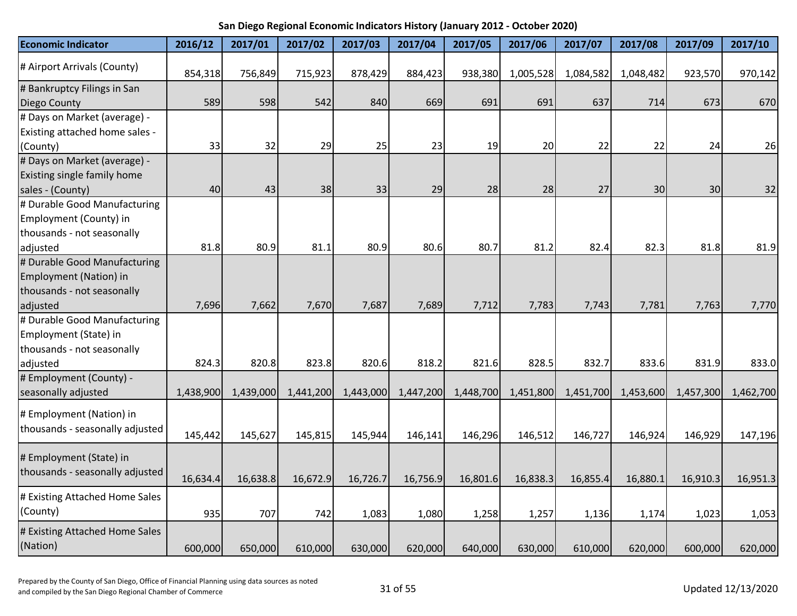| <b>Economic Indicator</b>                                                            | 2016/12   | 2017/01   | 2017/02   | 2017/03   | 2017/04   | 2017/05   | 2017/06   | 2017/07   | 2017/08   | 2017/09   | 2017/10   |
|--------------------------------------------------------------------------------------|-----------|-----------|-----------|-----------|-----------|-----------|-----------|-----------|-----------|-----------|-----------|
| # Airport Arrivals (County)                                                          | 854,318   | 756,849   | 715,923   | 878,429   | 884,423   | 938,380   | 1,005,528 | 1,084,582 | 1,048,482 | 923,570   | 970,142   |
| # Bankruptcy Filings in San<br><b>Diego County</b>                                   | 589       | 598       | 542       | 840       | 669       | 691       | 691       | 637       | 714       | 673       | 670       |
| # Days on Market (average) -<br>Existing attached home sales -                       |           |           |           |           |           |           |           |           |           |           |           |
| (County)                                                                             | 33        | 32        | 29        | 25        | 23        | 19        | 20        | 22        | 22        | 24        | 26        |
| # Days on Market (average) -<br>Existing single family home<br>sales - (County)      | 40        | 43        | 38        | 33        | 29        | 28        | 28        | 27        | 30        | 30        | 32        |
| # Durable Good Manufacturing<br>Employment (County) in<br>thousands - not seasonally |           |           |           |           |           |           |           |           |           |           |           |
| adjusted                                                                             | 81.8      | 80.9      | 81.1      | 80.9      | 80.6      | 80.7      | 81.2      | 82.4      | 82.3      | 81.8      | 81.9      |
| # Durable Good Manufacturing<br>Employment (Nation) in<br>thousands - not seasonally |           |           |           |           |           |           |           |           |           |           |           |
| adjusted                                                                             | 7,696     | 7,662     | 7,670     | 7,687     | 7,689     | 7,712     | 7,783     | 7,743     | 7,781     | 7,763     | 7,770     |
| # Durable Good Manufacturing<br>Employment (State) in<br>thousands - not seasonally  |           |           |           |           |           |           |           |           |           |           |           |
| adjusted                                                                             | 824.3     | 820.8     | 823.8     | 820.6     | 818.2     | 821.6     | 828.5     | 832.7     | 833.6     | 831.9     | 833.0     |
| # Employment (County) -<br>seasonally adjusted                                       | 1,438,900 | 1,439,000 | 1,441,200 | 1,443,000 | 1,447,200 | 1,448,700 | 1,451,800 | 1,451,700 | 1,453,600 | 1,457,300 | 1,462,700 |
| # Employment (Nation) in<br>thousands - seasonally adjusted                          | 145,442   | 145,627   | 145,815   | 145,944   | 146,141   | 146,296   | 146,512   | 146,727   | 146,924   | 146,929   | 147,196   |
| # Employment (State) in<br>thousands - seasonally adjusted                           | 16,634.4  | 16,638.8  | 16,672.9  | 16,726.7  | 16,756.9  | 16,801.6  | 16,838.3  | 16,855.4  | 16,880.1  | 16,910.3  | 16,951.3  |
| # Existing Attached Home Sales<br>(County)                                           | 935       | 707       | 742       | 1,083     | 1,080     | 1,258     | 1,257     | 1,136     | 1,174     | 1,023     | 1,053     |
| # Existing Attached Home Sales<br>(Nation)                                           | 600,000   | 650,000   | 610,000   | 630,000   | 620,000   | 640,000   | 630,000   | 610,000   | 620,000   | 600,000   | 620,000   |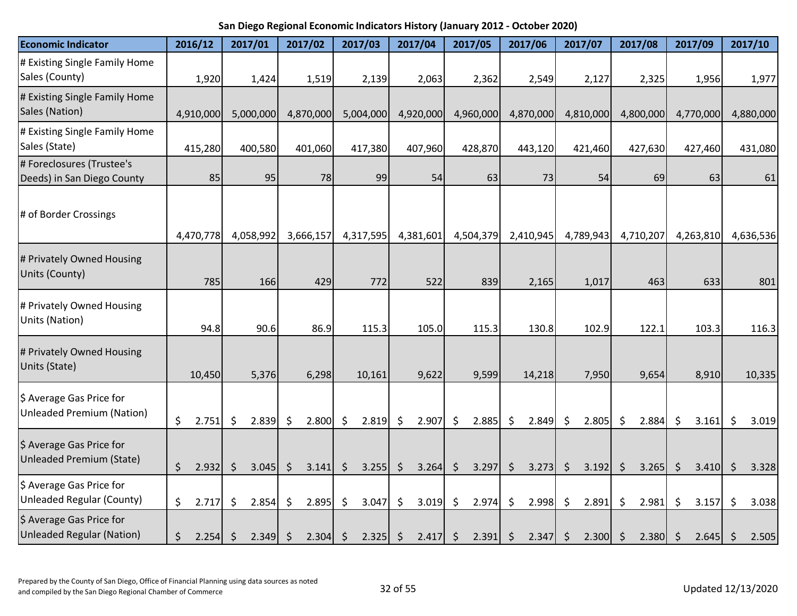| <b>Economic Indicator</b>                                    | 2016/12          |     | 2017/01               | 2017/02          | 2017/03                     |     | 2017/04          |                  | 2017/05        |         | 2017/06   |         | 2017/07             |         | 2017/08   |                    | 2017/09          | 2017/10     |
|--------------------------------------------------------------|------------------|-----|-----------------------|------------------|-----------------------------|-----|------------------|------------------|----------------|---------|-----------|---------|---------------------|---------|-----------|--------------------|------------------|-------------|
| # Existing Single Family Home<br>Sales (County)              | 1,920            |     | 1,424                 | 1,519            | 2,139                       |     | 2,063            |                  | 2,362          |         | 2,549     |         | 2,127               |         | 2,325     |                    | 1,956            | 1,977       |
| # Existing Single Family Home<br>Sales (Nation)              | 4,910,000        |     | 5,000,000             | 4,870,000        | 5,004,000                   |     | 4,920,000        |                  | 4,960,000      |         | 4,870,000 |         | 4,810,000           |         | 4,800,000 |                    | 4,770,000        | 4,880,000   |
| # Existing Single Family Home<br>Sales (State)               | 415,280          |     | 400,580               | 401,060          | 417,380                     |     | 407,960          |                  | 428,870        |         | 443,120   |         | 421,460             |         | 427,630   |                    | 427,460          | 431,080     |
| # Foreclosures (Trustee's<br>Deeds) in San Diego County      |                  | 85  | 95                    | 78               | 99                          |     | 54               |                  | 63             |         | 73        |         | 54                  |         | 69        |                    | 63               | 61          |
| # of Border Crossings                                        | 4,470,778        |     | 4,058,992             | 3,666,157        | 4,317,595                   |     | 4,381,601        |                  | 4,504,379      |         | 2,410,945 |         | 4,789,943           |         | 4,710,207 |                    | 4,263,810        | 4,636,536   |
| # Privately Owned Housing<br>Units (County)                  |                  | 785 | 166                   | 429              | 772                         |     | 522              |                  | 839            |         | 2,165     |         | 1,017               |         | 463       |                    | 633              | 801         |
| # Privately Owned Housing<br>Units (Nation)                  | 94.8             |     | 90.6                  | 86.9             | 115.3                       |     | 105.0            |                  | 115.3          |         | 130.8     |         | 102.9               |         | 122.1     |                    | 103.3            | 116.3       |
| # Privately Owned Housing<br>Units (State)                   | 10,450           |     | 5,376                 | 6,298            | 10,161                      |     | 9,622            |                  | 9,599          |         | 14,218    |         | 7,950               |         | 9,654     |                    | 8,910            | 10,335      |
| \$ Average Gas Price for<br><b>Unleaded Premium (Nation)</b> | \$<br>2.751      |     | 2.839<br>\$           | 2.800<br>- \$    | 2.819<br>$\ddot{\varsigma}$ | -\$ | 2.907            | \$               | 2.885          | \$      | 2.849     | \$      | 2.805               | $\zeta$ | 2.884     | \$                 | 3.161            | \$<br>3.019 |
| \$ Average Gas Price for<br>Unleaded Premium (State)         | \$<br>2.932      |     | $\zeta$<br>$3.045$ \$ | $3.141 \div$     | $3.255$ \$                  |     | 3.264            | $\ddot{\varphi}$ | $3.297 \mid 5$ |         | 3.273     | $\zeta$ | $3.192 \mid \; \xi$ |         | 3.265     | $\ddot{\varsigma}$ | $3.410 \mid \xi$ | 3.328       |
| \$ Average Gas Price for<br><b>Unleaded Regular (County)</b> | \$<br>2.717      |     | \$<br>2.854           | \$<br>2.895      | 3.047<br>\$                 | \$  | 3.019            | \$               | 2.974          | \$      | 2.998     | \$      | 2.891               | \$      | 2.981     | \$                 | 3.157            | \$<br>3.038 |
| \$ Average Gas Price for<br><b>Unleaded Regular (Nation)</b> | \$<br>$2.254$ \$ |     | 2.349                 | $2.304$ \$<br>\$ | $2.325$ \$                  |     | $2.417 \mid \xi$ |                  | 2.391          | $\zeta$ | 2.347     | $\zeta$ | 2.300               | $\zeta$ | 2.380     | Ŝ.                 | 2.645            | \$<br>2.505 |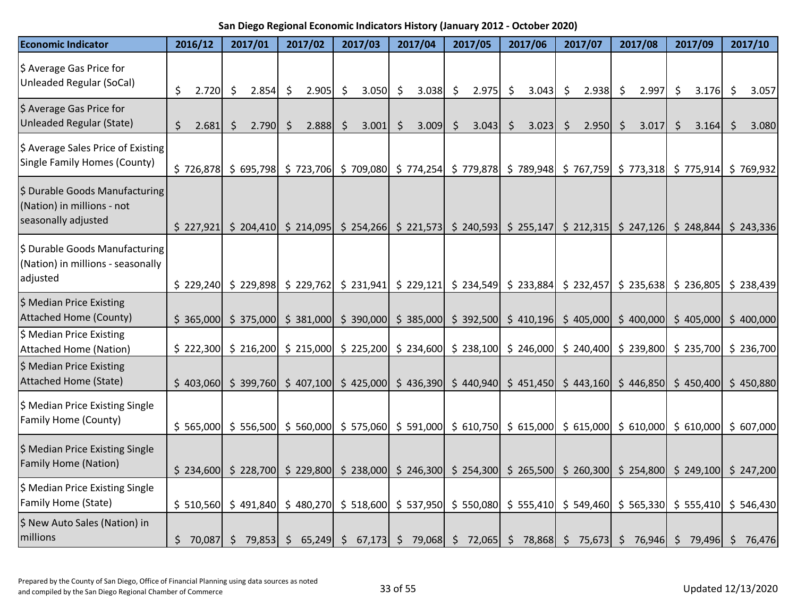| <b>Economic Indicator</b>                                                           | 2016/12     | 2017/01                                                           | 2017/02      | 2017/03          | 2017/04          | 2017/05          | 2017/06                                                                                                                                                                                               | 2017/07                | 2017/08          | 2017/09     | 2017/10     |
|-------------------------------------------------------------------------------------|-------------|-------------------------------------------------------------------|--------------|------------------|------------------|------------------|-------------------------------------------------------------------------------------------------------------------------------------------------------------------------------------------------------|------------------------|------------------|-------------|-------------|
| \$ Average Gas Price for<br><b>Unleaded Regular (SoCal)</b>                         | \$<br>2.720 | $\ddot{\mathsf{S}}$<br>$2.854$ \$                                 | 2.905        | 3.050<br>\$      | -\$<br>3.038     | \$<br>2.975      | $\ddot{\varsigma}$<br>3.043                                                                                                                                                                           | \$<br>2.938            | 2.997<br>$\zeta$ | \$<br>3.176 | \$<br>3.057 |
| \$ Average Gas Price for<br><b>Unleaded Regular (State)</b>                         | \$<br>2.681 | $\mathsf{S}$<br>2.790                                             | 2.888<br>-\$ | $\zeta$<br>3.001 | $\zeta$<br>3.009 | $\zeta$<br>3.043 | $\zeta$<br>3.023                                                                                                                                                                                      | $2.950 \mid \xi$<br>\$ | 3.017            | \$<br>3.164 | \$<br>3.080 |
| \$ Average Sales Price of Existing<br><b>Single Family Homes (County)</b>           |             |                                                                   |              |                  |                  |                  | \$ 726,878 \$ 695,798 \$ 723,706 \$ 709,080 \$ 774,254 \$ 779,878 \$ 789,948 \$ 767,759 \$ 773,318 \$ 775,914 \$ 769,932                                                                              |                        |                  |             |             |
| \$ Durable Goods Manufacturing<br>(Nation) in millions - not<br>seasonally adjusted | \$227,921   |                                                                   |              |                  |                  |                  | $\frac{1}{2}$ 204,410 $\frac{1}{2}$ 214,095 $\frac{1}{2}$ 254,266 $\frac{1}{2}$ 221,573 $\frac{1}{2}$ 240,593 $\frac{1}{2}$ 255,147 $\frac{1}{2}$ 212,315 $\frac{1}{2}$ 247,126 $\frac{1}{2}$ 248,844 |                        |                  |             | \$243,336   |
| \$ Durable Goods Manufacturing<br>(Nation) in millions - seasonally<br>adjusted     |             | $\frac{1}{2}$ 229,240 $\frac{1}{2}$ 229,898 $\frac{1}{2}$ 229,762 |              |                  |                  |                  | $\frac{1}{2}$ 231,941 $\frac{1}{2}$ 229,121 $\frac{1}{2}$ 234,549 $\frac{1}{2}$ 233,884 $\frac{1}{2}$ 232,457 $\frac{1}{2}$ 235,638 $\frac{1}{2}$ 236,805                                             |                        |                  |             | \$238,439   |
| \$ Median Price Existing<br><b>Attached Home (County)</b>                           |             | $$365,000 \& 375,000 \& 381,000$                                  |              | \$390,000        |                  |                  | $\frac{1}{2}$ 385,000 $\frac{1}{2}$ 392,500 $\frac{1}{2}$ 410,196 $\frac{1}{2}$ 405,000 $\frac{1}{2}$ 400,000                                                                                         |                        |                  | \$405,000   | \$400,000   |
| \$ Median Price Existing<br><b>Attached Home (Nation)</b>                           |             |                                                                   |              |                  |                  |                  | \$ 222,300 \$ 216,200 \$ 215,000 \$ 225,200 \$ 234,600 \$ 238,100 \$ 246,000 \$ 240,400 \$ 239,800 \$ 235,700                                                                                         |                        |                  |             | \$236,700   |
| \$ Median Price Existing<br><b>Attached Home (State)</b>                            |             |                                                                   |              |                  |                  |                  | \$ 403,060 \$ 399,760 \$ 407,100 \$ 425,000 \$ 436,390 \$ 440,940 \$ 451,450 \$ 443,160 \$ 446,850 \$ 450,400 \$ 450,880                                                                              |                        |                  |             |             |
| \$ Median Price Existing Single<br>Family Home (County)                             |             |                                                                   |              |                  |                  |                  | \$ 565,000 \$ 556,500 \$ 560,000 \$ 575,060 \$ 591,000 \$ 610,750 \$ 615,000 \$ 615,000 \$ 610,000 \$ 610,000 \$ 607,000                                                                              |                        |                  |             |             |
| \$ Median Price Existing Single<br><b>Family Home (Nation)</b>                      |             |                                                                   |              |                  |                  |                  | \$ 234,600 \$ 228,700 \$ 229,800 \$ 238,000 \$ 246,300 \$ 254,300 \$ 265,500 \$ 260,300 \$ 254,800 \$ 249,100 \$ 247,200                                                                              |                        |                  |             |             |
| \$ Median Price Existing Single<br>Family Home (State)                              |             |                                                                   |              |                  |                  |                  | \$ 510,560 \$ 491,840 \$ 480,270 \$ 518,600 \$ 537,950 \$ 550,080 \$ 555,410 \$ 549,460 \$ 565,330 \$ 555,410 \$ 546,430                                                                              |                        |                  |             |             |
| \$ New Auto Sales (Nation) in<br>millions                                           | \$.         |                                                                   |              |                  |                  |                  | 70,087 \$79,853 \$65,249 \$67,173 \$79,068 \$72,065 \$78,868 \$75,673 \$76,946 \$79,496 \$76,476                                                                                                      |                        |                  |             |             |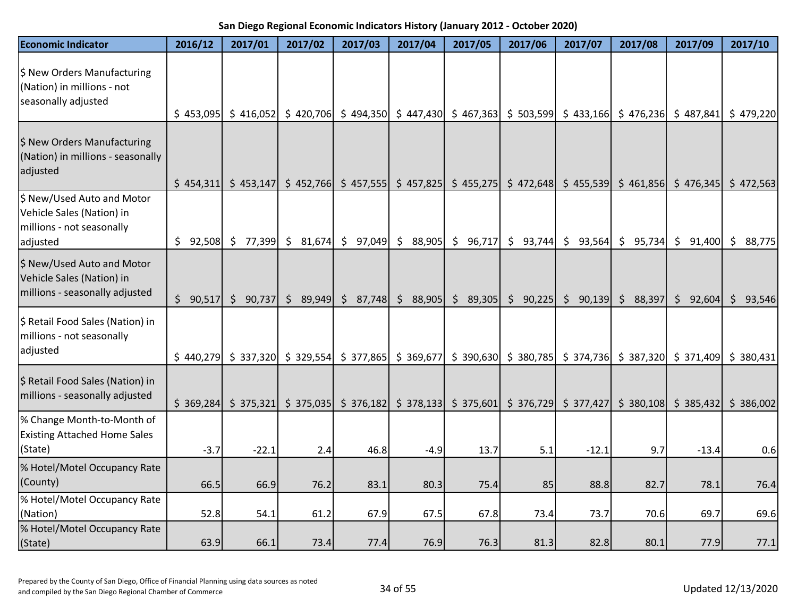| <b>Economic Indicator</b>                                                                        | 2016/12   | 2017/01   | 2017/02  | 2017/03  | 2017/04  | 2017/05 | 2017/06                                                                                                                                                                         | 2017/07  | 2017/08  | 2017/09   | 2017/10                |
|--------------------------------------------------------------------------------------------------|-----------|-----------|----------|----------|----------|---------|---------------------------------------------------------------------------------------------------------------------------------------------------------------------------------|----------|----------|-----------|------------------------|
| \$ New Orders Manufacturing<br>(Nation) in millions - not<br>seasonally adjusted                 | \$453,095 | \$416,052 |          |          |          |         | $\frac{1}{2}$ 420,706 $\frac{1}{2}$ 494,350 $\frac{1}{2}$ 447,430 $\frac{1}{2}$ 467,363 $\frac{1}{2}$ 503,599 $\frac{1}{2}$ 433,166 $\frac{1}{2}$ 476,236 $\frac{1}{2}$ 487,841 |          |          |           | \$479,220              |
| \$ New Orders Manufacturing<br>(Nation) in millions - seasonally<br>adjusted                     | \$454,311 |           |          |          |          |         | \$ 453,147 \$ 452,766 \$ 457,555 \$ 457,825 \$ 455,275 \$ 472,648 \$ 455,539 \$ 461,856 \$ 476,345 \$ 472,563                                                                   |          |          |           |                        |
| \$ New/Used Auto and Motor<br>Vehicle Sales (Nation) in<br>millions - not seasonally<br>adjusted | \$92,508  | \$77,399  | \$31,674 | \$97,049 | \$88,905 |         | $\begin{bmatrix} 5 & 96,717 & 5 & 93,744 \end{bmatrix}$                                                                                                                         | \$93,564 | \$95,734 | \$91,400  | \$<br>88,775           |
| \$ New/Used Auto and Motor<br>Vehicle Sales (Nation) in<br>millions - seasonally adjusted        | \$90,517  | \$90,737  |          |          |          |         | $\binom{5}{5}$ 89,949 $\binom{5}{5}$ 87,748 $\binom{5}{5}$ 88,905 $\binom{5}{5}$ 89,305 $\binom{5}{5}$ 90,225 $\binom{5}{5}$ 90,139 $\binom{5}{5}$ 88,397                       |          |          | \$92,604] | $\mathsf{S}$<br>93,546 |
| \$ Retail Food Sales (Nation) in<br>millions - not seasonally<br>adjusted                        |           |           |          |          |          |         | \$ 440,279 \$ 337,320 \$ 329,554 \$ 377,865 \$ 369,677 \$ 390,630 \$ 380,785 \$ 374,736 \$ 387,320 \$ 371,409 \$ 380,431                                                        |          |          |           |                        |
| \$ Retail Food Sales (Nation) in<br>millions - seasonally adjusted                               |           |           |          |          |          |         | \$ 369,284 \$ 375,321 \$ 375,035 \$ 376,182 \$ 378,133 \$ 375,601 \$ 376,729 \$ 377,427 \$ 380,108 \$ 385,432 \$ 386,002                                                        |          |          |           |                        |
| % Change Month-to-Month of<br><b>Existing Attached Home Sales</b><br>(State)                     | $-3.7$    | $-22.1$   | 2.4      | 46.8     | $-4.9$   | 13.7    | 5.1                                                                                                                                                                             | $-12.1$  | 9.7      | $-13.4$   | 0.6                    |
| % Hotel/Motel Occupancy Rate<br>(County)                                                         | 66.5      | 66.9      | 76.2     | 83.1     | 80.3     | 75.4    | 85                                                                                                                                                                              | 88.8     | 82.7     | 78.1      | 76.4                   |
| % Hotel/Motel Occupancy Rate<br>(Nation)                                                         | 52.8      | 54.1      | 61.2     | 67.9     | 67.5     | 67.8    | 73.4                                                                                                                                                                            | 73.7     | 70.6     | 69.7      | 69.6                   |
| % Hotel/Motel Occupancy Rate<br>(State)                                                          | 63.9      | 66.1      | 73.4     | 77.4     | 76.9     | 76.3    | 81.3                                                                                                                                                                            | 82.8     | 80.1     | 77.9      | 77.1                   |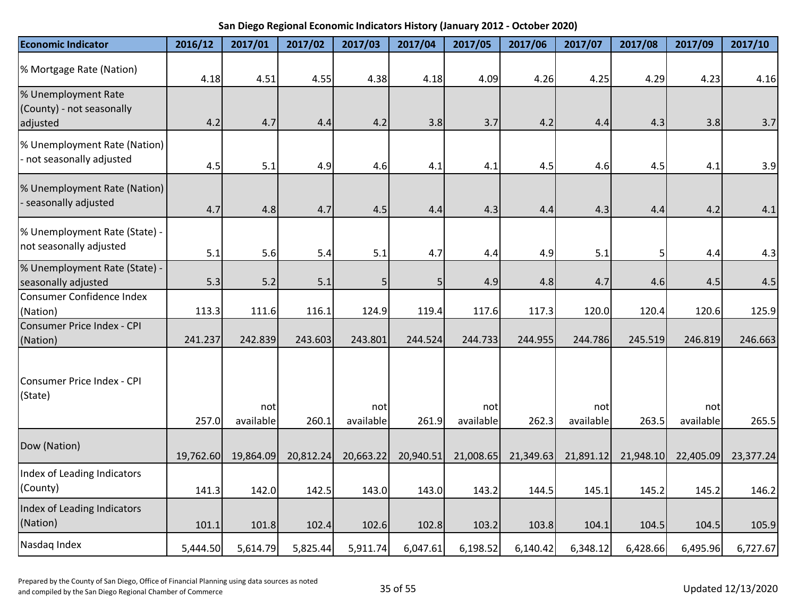| <b>Economic Indicator</b>                                    | 2016/12   | 2017/01          | 2017/02   | 2017/03          | 2017/04   | 2017/05          | 2017/06   | 2017/07          | 2017/08   | 2017/09          | 2017/10   |
|--------------------------------------------------------------|-----------|------------------|-----------|------------------|-----------|------------------|-----------|------------------|-----------|------------------|-----------|
| % Mortgage Rate (Nation)                                     | 4.18      | 4.51             | 4.55      | 4.38             | 4.18      | 4.09             | 4.26      | 4.25             | 4.29      | 4.23             | 4.16      |
| % Unemployment Rate<br>(County) - not seasonally<br>adjusted | 4.2       | 4.7              | 4.4       | 4.2              | 3.8       | 3.7              | 4.2       | 4.4              | 4.3       | 3.8              | 3.7       |
| % Unemployment Rate (Nation)<br>- not seasonally adjusted    | 4.5       | 5.1              | 4.9       | 4.6              | 4.1       | 4.1              | 4.5       | 4.6              | 4.5       | 4.1              | 3.9       |
| % Unemployment Rate (Nation)<br>- seasonally adjusted        | 4.7       | 4.8              | 4.7       | 4.5              | 4.4       | 4.3              | 4.4       | 4.3              | 4.4       | 4.2              | 4.1       |
| % Unemployment Rate (State) -<br>not seasonally adjusted     | 5.1       | 5.6              | 5.4       | 5.1              | 4.7       | 4.4              | 4.9       | 5.1              | 5         | 4.4              | 4.3       |
| % Unemployment Rate (State) -<br>seasonally adjusted         | 5.3       | 5.2              | 5.1       | 5                | 5         | 4.9              | 4.8       | 4.7              | 4.6       | 4.5              | 4.5       |
| Consumer Confidence Index<br>(Nation)                        | 113.3     | 111.6            | 116.1     | 124.9            | 119.4     | 117.6            | 117.3     | 120.0            | 120.4     | 120.6            | 125.9     |
| Consumer Price Index - CPI<br>(Nation)                       | 241.237   | 242.839          | 243.603   | 243.801          | 244.524   | 244.733          | 244.955   | 244.786          | 245.519   | 246.819          | 246.663   |
| Consumer Price Index - CPI<br>(State)                        | 257.0     | not<br>available | 260.1     | not<br>available | 261.9     | not<br>available | 262.3     | not<br>available | 263.5     | not<br>available | 265.5     |
| Dow (Nation)                                                 | 19,762.60 | 19,864.09        | 20,812.24 | 20,663.22        | 20,940.51 | 21,008.65        | 21,349.63 | 21,891.12        | 21,948.10 | 22,405.09        | 23,377.24 |
| Index of Leading Indicators<br>(County)                      | 141.3     | 142.0            | 142.5     | 143.0            | 143.0     | 143.2            | 144.5     | 145.1            | 145.2     | 145.2            | 146.2     |
| Index of Leading Indicators<br>(Nation)                      | 101.1     | 101.8            | 102.4     | 102.6            | 102.8     | 103.2            | 103.8     | 104.1            | 104.5     | 104.5            | 105.9     |
| Nasdag Index                                                 | 5,444.50  | 5,614.79         | 5,825.44  | 5,911.74         | 6,047.61  | 6,198.52         | 6,140.42  | 6,348.12         | 6,428.66  | 6,495.96         | 6,727.67  |

Prepared by the County of San Diego, Office of Financial Planning using data sources as noted and compiled by the San Diego, Since of Thinking and San Exerces as noted<br>and compiled by the San Diego Regional Chamber of Commerce 35 of 55 Updated 12/13/2020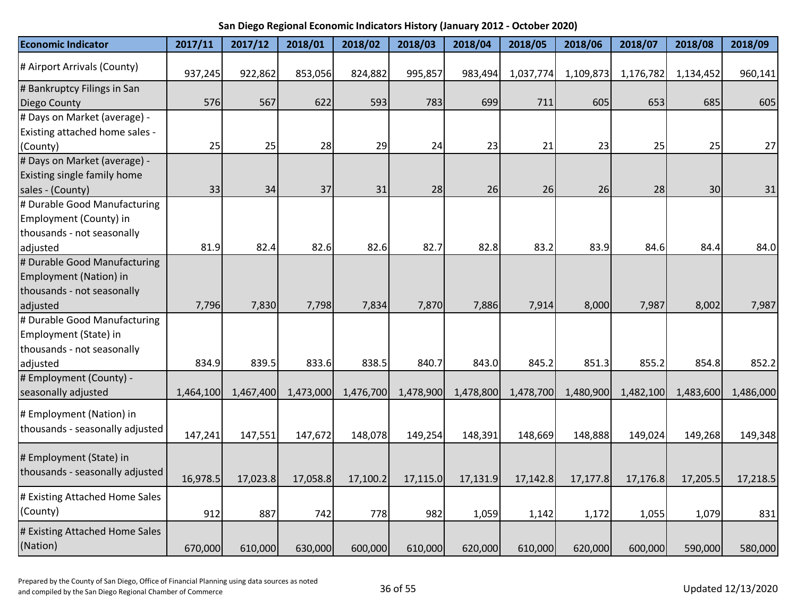| <b>Economic Indicator</b>                                                            | 2017/11   | 2017/12   | 2018/01   | 2018/02   | 2018/03   | 2018/04   | 2018/05   | 2018/06   | 2018/07   | 2018/08   | 2018/09   |
|--------------------------------------------------------------------------------------|-----------|-----------|-----------|-----------|-----------|-----------|-----------|-----------|-----------|-----------|-----------|
| # Airport Arrivals (County)                                                          | 937,245   | 922,862   | 853,056   | 824,882   | 995,857   | 983,494   | 1,037,774 | 1,109,873 | 1,176,782 | 1,134,452 | 960,141   |
| # Bankruptcy Filings in San<br>Diego County                                          | 576       | 567       | 622       | 593       | 783       | 699       | 711       | 605       | 653       | 685       | 605       |
| # Days on Market (average) -<br>Existing attached home sales -                       |           |           |           |           |           |           |           |           |           |           |           |
| (County)                                                                             | 25        | 25        | 28        | 29        | 24        | 23        | 21        | 23        | 25        | 25        | 27        |
| # Days on Market (average) -<br>Existing single family home                          |           |           |           |           |           |           |           |           |           |           |           |
| sales - (County)                                                                     | 33        | 34        | 37        | 31        | 28        | 26        | 26        | 26        | 28        | 30        | 31        |
| # Durable Good Manufacturing<br>Employment (County) in<br>thousands - not seasonally |           |           |           |           |           |           |           |           |           |           |           |
| adjusted                                                                             | 81.9      | 82.4      | 82.6      | 82.6      | 82.7      | 82.8      | 83.2      | 83.9      | 84.6      | 84.4      | 84.0      |
| # Durable Good Manufacturing<br>Employment (Nation) in<br>thousands - not seasonally |           |           |           |           |           |           |           |           |           |           |           |
| adjusted                                                                             | 7,796     | 7,830     | 7,798     | 7,834     | 7,870     | 7,886     | 7,914     | 8,000     | 7,987     | 8,002     | 7,987     |
| # Durable Good Manufacturing<br>Employment (State) in<br>thousands - not seasonally  | 834.9     |           | 833.6     | 838.5     | 840.7     | 843.0     | 845.2     | 851.3     | 855.2     | 854.8     |           |
| adjusted                                                                             |           | 839.5     |           |           |           |           |           |           |           |           | 852.2     |
| # Employment (County) -<br>seasonally adjusted                                       | 1,464,100 | 1,467,400 | 1,473,000 | 1,476,700 | 1,478,900 | 1,478,800 | 1,478,700 | 1,480,900 | 1,482,100 | 1,483,600 | 1,486,000 |
| # Employment (Nation) in<br>thousands - seasonally adjusted                          | 147,241   | 147,551   | 147,672   | 148,078   | 149,254   | 148,391   | 148,669   | 148,888   | 149,024   | 149,268   | 149,348   |
| # Employment (State) in<br>thousands - seasonally adjusted                           | 16,978.5  | 17,023.8  | 17,058.8  | 17,100.2  | 17,115.0  | 17,131.9  | 17,142.8  | 17,177.8  | 17,176.8  | 17,205.5  | 17,218.5  |
| # Existing Attached Home Sales<br>(County)                                           | 912       | 887       | 742       | 778       | 982       | 1,059     | 1,142     | 1,172     | 1,055     | 1,079     | 831       |
| # Existing Attached Home Sales<br>(Nation)                                           | 670,000   | 610,000   | 630,000   | 600,000   | 610,000   | 620,000   | 610,000   | 620,000   | 600,000   | 590,000   | 580,000   |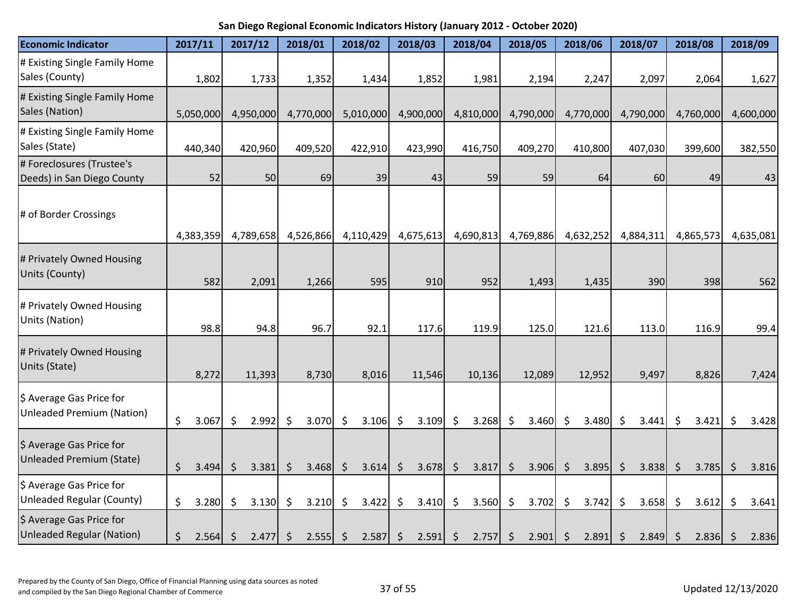| <b>Economic Indicator</b>                                    | 2017/11 |            | 2017/12     |              | 2018/01          |                | 2018/02    |                    | 2018/03   |                    | 2018/04          |         | 2018/05   |         | 2018/06    |         | 2018/07   |                | 2018/08   |                    | 2018/09   |
|--------------------------------------------------------------|---------|------------|-------------|--------------|------------------|----------------|------------|--------------------|-----------|--------------------|------------------|---------|-----------|---------|------------|---------|-----------|----------------|-----------|--------------------|-----------|
| # Existing Single Family Home<br>Sales (County)              |         | 1,802      | 1,733       |              | 1,352            |                | 1,434      |                    | 1,852     |                    | 1,981            |         | 2,194     |         | 2,247      |         | 2,097     |                | 2,064     |                    | 1,627     |
| # Existing Single Family Home<br>Sales (Nation)              |         | 5,050,000  | 4,950,000   |              | 4,770,000        |                | 5,010,000  |                    | 4,900,000 |                    | 4,810,000        |         | 4,790,000 |         | 4,770,000  |         | 4,790,000 |                | 4,760,000 |                    | 4,600,000 |
| # Existing Single Family Home<br>Sales (State)               |         | 440,340    | 420,960     |              | 409,520          |                | 422,910    |                    | 423,990   |                    | 416,750          |         | 409,270   |         | 410,800    |         | 407,030   |                | 399,600   |                    | 382,550   |
| # Foreclosures (Trustee's<br>Deeds) in San Diego County      |         | 52         |             | 50           | 69               |                | 39         |                    | 43        |                    | 59               |         | 59        |         | 64         |         | 60        |                | 49        |                    | 43        |
| # of Border Crossings                                        |         | 4,383,359  | 4,789,658   |              | 4,526,866        |                | 4,110,429  |                    | 4,675,613 |                    | 4,690,813        |         | 4,769,886 |         | 4,632,252  |         | 4,884,311 |                | 4,865,573 |                    | 4,635,081 |
| # Privately Owned Housing<br>Units (County)                  |         | 582        | 2,091       |              | 1,266            |                | 595        |                    | 910       |                    | 952              |         | 1,493     |         | 1,435      |         | 390       |                | 398       |                    | 562       |
| # Privately Owned Housing<br>Units (Nation)                  |         | 98.8       |             | 94.8         | 96.7             |                | 92.1       |                    | 117.6     |                    | 119.9            |         | 125.0     |         | 121.6      |         | 113.0     |                | 116.9     |                    | 99.4      |
| # Privately Owned Housing<br>Units (State)                   |         | 8,272      | 11,393      |              | 8,730            |                | 8,016      |                    | 11,546    |                    | 10,136           |         | 12,089    |         | 12,952     |         | 9,497     |                | 8,826     |                    | 7,424     |
| \$ Average Gas Price for<br><b>Unleaded Premium (Nation)</b> | \$      | 3.067      | 2.992<br>\$ |              | $3.070$ \$<br>\$ |                | 3.106      | $\ddot{\varsigma}$ | 3.109     | \$                 | 3.268            | \$      | 3.460     | \$      | 3.480      | \$      | 3.441     | \$             | 3.421     | \$                 | 3.428     |
| \$ Average Gas Price for<br>Unleaded Premium (State)         | \$      | 3.494      | $\zeta$     | $3.381 \div$ | $3.468$ \$       |                | $3.614$ \$ |                    | 3.678     | $\ddot{\varsigma}$ | $3.817 \mid \xi$ |         | 3.906     | $\zeta$ | $3.895$ \$ |         | 3.838     | $\ddot{\zeta}$ | 3.785     | $\ddot{\varsigma}$ | 3.816     |
| \$ Average Gas Price for<br><b>Unleaded Regular (County)</b> | \$      | 3.280      | \$          | 3.130        | \$<br>3.210      | $\ddot{\zeta}$ | 3.422      | \$                 | 3.410     | \$                 | 3.560            | \$      | 3.702     | \$      | 3.742      | \$      | 3.658     | \$             | 3.612     | \$                 | 3.641     |
| \$ Average Gas Price for<br><b>Unleaded Regular (Nation)</b> | \$      | $2.564$ \$ |             | 2.477        | $2.555$ \$<br>\$ |                | 2.587      | $\ddot{\varphi}$   | 2.591     | $\zeta$            | 2.757            | $\zeta$ | 2.901     | $\zeta$ | 2.891      | $\zeta$ | 2.849     | $\zeta$        | 2.836     | \$                 | 2.836     |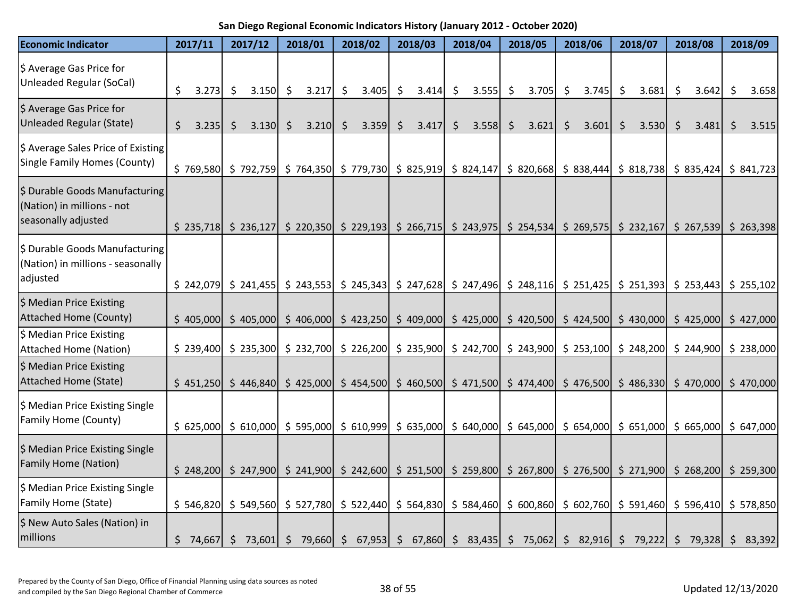| <b>Economic Indicator</b>                                                           |                    | 2017/11   |         | 2017/12                                                                                         |    | 2018/01 |         | 2018/02                                                                                                                                                   |             | 2018/03 | 2018/04     |                    | 2018/05 |         | 2018/06 |         | 2018/07 | 2018/08                                                                                                                                                                                               | 2018/09     |
|-------------------------------------------------------------------------------------|--------------------|-----------|---------|-------------------------------------------------------------------------------------------------|----|---------|---------|-----------------------------------------------------------------------------------------------------------------------------------------------------------|-------------|---------|-------------|--------------------|---------|---------|---------|---------|---------|-------------------------------------------------------------------------------------------------------------------------------------------------------------------------------------------------------|-------------|
| \$ Average Gas Price for<br><b>Unleaded Regular (SoCal)</b>                         | \$                 | 3.273     | \$      | $3.150 \mid$ \$                                                                                 |    | 3.217   | $\zeta$ | 3.405                                                                                                                                                     | -\$         | 3.414   | \$<br>3.555 | $\ddot{\varsigma}$ | 3.705   | $\zeta$ | 3.745   | $\zeta$ | 3.681   | \$<br>3.642                                                                                                                                                                                           | \$<br>3.658 |
| \$ Average Gas Price for<br><b>Unleaded Regular (State)</b>                         | $\mathsf{\dot{S}}$ | 3.235     | $\zeta$ | 3.130                                                                                           | -S | 3.210   | $\zeta$ | 3.359                                                                                                                                                     | $\varsigma$ | 3.417   | \$<br>3.558 | $\zeta$            | 3.621   | $\zeta$ | 3.601   | $\zeta$ | 3.530   | \$<br>3.481                                                                                                                                                                                           | \$<br>3.515 |
| \$ Average Sales Price of Existing<br><b>Single Family Homes (County)</b>           |                    |           |         |                                                                                                 |    |         |         |                                                                                                                                                           |             |         |             |                    |         |         |         |         |         | \$769,580 \$792,759 \$764,350 \$779,730 \$825,919 \$824,147 \$820,668 \$838,444 \$818,738 \$835,424 \$841,723                                                                                         |             |
| \$ Durable Goods Manufacturing<br>(Nation) in millions - not<br>seasonally adjusted |                    | \$235,718 |         | $\vert$ \$ 236,127 \$ 220,350 \$ 229,193 \$ 266,715 \$ 243,975 \$ 254,534 \$ 269,575 \$ 232,167 |    |         |         |                                                                                                                                                           |             |         |             |                    |         |         |         |         |         | $$267,539$ $$263,398$                                                                                                                                                                                 |             |
| \$ Durable Goods Manufacturing<br>(Nation) in millions - seasonally<br>adjusted     |                    | \$242,079 |         |                                                                                                 |    |         |         |                                                                                                                                                           |             |         |             |                    |         |         |         |         |         | \$241,455 \$243,553 \$245,343 \$247,628 \$247,496 \$248,116 \$251,425 \$251,393 \$253,443 \$255,102                                                                                                   |             |
| \$ Median Price Existing<br><b>Attached Home (County)</b>                           |                    |           |         | $$405,000 \mid $405,000$                                                                        |    |         |         | $\frac{1}{2}$ 406,000 $\frac{1}{2}$ 423,250 $\frac{1}{2}$ 409,000 $\frac{1}{2}$ 425,000 $\frac{1}{2}$ 420,500 $\frac{1}{2}$ 424,500 $\frac{1}{2}$ 430,000 |             |         |             |                    |         |         |         |         |         | \$425,000                                                                                                                                                                                             | \$427,000   |
| \$ Median Price Existing<br><b>Attached Home (Nation)</b>                           |                    | \$239,400 |         |                                                                                                 |    |         |         |                                                                                                                                                           |             |         |             |                    |         |         |         |         |         | $\frac{1}{2}$ 235,300 $\frac{1}{2}$ 232,700 $\frac{1}{2}$ 226,200 $\frac{1}{2}$ 235,900 $\frac{1}{2}$ 242,700 $\frac{1}{2}$ 243,900 $\frac{1}{2}$ 253,100 $\frac{1}{2}$ 248,200 $\frac{1}{2}$ 244,900 | \$238,000   |
| \$ Median Price Existing<br><b>Attached Home (State)</b>                            |                    |           |         |                                                                                                 |    |         |         |                                                                                                                                                           |             |         |             |                    |         |         |         |         |         | \$ 451,250 \$ 446,840 \$ 425,000 \$ 454,500 \$ 460,500 \$ 471,500 \$ 474,400 \$ 476,500 \$ 486,330 \$ 470,000 \$ 470,000                                                                              |             |
| \$ Median Price Existing Single<br>Family Home (County)                             |                    |           |         |                                                                                                 |    |         |         |                                                                                                                                                           |             |         |             |                    |         |         |         |         |         | \$ 625,000 \$ 610,000 \$ 595,000 \$ 610,999 \$ 635,000 \$ 640,000 \$ 645,000 \$ 654,000 \$ 651,000 \$ 665,000 \$ 647,000                                                                              |             |
| \$ Median Price Existing Single<br><b>Family Home (Nation)</b>                      |                    |           |         |                                                                                                 |    |         |         |                                                                                                                                                           |             |         |             |                    |         |         |         |         |         | \$ 248,200 \$ 247,900 \$ 241,900 \$ 242,600 \$ 251,500 \$ 259,800 \$ 267,800 \$ 276,500 \$ 271,900 \$ 268,200 \$ 259,300                                                                              |             |
| \$ Median Price Existing Single<br><b>Family Home (State)</b>                       |                    |           |         |                                                                                                 |    |         |         |                                                                                                                                                           |             |         |             |                    |         |         |         |         |         | \$ 546,820 \$ 549,560 \$ 527,780 \$ 522,440 \$ 564,830 \$ 584,460 \$ 600,860 \$ 602,760 \$ 591,460 \$ 596,410 \$ 578,850                                                                              |             |
| \$ New Auto Sales (Nation) in<br>millions                                           |                    |           |         |                                                                                                 |    |         |         |                                                                                                                                                           |             |         |             |                    |         |         |         |         |         | \$ 74,667 \$ 73,601 \$ 79,660 \$ 67,953 \$ 67,860 \$ 83,435 \$ 75,062 \$ 82,916 \$ 79,222 \$ 79,328 \$ 83,392                                                                                         |             |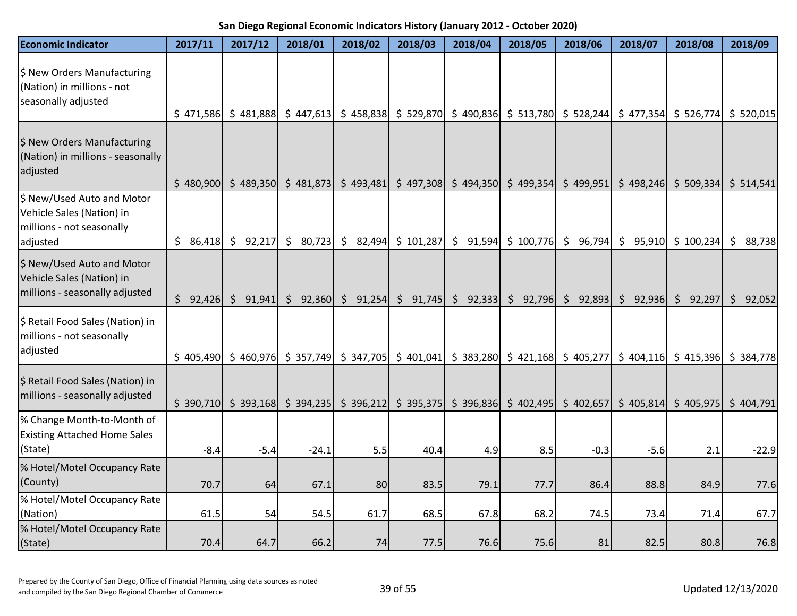| <b>Economic Indicator</b>                                                                        | 2017/11      | 2017/12  | 2018/01                                                                                                                                                                                                                     | 2018/02                                                        | 2018/03 | 2018/04 | 2018/05                                                                                                                                                                     | 2018/06 | 2018/07 | 2018/08             | 2018/09      |
|--------------------------------------------------------------------------------------------------|--------------|----------|-----------------------------------------------------------------------------------------------------------------------------------------------------------------------------------------------------------------------------|----------------------------------------------------------------|---------|---------|-----------------------------------------------------------------------------------------------------------------------------------------------------------------------------|---------|---------|---------------------|--------------|
| \$ New Orders Manufacturing<br>(Nation) in millions - not<br>seasonally adjusted                 |              |          | $\frac{1}{2}$ 471,586 $\frac{1}{5}$ 481,888 $\frac{1}{5}$ 447,613 $\frac{1}{5}$ 458,838 $\frac{1}{5}$ 529,870 $\frac{1}{5}$ 490,836 $\frac{1}{5}$ 513,780 $\frac{1}{5}$ 528,244 $\frac{1}{5}$ 477,354 $\frac{1}{5}$ 526,774 |                                                                |         |         |                                                                                                                                                                             |         |         |                     | \$520,015    |
| \$ New Orders Manufacturing<br>(Nation) in millions - seasonally<br>adjusted                     |              |          | \$ 480,900 \$ 489,350 \$ 481,873 \$ 493,481 \$ 497,308 \$ 494,350 \$ 499,354 \$ 499,951 \$ 498,246 \$ 509,334 \$ 514,541                                                                                                    |                                                                |         |         |                                                                                                                                                                             |         |         |                     |              |
| \$ New/Used Auto and Motor<br>Vehicle Sales (Nation) in<br>millions - not seasonally<br>adjusted | \$86,418     |          | $\frac{1}{2}$ 92,217 $\frac{1}{2}$ 80,723 $\frac{1}{2}$ 82,494 $\frac{1}{2}$ 101,287 $\frac{1}{2}$ 91,594 $\frac{1}{2}$ 100,776 $\frac{1}{2}$ 96,794                                                                        |                                                                |         |         |                                                                                                                                                                             |         |         | $$95,910 \$100,234$ | \$88,738     |
| \$ New/Used Auto and Motor<br>Vehicle Sales (Nation) in<br>millions - seasonally adjusted        | \$<br>92,426 | \$91,941 |                                                                                                                                                                                                                             | $\frac{1}{2}$ 92,360 $\frac{1}{2}$ 91,254 $\frac{1}{2}$ 91,745 |         |         | $\begin{bmatrix} 5 & 92,333 \end{bmatrix}$ $\begin{bmatrix} 5 & 92,796 \end{bmatrix}$ $\begin{bmatrix} 5 & 92,893 \end{bmatrix}$ $\begin{bmatrix} 5 & 92,936 \end{bmatrix}$ |         |         | \$92,297            | S.<br>92,052 |
| \$ Retail Food Sales (Nation) in<br>millions - not seasonally<br>adjusted                        |              |          | \$ 405,490 \$ 460,976 \$ 357,749 \$ 347,705 \$ 401,041 \$ 383,280 \$ 421,168 \$ 405,277 \$ 404,116 \$ 415,396 \$ 384,778                                                                                                    |                                                                |         |         |                                                                                                                                                                             |         |         |                     |              |
| \$ Retail Food Sales (Nation) in<br>millions - seasonally adjusted                               |              |          | $\frac{1}{2}$ 390,710 $\frac{1}{2}$ 393,168 $\frac{1}{2}$ 394,235 $\frac{1}{2}$ 396,212 $\frac{1}{2}$ 395,375 $\frac{1}{2}$ 396,836 $\frac{1}{2}$ 402,495 $\frac{1}{2}$ 402,657 $\frac{1}{2}$ 405,814                       |                                                                |         |         |                                                                                                                                                                             |         |         | \$405,975           | \$404,791    |
| % Change Month-to-Month of<br><b>Existing Attached Home Sales</b><br>(State)                     | $-8.4$       | $-5.4$   | $-24.1$                                                                                                                                                                                                                     | 5.5                                                            | 40.4    | 4.9     | 8.5                                                                                                                                                                         | $-0.3$  | $-5.6$  | 2.1                 | $-22.9$      |
| % Hotel/Motel Occupancy Rate<br>(County)                                                         | 70.7         | 64       | 67.1                                                                                                                                                                                                                        | 80                                                             | 83.5    | 79.1    | 77.7                                                                                                                                                                        | 86.4    | 88.8    | 84.9                | 77.6         |
| % Hotel/Motel Occupancy Rate<br>(Nation)                                                         | 61.5         | 54       | 54.5                                                                                                                                                                                                                        | 61.7                                                           | 68.5    | 67.8    | 68.2                                                                                                                                                                        | 74.5    | 73.4    | 71.4                | 67.7         |
| % Hotel/Motel Occupancy Rate<br>(State)                                                          | 70.4         | 64.7     | 66.2                                                                                                                                                                                                                        | 74                                                             | 77.5    | 76.6    | 75.6                                                                                                                                                                        | 81      | 82.5    | 80.8                | 76.8         |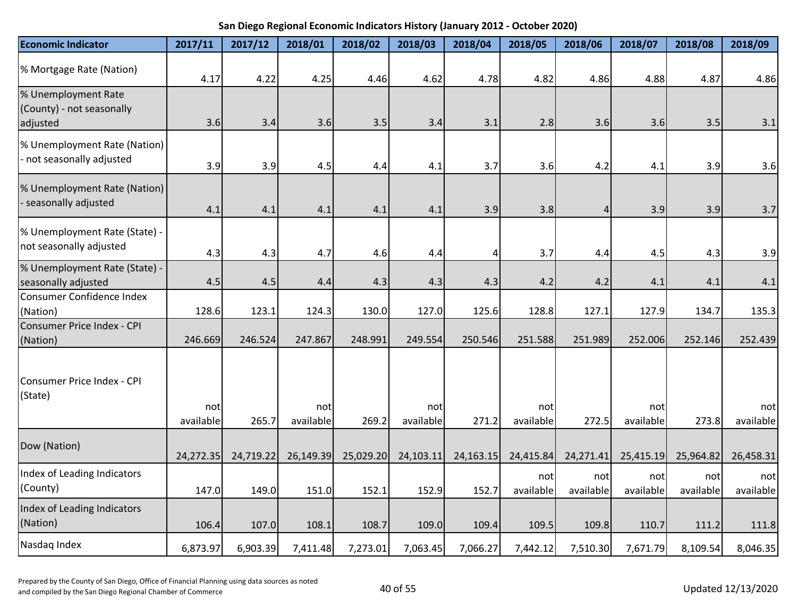| San Diego Regional Economic Indicators History (January 2012 - October 2020) |  |  |
|------------------------------------------------------------------------------|--|--|
|------------------------------------------------------------------------------|--|--|

| <b>Economic Indicator</b>                                    | 2017/11          | 2017/12   | 2018/01          | 2018/02   | 2018/03          | 2018/04   | 2018/05          | 2018/06          | 2018/07          | 2018/08          | 2018/09          |
|--------------------------------------------------------------|------------------|-----------|------------------|-----------|------------------|-----------|------------------|------------------|------------------|------------------|------------------|
| % Mortgage Rate (Nation)                                     | 4.17             | 4.22      | 4.25             | 4.46      | 4.62             | 4.78      | 4.82             | 4.86             | 4.88             | 4.87             | 4.86             |
| % Unemployment Rate<br>(County) - not seasonally<br>adjusted | 3.6              | 3.4       | 3.6              | 3.5       | 3.4              | 3.1       | 2.8              | 3.6              | 3.6              | 3.5              | 3.1              |
| % Unemployment Rate (Nation)<br>- not seasonally adjusted    | 3.9              | 3.9       | 4.5              | 4.4       | 4.1              | 3.7       | 3.6              | 4.2              | 4.1              | 3.9              | 3.6              |
| % Unemployment Rate (Nation)<br>- seasonally adjusted        | 4.1              | 4.1       | 4.1              | 4.1       | 4.1              | 3.9       | 3.8              | $\overline{4}$   | 3.9              | 3.9              | 3.7              |
| % Unemployment Rate (State) -<br>not seasonally adjusted     | 4.3              | 4.3       | 4.7              | 4.6       | 4.4              | 4         | 3.7              | 4.4              | 4.5              | 4.3              | 3.9              |
| % Unemployment Rate (State) -<br>seasonally adjusted         | 4.5              | 4.5       | 4.4              | 4.3       | 4.3              | 4.3       | 4.2              | 4.2              | 4.1              | 4.1              | 4.1              |
| Consumer Confidence Index<br>(Nation)                        | 128.6            | 123.1     | 124.3            | 130.0     | 127.0            | 125.6     | 128.8            | 127.1            | 127.9            | 134.7            | 135.3            |
| Consumer Price Index - CPI<br>(Nation)                       | 246.669          | 246.524   | 247.867          | 248.991   | 249.554          | 250.546   | 251.588          | 251.989          | 252.006          | 252.146          | 252.439          |
| Consumer Price Index - CPI<br>(State)                        | not<br>available | 265.7     | not<br>available | 269.2     | not<br>available | 271.2     | not<br>available | 272.5            | not<br>available | 273.8            | not<br>available |
| Dow (Nation)                                                 | 24,272.35        | 24,719.22 | 26,149.39        | 25,029.20 | 24,103.11        | 24,163.15 | 24,415.84        | 24,271.41        | 25,415.19        | 25,964.82        | 26,458.31        |
| Index of Leading Indicators<br>(County)                      | 147.0            | 149.0     | 151.0            | 152.1     | 152.9            | 152.7     | not<br>available | not<br>available | not<br>available | not<br>available | not<br>available |
| Index of Leading Indicators<br>(Nation)                      | 106.4            | 107.0     | 108.1            | 108.7     | 109.0            | 109.4     | 109.5            | 109.8            | 110.7            | 111.2            | 111.8            |
| Nasdaq Index                                                 | 6,873.97         | 6,903.39  | 7,411.48         | 7,273.01  | 7,063.45         | 7,066.27  | 7,442.12         | 7,510.30         | 7,671.79         | 8,109.54         | 8,046.35         |

Prepared by the County of San Diego, Office of Financial Planning using data sources as noted and compiled by the San Diego, British, Since of Thiminghaming asing data sources as noted<br>and compiled by the San Diego Regional Chamber of Commerce 40 Updated 12/13/2020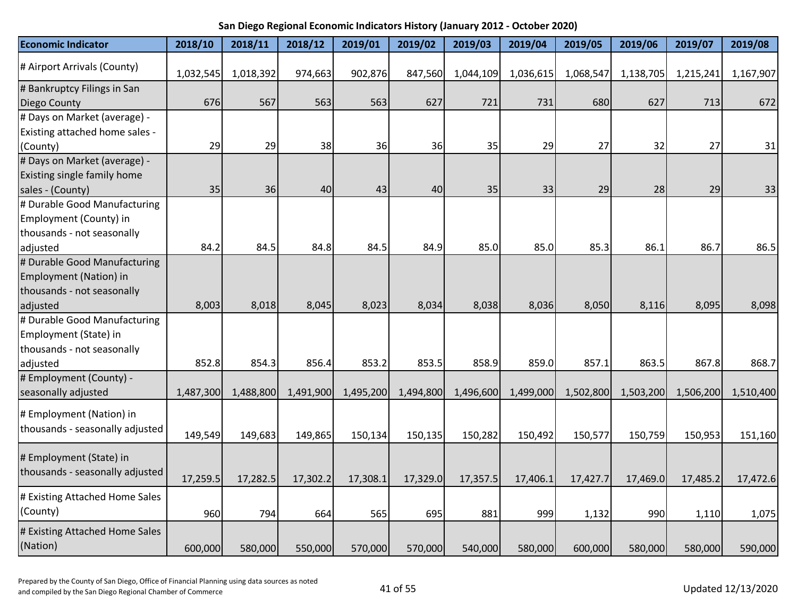| <b>Economic Indicator</b>                                                            | 2018/10   | 2018/11   | 2018/12   | 2019/01   | 2019/02   | 2019/03   | 2019/04   | 2019/05   | 2019/06   | 2019/07   | 2019/08   |
|--------------------------------------------------------------------------------------|-----------|-----------|-----------|-----------|-----------|-----------|-----------|-----------|-----------|-----------|-----------|
| # Airport Arrivals (County)                                                          | 1,032,545 | 1,018,392 | 974,663   | 902,876   | 847,560   | 1,044,109 | 1,036,615 | 1,068,547 | 1,138,705 | 1,215,241 | 1,167,907 |
| # Bankruptcy Filings in San<br><b>Diego County</b>                                   | 676       | 567       | 563       | 563       | 627       | 721       | 731       | 680       | 627       | 713       | 672       |
| # Days on Market (average) -<br>Existing attached home sales -                       |           |           |           |           |           |           |           |           |           |           |           |
| (County)                                                                             | 29        | 29        | 38        | 36        | 36        | 35        | 29        | 27        | 32        | 27        | 31        |
| # Days on Market (average) -<br>Existing single family home<br>sales - (County)      | 35        | 36        | 40        | 43        | 40        | 35        | 33        | 29        | 28        | 29        | 33        |
| # Durable Good Manufacturing<br>Employment (County) in<br>thousands - not seasonally |           |           |           |           |           |           |           |           |           |           |           |
| adjusted                                                                             | 84.2      | 84.5      | 84.8      | 84.5      | 84.9      | 85.0      | 85.0      | 85.3      | 86.1      | 86.7      | 86.5      |
| # Durable Good Manufacturing<br>Employment (Nation) in<br>thousands - not seasonally |           |           |           |           |           |           |           |           |           |           |           |
| adjusted                                                                             | 8,003     | 8,018     | 8,045     | 8,023     | 8,034     | 8,038     | 8,036     | 8,050     | 8,116     | 8,095     | 8,098     |
| # Durable Good Manufacturing<br>Employment (State) in<br>thousands - not seasonally  |           |           |           |           |           |           |           |           |           |           |           |
| adjusted                                                                             | 852.8     | 854.3     | 856.4     | 853.2     | 853.5     | 858.9     | 859.0     | 857.1     | 863.5     | 867.8     | 868.7     |
| # Employment (County) -<br>seasonally adjusted                                       | 1,487,300 | 1,488,800 | 1,491,900 | 1,495,200 | 1,494,800 | 1,496,600 | 1,499,000 | 1,502,800 | 1,503,200 | 1,506,200 | 1,510,400 |
| # Employment (Nation) in<br>thousands - seasonally adjusted                          | 149,549   | 149,683   | 149,865   | 150,134   | 150,135   | 150,282   | 150,492   | 150,577   | 150,759   | 150,953   | 151,160   |
| # Employment (State) in<br>thousands - seasonally adjusted                           | 17,259.5  | 17,282.5  | 17,302.2  | 17,308.1  | 17,329.0  | 17,357.5  | 17,406.1  | 17,427.7  | 17,469.0  | 17,485.2  | 17,472.6  |
| # Existing Attached Home Sales<br>(County)                                           | 960       | 794       | 664       | 565       | 695       | 881       | 999       | 1,132     | 990       | 1,110     | 1,075     |
| # Existing Attached Home Sales<br>(Nation)                                           | 600,000   | 580,000   | 550,000   | 570,000   | 570,000   | 540,000   | 580,000   | 600,000   | 580,000   | 580,000   | 590,000   |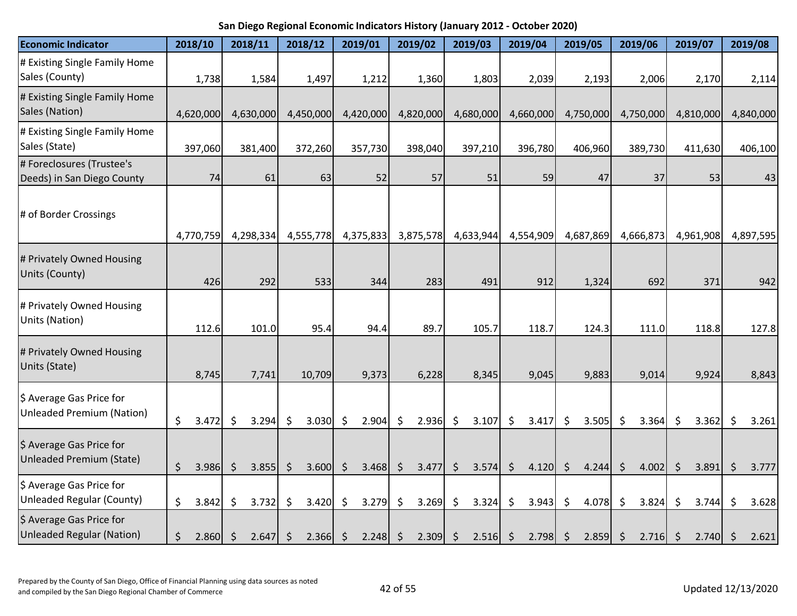| <b>Economic Indicator</b>                                    | 2018/10              | 2018/11            |            | 2018/12          |                     | 2019/01         | 2019/02     |         | 2019/03    | 2019/04     |         | 2019/05    |                    | 2019/06   |                    | 2019/07   |         | 2019/08   |
|--------------------------------------------------------------|----------------------|--------------------|------------|------------------|---------------------|-----------------|-------------|---------|------------|-------------|---------|------------|--------------------|-----------|--------------------|-----------|---------|-----------|
| # Existing Single Family Home<br>Sales (County)              | 1,738                |                    | 1,584      | 1,497            |                     | 1,212           | 1,360       |         | 1,803      | 2,039       |         | 2,193      |                    | 2,006     |                    | 2,170     |         | 2,114     |
| # Existing Single Family Home<br>Sales (Nation)              | 4,620,000            | 4,630,000          |            | 4,450,000        |                     | 4,420,000       | 4,820,000   |         | 4,680,000  | 4,660,000   |         | 4,750,000  |                    | 4,750,000 |                    | 4,810,000 |         | 4,840,000 |
| # Existing Single Family Home<br>Sales (State)               | 397,060              | 381,400            |            | 372,260          |                     | 357,730         | 398,040     |         | 397,210    | 396,780     |         | 406,960    |                    | 389,730   |                    | 411,630   |         | 406,100   |
| # Foreclosures (Trustee's<br>Deeds) in San Diego County      | 74                   |                    | 61         | 63               |                     | 52              | 57          |         | 51         | 59          |         | 47         |                    | 37        |                    | 53        |         | 43        |
| # of Border Crossings                                        | 4,770,759            | 4,298,334          |            | 4,555,778        |                     | 4,375,833       | 3,875,578   |         | 4,633,944  | 4,554,909   |         | 4,687,869  |                    | 4,666,873 |                    | 4,961,908 |         | 4,897,595 |
| # Privately Owned Housing<br>Units (County)                  | 426                  |                    | 292        | 533              |                     | 344             | 283         |         | 491        | 912         |         | 1,324      |                    | 692       |                    | 371       |         | 942       |
| # Privately Owned Housing<br>Units (Nation)                  | 112.6                |                    | 101.0      | 95.4             |                     | 94.4            | 89.7        |         | 105.7      | 118.7       |         | 124.3      |                    | 111.0     |                    | 118.8     |         | 127.8     |
| # Privately Owned Housing<br>Units (State)                   | 8,745                |                    | 7,741      | 10,709           |                     | 9,373           | 6,228       |         | 8,345      | 9,045       |         | 9,883      |                    | 9,014     |                    | 9,924     |         | 8,843     |
| \$ Average Gas Price for<br><b>Unleaded Premium (Nation)</b> | \$<br>3.472          | \$                 | 3.294      | 3.030<br>- \$    | $\ddot{\mathsf{s}}$ | 2.904           | \$<br>2.936 | \$      | 3.107      | \$<br>3.417 | \$      | 3.505      | $\ddot{\varsigma}$ | 3.364     | \$                 | 3.362     | \$      | 3.261     |
| \$ Average Gas Price for<br>Unleaded Premium (State)         | \$<br>3.986          | $\ddot{\varsigma}$ | $3.855$ \$ | $3.600 \mid \xi$ |                     | $3.468$ \$      | 3.477       | $\zeta$ | $3.574$ \$ | 4.120       | $\zeta$ | 4.244 \$   |                    | 4.002     | $\ddot{\varsigma}$ | 3.891     | $\zeta$ | 3.777     |
| \$ Average Gas Price for<br><b>Unleaded Regular (County)</b> | \$<br>3.842          | \$                 | 3.732      | \$<br>3.420      | $\ddot{\varsigma}$  | 3.279           | \$<br>3.269 | \$      | 3.324      | \$<br>3.943 | \$      | 4.078      | \$                 | 3.824     | \$                 | 3.744     | \$      | 3.628     |
| \$ Average Gas Price for<br><b>Unleaded Regular (Nation)</b> | \$<br>$2.860 \mid 5$ |                    | 2.647      | $2.366$ \$<br>\$ |                     | $2.248 \mid$ \$ | $2.309$ \$  |         | $2.516$ \$ | $2.798$ \$  |         | $2.859$ \$ |                    | 2.716     | $\zeta$            | 2.740     | \$      | 2.621     |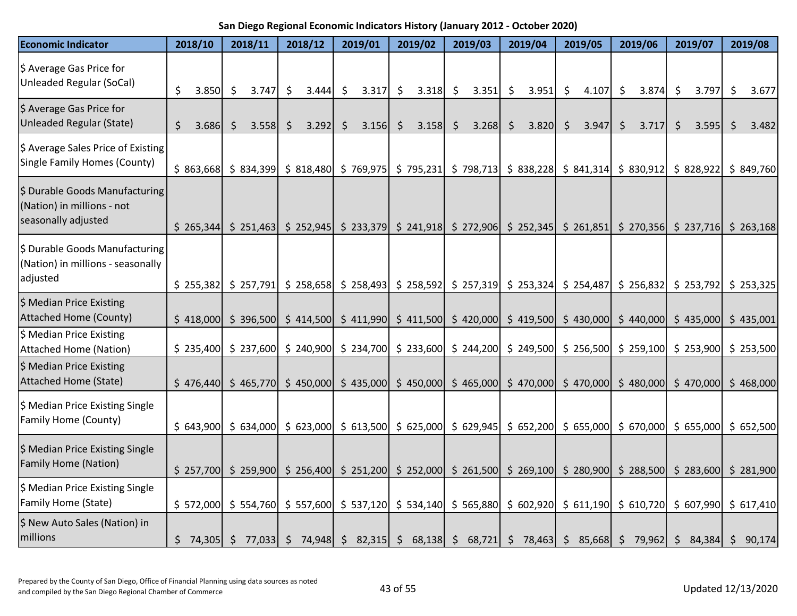| <b>Economic Indicator</b>                                                           |                    | 2018/10        |    | 2018/11   |     | 2018/12 |         | 2019/01         |         | 2019/02 |         | 2019/03                                                                                                                                                                                               |         | 2019/04 |         | 2019/05 |                    | 2019/06 | 2019/07                                                                                                                  | 2019/08     |
|-------------------------------------------------------------------------------------|--------------------|----------------|----|-----------|-----|---------|---------|-----------------|---------|---------|---------|-------------------------------------------------------------------------------------------------------------------------------------------------------------------------------------------------------|---------|---------|---------|---------|--------------------|---------|--------------------------------------------------------------------------------------------------------------------------|-------------|
| \$ Average Gas Price for<br><b>Unleaded Regular (SoCal)</b>                         | \$                 | $3.850 \mid 5$ |    | 3.747     | -\$ | 3.444   | $\zeta$ | $3.317 \mid$ \$ |         | 3.318   | \$      | 3.351                                                                                                                                                                                                 | \$      | 3.951   | \$      | 4.107   | $\ddot{\varsigma}$ | 3.874   | \$<br>3.797                                                                                                              | \$<br>3.677 |
| \$ Average Gas Price for<br><b>Unleaded Regular (State)</b>                         | $\mathsf{\dot{S}}$ | 3.686          | Ŝ. | 3.558     |     | 3.292   | $\zeta$ | 3.156           | $\zeta$ | 3.158   | $\zeta$ | 3.268                                                                                                                                                                                                 | $\zeta$ | 3.820   | $\zeta$ | 3.947   | $\zeta$            | 3.717   | \$<br>3.595                                                                                                              | \$<br>3.482 |
| \$ Average Sales Price of Existing<br><b>Single Family Homes (County)</b>           |                    |                |    |           |     |         |         |                 |         |         |         |                                                                                                                                                                                                       |         |         |         |         |                    |         | \$863,668 \$834,399 \$818,480 \$769,975 \$795,231 \$798,713 \$838,228 \$841,314 \$830,912 \$828,922 \$849,760            |             |
| \$ Durable Goods Manufacturing<br>(Nation) in millions - not<br>seasonally adjusted |                    | \$265,344      |    |           |     |         |         |                 |         |         |         |                                                                                                                                                                                                       |         |         |         |         |                    |         | \$ 251,463 \$ 252,945 \$ 233,379 \$ 241,918 \$ 272,906 \$ 252,345 \$ 261,851 \$ 270,356 \$ 237,716 \$ 263,168            |             |
| \$ Durable Goods Manufacturing<br>(Nation) in millions - seasonally<br>adjusted     |                    | \$255,382      |    | \$257,791 |     |         |         |                 |         |         |         | $\frac{1}{2}$ 258,658 $\frac{1}{2}$ 258,493 $\frac{1}{2}$ 258,592 $\frac{1}{2}$ 257,319 $\frac{1}{2}$ 253,324 $\frac{1}{2}$ 254,487 $\frac{1}{2}$ 256,832                                             |         |         |         |         |                    |         | \$253,792                                                                                                                | \$253,325   |
| \$ Median Price Existing<br><b>Attached Home (County)</b>                           |                    |                |    |           |     |         |         |                 |         |         |         | $\frac{1}{2}$ 418,000 $\frac{1}{2}$ 396,500 $\frac{1}{2}$ 414,500 $\frac{1}{2}$ 411,990 $\frac{1}{2}$ 411,500 $\frac{1}{2}$ 420,000 $\frac{1}{2}$ 419,500 $\frac{1}{2}$ 430,000 $\frac{1}{2}$ 440,000 |         |         |         |         |                    |         | \$435,000                                                                                                                | \$435,001   |
| \$ Median Price Existing<br><b>Attached Home (Nation)</b>                           |                    | \$235,400      |    |           |     |         |         |                 |         |         |         |                                                                                                                                                                                                       |         |         |         |         |                    |         | \$ 237,600 \$ 240,900 \$ 234,700 \$ 233,600 \$ 244,200 \$ 249,500 \$ 256,500 \$ 259,100 \$ 253,900 \$ 253,500            |             |
| \$ Median Price Existing<br><b>Attached Home (State)</b>                            |                    |                |    |           |     |         |         |                 |         |         |         |                                                                                                                                                                                                       |         |         |         |         |                    |         | \$ 476,440 \$ 465,770 \$ 450,000 \$ 435,000 \$ 450,000 \$ 465,000 \$ 470,000 \$ 470,000 \$ 480,000 \$ 470,000 \$ 468,000 |             |
| \$ Median Price Existing Single<br>Family Home (County)                             |                    |                |    |           |     |         |         |                 |         |         |         |                                                                                                                                                                                                       |         |         |         |         |                    |         | \$ 643,900 \$ 634,000 \$ 623,000 \$ 613,500 \$ 625,000 \$ 629,945 \$ 652,200 \$ 655,000 \$ 670,000 \$ 655,000 \$ 652,500 |             |
| \$ Median Price Existing Single<br><b>Family Home (Nation)</b>                      |                    |                |    |           |     |         |         |                 |         |         |         |                                                                                                                                                                                                       |         |         |         |         |                    |         | \$ 257,700 \$ 259,900 \$ 256,400 \$ 251,200 \$ 252,000 \$ 261,500 \$ 269,100 \$ 280,900 \$ 288,500 \$ 283,600 \$ 281,900 |             |
| \$ Median Price Existing Single<br><b>Family Home (State)</b>                       |                    |                |    |           |     |         |         |                 |         |         |         |                                                                                                                                                                                                       |         |         |         |         |                    |         | \$ 572,000 \$ 554,760 \$ 557,600 \$ 537,120 \$ 534,140 \$ 565,880 \$ 602,920 \$ 611,190 \$ 610,720 \$ 607,990 \$ 617,410 |             |
| \$ New Auto Sales (Nation) in<br>millions                                           |                    |                |    |           |     |         |         |                 |         |         |         | $\frac{1}{2}$ 74,305 $\frac{1}{2}$ 77,033 $\frac{1}{2}$ 74,948 $\frac{1}{2}$ 82,315 $\frac{1}{2}$ 68,138 $\frac{1}{2}$ 68,721 $\frac{1}{2}$ 78,463 $\frac{1}{2}$ 85,668 $\frac{1}{2}$ 79,962          |         |         |         |         |                    |         | \$84,384                                                                                                                 | \$90,174    |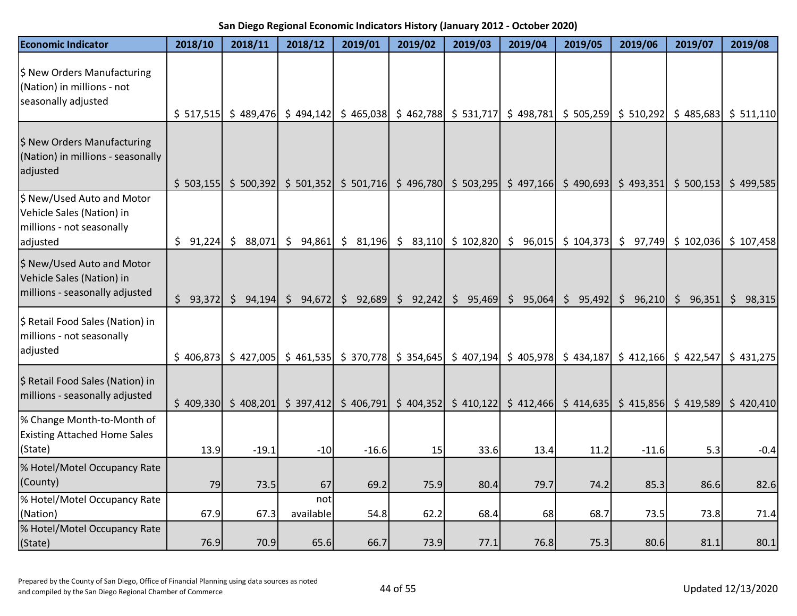| <b>Economic Indicator</b>                                                                        | 2018/10  | 2018/11  | 2018/12                                                                                                                                                                     | 2019/01 | 2019/02 | 2019/03 | 2019/04                                                                                                                                                                                                                     | 2019/05 | 2019/06 | 2019/07  | 2019/08               |
|--------------------------------------------------------------------------------------------------|----------|----------|-----------------------------------------------------------------------------------------------------------------------------------------------------------------------------|---------|---------|---------|-----------------------------------------------------------------------------------------------------------------------------------------------------------------------------------------------------------------------------|---------|---------|----------|-----------------------|
| \$ New Orders Manufacturing<br>(Nation) in millions - not<br>seasonally adjusted                 |          |          | $$ 517,515$ $$ 489,476$ $$ 494,142$                                                                                                                                         |         |         |         | $\frac{1}{2}$ 465,038 $\frac{1}{2}$ 462,788 $\frac{1}{2}$ 531,717 $\frac{1}{2}$ 498,781 $\frac{1}{2}$ 505,259 $\frac{1}{2}$ 510,292 $\frac{1}{2}$ 485,683 $\frac{1}{2}$ 511,110                                             |         |         |          |                       |
| \$ New Orders Manufacturing<br>(Nation) in millions - seasonally<br>adjusted                     |          |          |                                                                                                                                                                             |         |         |         | $\frac{1}{2}$ 503,155 $\frac{1}{2}$ 500,392 $\frac{1}{2}$ 501,352 $\frac{1}{2}$ 501,716 $\frac{1}{2}$ 496,780 $\frac{1}{2}$ 503,295 $\frac{1}{2}$ 497,166 $\frac{1}{2}$ 490,693 $\frac{1}{2}$ 493,351                       |         |         |          | $$500,153$ $$499,585$ |
| \$ New/Used Auto and Motor<br>Vehicle Sales (Nation) in<br>millions - not seasonally<br>adjusted | \$91,224 | \$88,071 | \$94,861                                                                                                                                                                    |         |         |         | $\binom{5}{5}$ 81,196 $\binom{5}{5}$ 83,110 $\binom{5}{5}$ 102,820 $\binom{5}{5}$ 96,015 $\binom{5}{5}$ 104,373 $\binom{5}{5}$ 97,749 $\binom{5}{5}$ 102,036                                                                |         |         |          | \$107,458             |
| \$ New/Used Auto and Motor<br>Vehicle Sales (Nation) in<br>millions - seasonally adjusted        | \$93,372 |          | $\begin{bmatrix} 5 & 94,194 \end{bmatrix}$ $\begin{bmatrix} 5 & 94,672 \end{bmatrix}$ $\begin{bmatrix} 5 & 92,689 \end{bmatrix}$ $\begin{bmatrix} 5 & 92,242 \end{bmatrix}$ |         |         |         | $\frac{1}{5}$ 95,469 $\frac{1}{5}$ 95,064 $\frac{1}{5}$ 95,492 $\frac{1}{5}$ 96,210                                                                                                                                         |         |         | \$96,351 | \$98,315              |
| \$ Retail Food Sales (Nation) in<br>millions - not seasonally<br>adjusted                        |          |          |                                                                                                                                                                             |         |         |         | $\frac{1}{2}$ 406,873 $\frac{1}{2}$ 427,005 $\frac{1}{2}$ 461,535 $\frac{1}{2}$ 370,778 $\frac{1}{2}$ 354,645 $\frac{1}{2}$ 407,194 $\frac{1}{2}$ 405,978 $\frac{1}{2}$ 434,187 $\frac{1}{2}$ 412,166 $\frac{1}{2}$ 422,547 |         |         |          | \$431,275             |
| \$ Retail Food Sales (Nation) in<br>millions - seasonally adjusted                               |          |          |                                                                                                                                                                             |         |         |         | \$ 409,330 \$ 408,201 \$ 397,412 \$ 406,791 \$ 404,352 \$ 410,122 \$ 412,466 \$ 414,635 \$ 415,856 \$ 419,589 \$ 420,410                                                                                                    |         |         |          |                       |
| % Change Month-to-Month of<br><b>Existing Attached Home Sales</b><br>(State)                     | 13.9     | $-19.1$  | $-10$                                                                                                                                                                       | $-16.6$ | 15      | 33.6    | 13.4                                                                                                                                                                                                                        | 11.2    | $-11.6$ | 5.3      | $-0.4$                |
| % Hotel/Motel Occupancy Rate<br>(County)                                                         | 79       | 73.5     | 67                                                                                                                                                                          | 69.2    | 75.9    | 80.4    | 79.7                                                                                                                                                                                                                        | 74.2    | 85.3    | 86.6     | 82.6                  |
| % Hotel/Motel Occupancy Rate<br>(Nation)                                                         | 67.9     | 67.3     | not<br>available                                                                                                                                                            | 54.8    | 62.2    | 68.4    | 68                                                                                                                                                                                                                          | 68.7    | 73.5    | 73.8     | 71.4                  |
| % Hotel/Motel Occupancy Rate<br>(State)                                                          | 76.9     | 70.9     | 65.6                                                                                                                                                                        | 66.7    | 73.9    | 77.1    | 76.8                                                                                                                                                                                                                        | 75.3    | 80.6    | 81.1     | 80.1                  |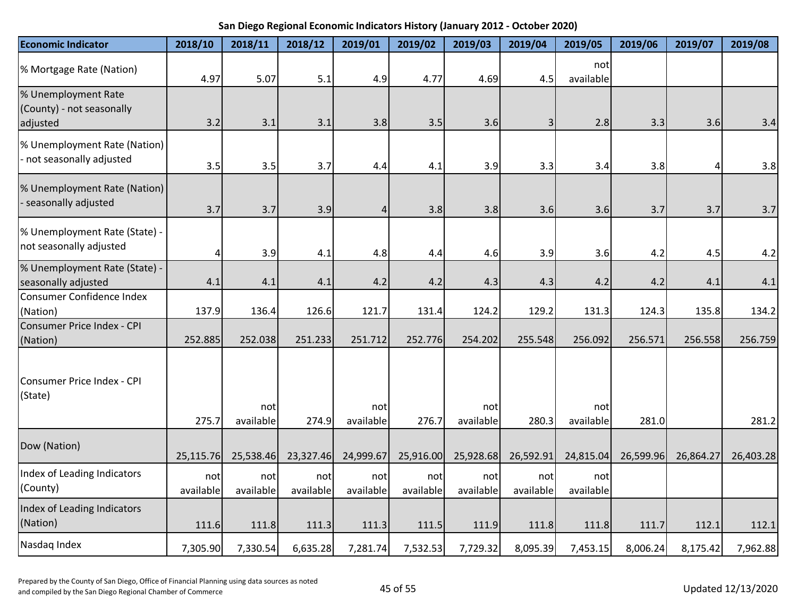| <b>Economic Indicator</b>                                    | 2018/10           | 2018/11          | 2018/12          | 2019/01          | 2019/02          | 2019/03          | 2019/04          | 2019/05          | 2019/06   | 2019/07   | 2019/08   |
|--------------------------------------------------------------|-------------------|------------------|------------------|------------------|------------------|------------------|------------------|------------------|-----------|-----------|-----------|
| % Mortgage Rate (Nation)                                     | 4.97              | 5.07             | 5.1              | 4.9              | 4.77             | 4.69             | 4.5              | not<br>available |           |           |           |
| % Unemployment Rate<br>(County) - not seasonally<br>adjusted | 3.2               | 3.1              | 3.1              | 3.8              | 3.5              | 3.6              | $\overline{3}$   | 2.8              | 3.3       | 3.6       | 3.4       |
| % Unemployment Rate (Nation)<br>- not seasonally adjusted    | 3.5               | 3.5              | 3.7              | 4.4              | 4.1              | 3.9              | 3.3              | 3.4              | 3.8       | 4         | 3.8       |
| % Unemployment Rate (Nation)<br>- seasonally adjusted        | 3.7               | 3.7              | 3.9              | $\vert 4 \vert$  | 3.8              | 3.8              | 3.6              | 3.6              | 3.7       | 3.7       | 3.7       |
| % Unemployment Rate (State) -<br>not seasonally adjusted     | 4                 | 3.9              | 4.1              | 4.8              | 4.4              | 4.6              | 3.9              | 3.6              | 4.2       | 4.5       | 4.2       |
| % Unemployment Rate (State) -<br>seasonally adjusted         | 4.1               | 4.1              | 4.1              | 4.2              | 4.2              | 4.3              | 4.3              | 4.2              | 4.2       | 4.1       | 4.1       |
| Consumer Confidence Index<br>(Nation)                        | 137.9             | 136.4            | 126.6            | 121.7            | 131.4            | 124.2            | 129.2            | 131.3            | 124.3     | 135.8     | 134.2     |
| Consumer Price Index - CPI<br>(Nation)                       | 252.885           | 252.038          | 251.233          | 251.712          | 252.776          | 254.202          | 255.548          | 256.092          | 256.571   | 256.558   | 256.759   |
| Consumer Price Index - CPI<br>(State)                        | 275.7             | not<br>available | 274.9            | not<br>available | 276.7            | not<br>available | 280.3            | not<br>available | 281.0     |           | 281.2     |
| Dow (Nation)                                                 | 25,115.76         | 25,538.46        | 23,327.46        | 24,999.67        | 25,916.00        | 25,928.68        | 26,592.91        | 24,815.04        | 26,599.96 | 26,864.27 | 26,403.28 |
| Index of Leading Indicators<br>(County)                      | notl<br>available | not<br>available | not<br>available | not<br>available | not<br>available | not<br>available | not<br>available | not<br>available |           |           |           |
| Index of Leading Indicators<br>(Nation)                      | 111.6             | 111.8            | 111.3            | 111.3            | 111.5            | 111.9            | 111.8            | 111.8            | 111.7     | 112.1     | 112.1     |
| Nasdaq Index                                                 | 7,305.90          | 7,330.54         | 6,635.28         | 7,281.74         | 7,532.53         | 7,729.32         | 8,095.39         | 7,453.15         | 8,006.24  | 8,175.42  | 7,962.88  |

Prepared by the County of San Diego, Office of Financial Planning using data sources as noted and compiled by the San Diego, Since of Thinking and San Exerces as noted<br>and compiled by the San Diego Regional Chamber of Commerce 45 of 55 Updated 12/13/2020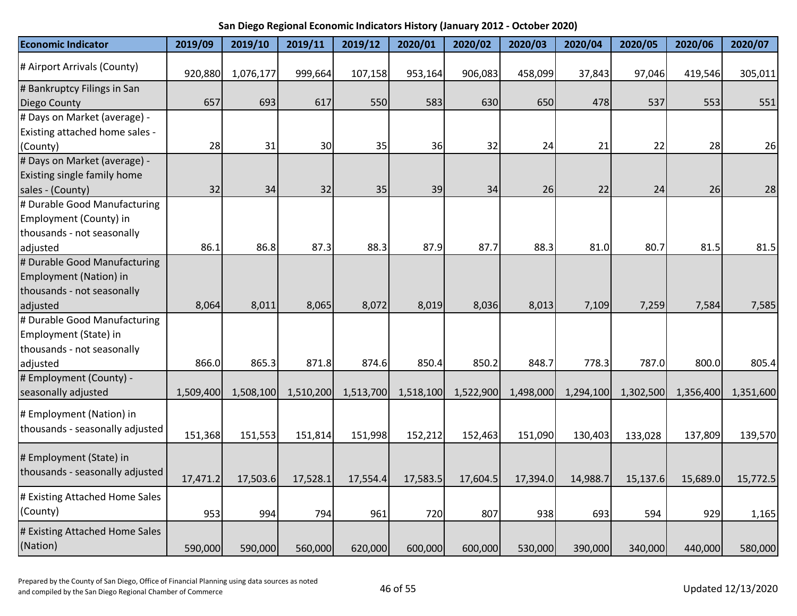| <b>Economic Indicator</b>                                                            | 2019/09   | 2019/10   | 2019/11   | 2019/12   | 2020/01   | 2020/02   | 2020/03   | 2020/04   | 2020/05   | 2020/06   | 2020/07   |
|--------------------------------------------------------------------------------------|-----------|-----------|-----------|-----------|-----------|-----------|-----------|-----------|-----------|-----------|-----------|
| # Airport Arrivals (County)                                                          | 920,880   | 1,076,177 | 999,664   | 107,158   | 953,164   | 906,083   | 458,099   | 37,843    | 97,046    | 419,546   | 305,011   |
| # Bankruptcy Filings in San<br>Diego County                                          | 657       | 693       | 617       | 550       | 583       | 630       | 650       | 478       | 537       | 553       | 551       |
| # Days on Market (average) -<br>Existing attached home sales -                       |           |           |           |           |           |           |           |           |           |           |           |
| (County)                                                                             | 28        | 31        | 30        | 35        | 36        | 32        | 24        | 21        | 22        | 28        | 26        |
| # Days on Market (average) -<br>Existing single family home                          |           |           |           |           |           |           |           |           |           |           |           |
| sales - (County)                                                                     | 32        | 34        | 32        | 35        | 39        | 34        | 26        | 22        | 24        | 26        | 28        |
| # Durable Good Manufacturing<br>Employment (County) in<br>thousands - not seasonally |           |           |           |           |           |           |           |           |           |           |           |
| adjusted                                                                             | 86.1      | 86.8      | 87.3      | 88.3      | 87.9      | 87.7      | 88.3      | 81.0      | 80.7      | 81.5      | 81.5      |
| # Durable Good Manufacturing<br>Employment (Nation) in<br>thousands - not seasonally |           |           |           |           |           |           |           |           |           |           |           |
| adjusted                                                                             | 8,064     | 8,011     | 8,065     | 8,072     | 8,019     | 8,036     | 8,013     | 7,109     | 7,259     | 7,584     | 7,585     |
| # Durable Good Manufacturing<br>Employment (State) in<br>thousands - not seasonally  |           |           |           |           |           |           |           |           |           |           |           |
| adjusted                                                                             | 866.0     | 865.3     | 871.8     | 874.6     | 850.4     | 850.2     | 848.7     | 778.3     | 787.0     | 800.0     | 805.4     |
| # Employment (County) -<br>seasonally adjusted                                       | 1,509,400 | 1,508,100 | 1,510,200 | 1,513,700 | 1,518,100 | 1,522,900 | 1,498,000 | 1,294,100 | 1,302,500 | 1,356,400 | 1,351,600 |
| # Employment (Nation) in<br>thousands - seasonally adjusted                          | 151,368   | 151,553   | 151,814   | 151,998   | 152,212   | 152,463   | 151,090   | 130,403   | 133,028   | 137,809   | 139,570   |
| # Employment (State) in<br>thousands - seasonally adjusted                           | 17,471.2  | 17,503.6  | 17,528.1  | 17,554.4  | 17,583.5  | 17,604.5  | 17,394.0  | 14,988.7  | 15,137.6  | 15,689.0  | 15,772.5  |
| # Existing Attached Home Sales<br>(County)                                           | 953       | 994       | 794       | 961       | 720       | 807       | 938       | 693       | 594       | 929       | 1,165     |
| # Existing Attached Home Sales<br>(Nation)                                           | 590,000   | 590,000   | 560,000   | 620,000   | 600,000   | 600,000   | 530,000   | 390,000   | 340,000   | 440,000   | 580,000   |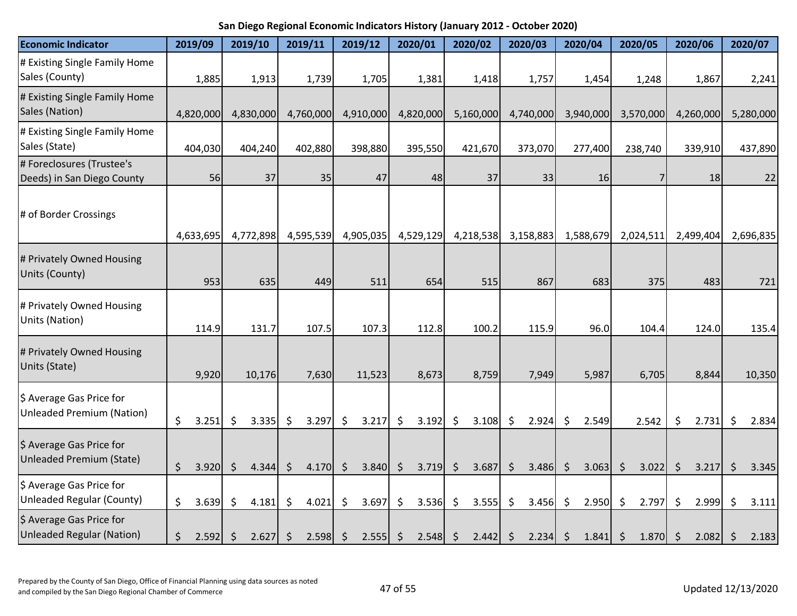| <b>Economic Indicator</b>                                    | 2019/09   |                 | 2019/10   |         | 2019/11      |            |              | 2019/12          |         | 2020/01             | 2020/02     |                    | 2020/03    |         | 2020/04    |         | 2020/05        |                    | 2020/06   |         | 2020/07   |
|--------------------------------------------------------------|-----------|-----------------|-----------|---------|--------------|------------|--------------|------------------|---------|---------------------|-------------|--------------------|------------|---------|------------|---------|----------------|--------------------|-----------|---------|-----------|
| # Existing Single Family Home<br>Sales (County)              |           | 1,885           |           | 1,913   |              | 1,739      |              | 1,705            |         | 1,381               | 1,418       |                    | 1,757      |         | 1,454      |         | 1,248          |                    | 1,867     |         | 2,241     |
| # Existing Single Family Home<br>Sales (Nation)              | 4,820,000 |                 | 4,830,000 |         | 4,760,000    |            |              | 4,910,000        |         | 4,820,000           | 5,160,000   |                    | 4,740,000  |         | 3,940,000  |         | 3,570,000      |                    | 4,260,000 |         | 5,280,000 |
| # Existing Single Family Home<br>Sales (State)               |           | 404,030         |           | 404,240 | 402,880      |            |              | 398,880          |         | 395,550             | 421,670     |                    | 373,070    |         | 277,400    |         | 238,740        |                    | 339,910   |         | 437,890   |
| # Foreclosures (Trustee's<br>Deeds) in San Diego County      |           | 56              |           | 37      |              | 35         |              | 47               |         | 48                  | 37          |                    | 33         |         | 16         |         | $\overline{7}$ |                    | 18        |         | 22        |
| # of Border Crossings                                        | 4,633,695 |                 | 4,772,898 |         | 4,595,539    |            |              | 4,905,035        |         | 4,529,129           | 4,218,538   |                    | 3,158,883  |         | 1,588,679  |         | 2,024,511      |                    | 2,499,404 |         | 2,696,835 |
| # Privately Owned Housing<br>Units (County)                  |           | 953             |           | 635     |              | 449        |              | 511              |         | 654                 | 515         |                    | 867        |         | 683        |         | 375            |                    | 483       |         | 721       |
| # Privately Owned Housing<br>Units (Nation)                  |           | 114.9           |           | 131.7   |              | 107.5      |              | 107.3            |         | 112.8               | 100.2       |                    | 115.9      |         | 96.0       |         | 104.4          |                    | 124.0     |         | 135.4     |
| # Privately Owned Housing<br>Units (State)                   |           | 9,920           |           | 10,176  |              | 7,630      |              | 11,523           |         | 8,673               | 8,759       |                    | 7,949      |         | 5,987      |         | 6,705          |                    | 8,844     |         | 10,350    |
| \$ Average Gas Price for<br><b>Unleaded Premium (Nation)</b> | \$        | 3.251           | \$        | 3.335   | \$           | 3.297      | $\zeta$      | 3.217            | $\zeta$ | 3.192               | \$<br>3.108 | $\ddot{\varsigma}$ | 2.924      | $\zeta$ | 2.549      |         | 2.542          | \$                 | 2.731     | \$      | 2.834     |
| \$ Average Gas Price for<br>Unleaded Premium (State)         | $\zeta$   | 3.920           | $\zeta$   | 4.344   | $\mathsf{S}$ |            | $4.170 \div$ | $3.840 \mid \xi$ |         | 3.719 $\frac{1}{2}$ | 3.687       | $\ddot{\varsigma}$ | 3.486      | $\zeta$ | $3.063$ \$ |         | 3.022          | $\ddot{\varsigma}$ | 3.217     | $\zeta$ | 3.345     |
| \$ Average Gas Price for<br>Unleaded Regular (County)        | \$        | 3.639           | \$        | 4.181   | \$           | 4.021      | \$           | 3.697            | \$      | 3.536               | \$<br>3.555 | \$                 | 3.456      | \$      | 2.950      | \$      | 2.797          | \$                 | 2.999     | \$      | 3.111     |
| \$ Average Gas Price for<br><b>Unleaded Regular (Nation)</b> | \$        | $2.592 \mid$ \$ |           | 2.627   | \$           | $2.598$ \$ |              | $2.555$ \$       |         | $2.548$ \$          | 2.442       | $\zeta$            | $2.234$ \$ |         | 1.841      | $\zeta$ | 1.870          | $\zeta$            | 2.082     | \$      | 2.183     |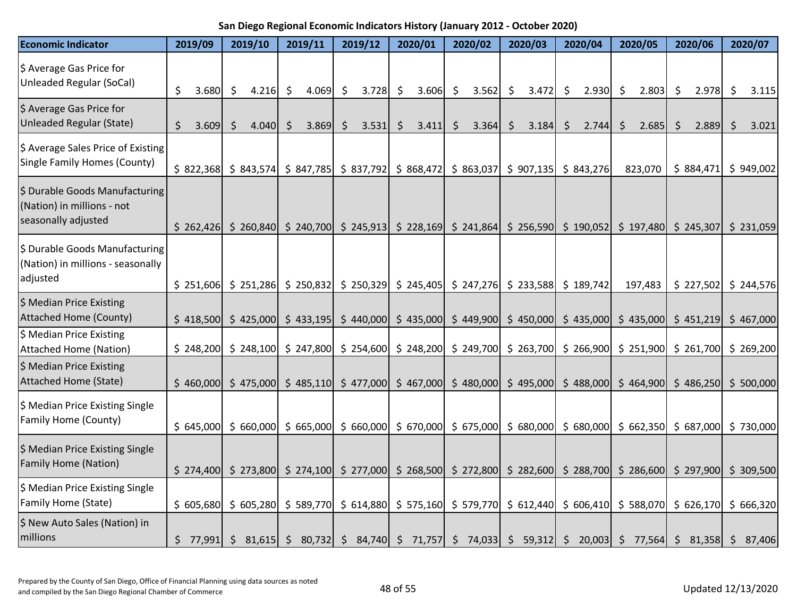| <b>Economic Indicator</b>                                                           |     | 2019/09   |         | 2019/10         | 2019/11 |         | 2019/12                                                                                                                                                                                               |         | 2020/01 |         | 2020/02 |         | 2020/03 | 2020/04     |                    | 2020/05 |                       | 2020/06                                                                                                                                                                                                        | 2020/07     |
|-------------------------------------------------------------------------------------|-----|-----------|---------|-----------------|---------|---------|-------------------------------------------------------------------------------------------------------------------------------------------------------------------------------------------------------|---------|---------|---------|---------|---------|---------|-------------|--------------------|---------|-----------------------|----------------------------------------------------------------------------------------------------------------------------------------------------------------------------------------------------------------|-------------|
| \$ Average Gas Price for<br><b>Unleaded Regular (SoCal)</b>                         | \$  | 3.680     | \$      | $4.216 \mid$ \$ | 4.069   | $\zeta$ | 3.728                                                                                                                                                                                                 | \$      | 3.606   | \$      | 3.562   | \$      | 3.472   | \$<br>2.930 | $\ddot{\varsigma}$ | 2.803   | \$                    | 2.978                                                                                                                                                                                                          | \$<br>3.115 |
| \$ Average Gas Price for<br><b>Unleaded Regular (State)</b>                         |     | 3.609     | $\zeta$ | 4.040           | 3.869   | $\zeta$ | 3.531                                                                                                                                                                                                 | $\zeta$ | 3.411   | $\zeta$ | 3.364   | $\zeta$ | 3.184   | \$<br>2.744 | $\zeta$            | 2.685   | $\mathsf{\mathsf{S}}$ | 2.889                                                                                                                                                                                                          | \$<br>3.021 |
| \$ Average Sales Price of Existing<br><b>Single Family Homes (County)</b>           |     |           |         |                 |         |         | $\frac{1}{2}$ 822,368 $\frac{1}{2}$ 843,574 $\frac{1}{2}$ 847,785 $\frac{1}{2}$ 837,792 $\frac{1}{2}$ 868,472 $\frac{1}{2}$ 863,037 $\frac{1}{2}$ 907,135 $\frac{1}{2}$ 843,276                       |         |         |         |         |         |         |             |                    | 823,070 |                       | $$884,471$ $$949,002$                                                                                                                                                                                          |             |
| \$ Durable Goods Manufacturing<br>(Nation) in millions - not<br>seasonally adjusted |     | \$262,426 |         |                 |         |         |                                                                                                                                                                                                       |         |         |         |         |         |         |             |                    |         |                       | $\binom{1}{2}$ 240,840 $\binom{1}{2}$ 240,700 $\binom{2}{3}$ 245,913 $\binom{2}{3}$ 228,169 $\binom{2}{3}$ 241,864 $\binom{2}{3}$ 256,590 $\binom{3}{3}$ 190,052 $\binom{3}{3}$ 197,480 $\binom{4}{3}$ 245,307 | \$231,059   |
| \$ Durable Goods Manufacturing<br>(Nation) in millions - seasonally<br>adjusted     |     | \$251,606 |         |                 |         |         | $\frac{1}{2}$ 251,286 $\frac{1}{2}$ 250,832 $\frac{1}{2}$ 250,329 $\frac{1}{2}$ 245,405 $\frac{1}{2}$ 247,276 $\frac{1}{2}$ 233,588 $\frac{1}{2}$ 189,742                                             |         |         |         |         |         |         |             |                    | 197,483 |                       | \$227,502                                                                                                                                                                                                      | \$244,576   |
| \$ Median Price Existing<br><b>Attached Home (County)</b>                           |     |           |         |                 |         |         | $\frac{1}{2}$ 418,500 $\frac{1}{2}$ 425,000 $\frac{1}{2}$ 433,195 $\frac{1}{2}$ 440,000 $\frac{1}{2}$ 435,000 $\frac{1}{2}$ 449,900 $\frac{1}{2}$ 450,000 $\frac{1}{2}$ 435,000 $\frac{1}{2}$ 435,000 |         |         |         |         |         |         |             |                    |         |                       | \$451,219                                                                                                                                                                                                      | \$467,000   |
| \$ Median Price Existing<br><b>Attached Home (Nation)</b>                           |     | \$248,200 |         |                 |         |         |                                                                                                                                                                                                       |         |         |         |         |         |         |             |                    |         |                       | $\frac{1}{2}$ 248,100 $\frac{1}{2}$ 247,800 $\frac{1}{2}$ 254,600 $\frac{1}{2}$ 248,200 $\frac{1}{2}$ 249,700 $\frac{1}{2}$ 263,700 $\frac{1}{2}$ 266,900 $\frac{1}{2}$ 251,900 $\frac{1}{2}$ 261,700          | \$269,200   |
| \$ Median Price Existing<br><b>Attached Home (State)</b>                            |     |           |         |                 |         |         |                                                                                                                                                                                                       |         |         |         |         |         |         |             |                    |         |                       | \$ 460,000 \$ 475,000 \$ 485,110 \$ 477,000 \$ 467,000 \$ 480,000 \$ 495,000 \$ 488,000 \$ 464,900 \$ 486,250 \$ 500,000                                                                                       |             |
| \$ Median Price Existing Single<br>Family Home (County)                             |     |           |         |                 |         |         |                                                                                                                                                                                                       |         |         |         |         |         |         |             |                    |         |                       | \$ 645,000 \$ 660,000 \$ 665,000 \$ 660,000 \$ 670,000 \$ 675,000 \$ 680,000 \$ 680,000 \$ 662,350 \$ 687,000 \$ 730,000                                                                                       |             |
| \$ Median Price Existing Single<br><b>Family Home (Nation)</b>                      |     |           |         |                 |         |         |                                                                                                                                                                                                       |         |         |         |         |         |         |             |                    |         |                       | \$ 274,400 \$ 273,800 \$ 274,100 \$ 277,000 \$ 268,500 \$ 272,800 \$ 282,600 \$ 288,700 \$ 286,600 \$ 297,900 \$ 309,500                                                                                       |             |
| \$ Median Price Existing Single<br>Family Home (State)                              |     | \$605,680 |         |                 |         |         |                                                                                                                                                                                                       |         |         |         |         |         |         |             |                    |         |                       | \$ 605,280 \$ 589,770 \$ 614,880 \$ 575,160 \$ 579,770 \$ 612,440 \$ 606,410 \$ 588,070 \$ 626,170 \$ 666,320                                                                                                  |             |
| \$ New Auto Sales (Nation) in<br>millions                                           | \$. |           |         |                 |         |         |                                                                                                                                                                                                       |         |         |         |         |         |         |             |                    |         |                       | 77,991 \$ 81,615 \$ 80,732 \$ 84,740 \$ 71,757 \$ 74,033 \$ 59,312 \$ 20,003 \$ 77,564 \$ 81,358                                                                                                               | \$87,406    |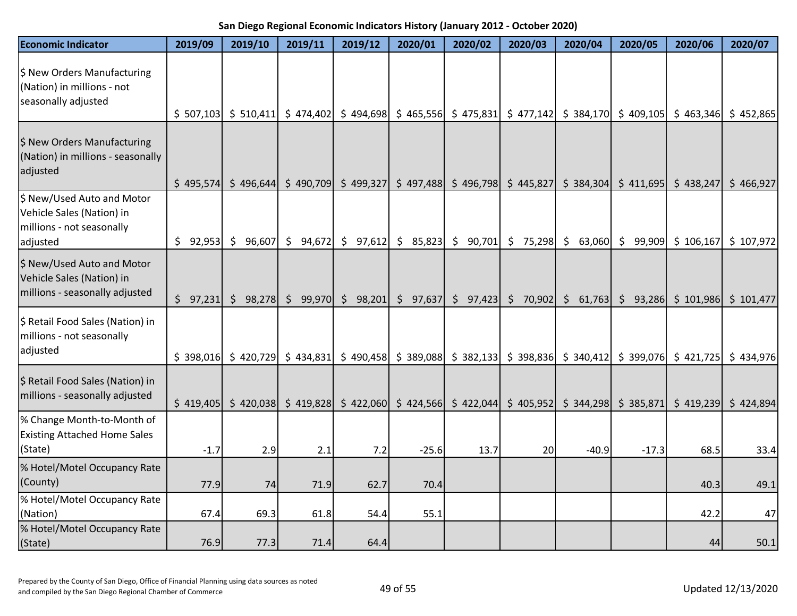| <b>Economic Indicator</b>                                                                        | 2019/09  | 2019/10               | 2019/11                                                                                                                                                                                               | 2019/12  | 2020/01  | 2020/02  | 2020/03                                                                                                                                                                                               | 2020/04 | 2020/05               | 2020/06   | 2020/07                                                                                                                         |
|--------------------------------------------------------------------------------------------------|----------|-----------------------|-------------------------------------------------------------------------------------------------------------------------------------------------------------------------------------------------------|----------|----------|----------|-------------------------------------------------------------------------------------------------------------------------------------------------------------------------------------------------------|---------|-----------------------|-----------|---------------------------------------------------------------------------------------------------------------------------------|
| \$ New Orders Manufacturing<br>(Nation) in millions - not<br>seasonally adjusted                 |          |                       |                                                                                                                                                                                                       |          |          |          |                                                                                                                                                                                                       |         |                       |           |                                                                                                                                 |
| \$ New Orders Manufacturing<br>(Nation) in millions - seasonally<br>adjusted                     |          | $$507,103$ $$510,411$ | $\frac{1}{5}$ 495,574 $\frac{1}{5}$ 496,644 $\frac{1}{5}$ 490,709 $\frac{1}{5}$ 499,327 $\frac{1}{5}$ 497,488 $\frac{1}{5}$ 496,798 $\frac{1}{5}$ 445,827                                             |          |          |          | $\frac{1}{2}$ 474,402 $\frac{1}{2}$ 494,698 $\frac{1}{2}$ 465,556 $\frac{1}{2}$ 475,831 $\frac{1}{2}$ 477,142 $\frac{1}{2}$ 384,170 $\frac{1}{2}$ 409,105 $\frac{1}{2}$ 463,346 $\frac{1}{2}$ 452,865 |         | $$384,304$ $$411,695$ | \$438,247 | \$466,927                                                                                                                       |
| \$ New/Used Auto and Motor<br>Vehicle Sales (Nation) in<br>millions - not seasonally<br>adjusted | \$92,953 | \$96,607              | \$94,672                                                                                                                                                                                              | \$97,612 | \$85,823 | \$90,701 | \$75,298                                                                                                                                                                                              |         | $$63,060$ $$99,909$   | \$106,167 | \$107,972                                                                                                                       |
| \$ New/Used Auto and Motor<br>Vehicle Sales (Nation) in<br>millions - seasonally adjusted        | \$97,231 |                       | $\frac{1}{2}$ 98,278 $\frac{1}{2}$ 99,970 $\frac{1}{2}$ 98,201 $\frac{1}{2}$ 97,637                                                                                                                   |          |          |          |                                                                                                                                                                                                       |         |                       |           | $\frac{1}{2}$ 97,423 $\frac{1}{2}$ 70,902 $\frac{1}{2}$ 61,763 $\frac{1}{2}$ 93,286 $\frac{1}{2}$ 101,986 $\frac{1}{2}$ 101,477 |
| \$ Retail Food Sales (Nation) in<br>millions - not seasonally<br>adjusted                        |          |                       |                                                                                                                                                                                                       |          |          |          |                                                                                                                                                                                                       |         |                       |           | \$ 398,016 \$ 420,729 \$ 434,831 \$ 490,458 \$ 389,088 \$ 382,133 \$ 398,836 \$ 340,412 \$ 399,076 \$ 421,725 \$ 434,976        |
| \$ Retail Food Sales (Nation) in<br>millions - seasonally adjusted                               |          |                       | $\frac{1}{2}$ 419,405 $\frac{1}{2}$ 420,038 $\frac{1}{2}$ 419,828 $\frac{1}{2}$ 422,060 $\frac{1}{2}$ 424,566 $\frac{1}{2}$ 422,044 $\frac{1}{2}$ 405,952 $\frac{1}{2}$ 344,298 $\frac{1}{2}$ 385,871 |          |          |          |                                                                                                                                                                                                       |         |                       |           | $$419,239$ $$424,894$                                                                                                           |
| % Change Month-to-Month of<br><b>Existing Attached Home Sales</b><br>(State)                     | $-1.7$   | 2.9                   | 2.1                                                                                                                                                                                                   | 7.2      | $-25.6$  | 13.7     | 20                                                                                                                                                                                                    | $-40.9$ | $-17.3$               | 68.5      | 33.4                                                                                                                            |
| % Hotel/Motel Occupancy Rate<br>(County)                                                         | 77.9     | 74                    | 71.9                                                                                                                                                                                                  | 62.7     | 70.4     |          |                                                                                                                                                                                                       |         |                       | 40.3      | 49.1                                                                                                                            |
| % Hotel/Motel Occupancy Rate<br>(Nation)                                                         | 67.4     | 69.3                  | 61.8                                                                                                                                                                                                  | 54.4     | 55.1     |          |                                                                                                                                                                                                       |         |                       | 42.2      | 47                                                                                                                              |
| % Hotel/Motel Occupancy Rate<br>(State)                                                          | 76.9     | 77.3                  | 71.4                                                                                                                                                                                                  | 64.4     |          |          |                                                                                                                                                                                                       |         |                       | 44        | 50.1                                                                                                                            |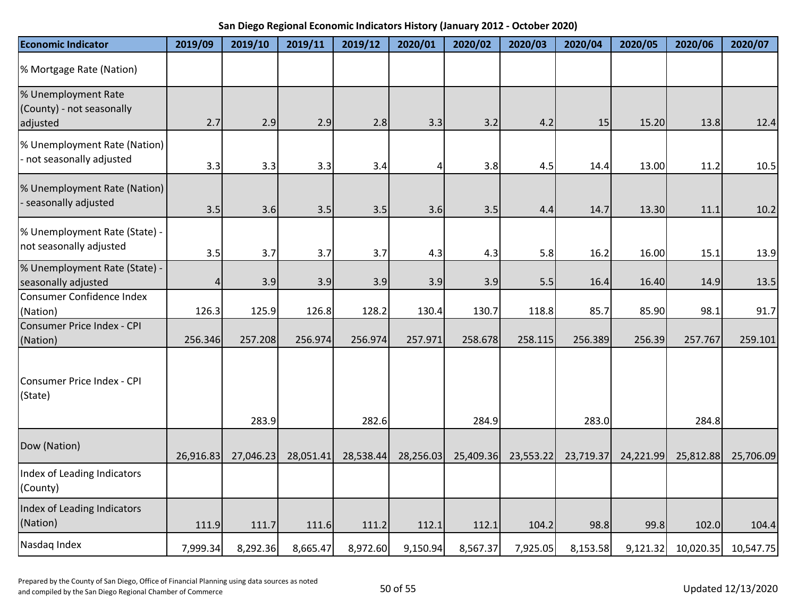| San Diego Regional Economic Indicators History (January 2012 - October 2020) |  |  |  |
|------------------------------------------------------------------------------|--|--|--|
|------------------------------------------------------------------------------|--|--|--|

| <b>Economic Indicator</b>                                    | 2019/09   | 2019/10   | 2019/11   | 2019/12   | 2020/01        | 2020/02   | 2020/03   | 2020/04   | 2020/05   | 2020/06   | 2020/07   |
|--------------------------------------------------------------|-----------|-----------|-----------|-----------|----------------|-----------|-----------|-----------|-----------|-----------|-----------|
| % Mortgage Rate (Nation)                                     |           |           |           |           |                |           |           |           |           |           |           |
| % Unemployment Rate<br>(County) - not seasonally<br>adjusted | 2.7       | 2.9       | 2.9       | 2.8       | 3.3            | 3.2       | 4.2       | 15        | 15.20     | 13.8      | 12.4      |
| % Unemployment Rate (Nation)<br>- not seasonally adjusted    | 3.3       | 3.3       | 3.3       | 3.4       | $\overline{4}$ | 3.8       | 4.5       | 14.4      | 13.00     | 11.2      | 10.5      |
| % Unemployment Rate (Nation)<br>- seasonally adjusted        | 3.5       | 3.6       | 3.5       | 3.5       | 3.6            | 3.5       | 4.4       | 14.7      | 13.30     | 11.1      | 10.2      |
| % Unemployment Rate (State) -<br>not seasonally adjusted     | 3.5       | 3.7       | 3.7       | 3.7       | 4.3            | 4.3       | 5.8       | 16.2      | 16.00     | 15.1      | 13.9      |
| % Unemployment Rate (State) -<br>seasonally adjusted         | 4         | 3.9       | 3.9       | 3.9       | 3.9            | 3.9       | 5.5       | 16.4      | 16.40     | 14.9      | 13.5      |
| Consumer Confidence Index<br>(Nation)                        | 126.3     | 125.9     | 126.8     | 128.2     | 130.4          | 130.7     | 118.8     | 85.7      | 85.90     | 98.1      | 91.7      |
| Consumer Price Index - CPI<br>(Nation)                       | 256.346   | 257.208   | 256.974   | 256.974   | 257.971        | 258.678   | 258.115   | 256.389   | 256.39    | 257.767   | 259.101   |
| Consumer Price Index - CPI<br>(State)                        |           | 283.9     |           | 282.6     |                | 284.9     |           | 283.0     |           | 284.8     |           |
| Dow (Nation)                                                 | 26,916.83 | 27,046.23 | 28,051.41 | 28,538.44 | 28,256.03      | 25,409.36 | 23,553.22 | 23,719.37 | 24,221.99 | 25,812.88 | 25,706.09 |
| Index of Leading Indicators<br>(County)                      |           |           |           |           |                |           |           |           |           |           |           |
| Index of Leading Indicators<br>(Nation)                      | 111.9     | 111.7     | 111.6     | 111.2     | 112.1          | 112.1     | 104.2     | 98.8      | 99.8      | 102.0     | 104.4     |
| Nasdaq Index                                                 | 7,999.34  | 8,292.36  | 8,665.47  | 8,972.60  | 9,150.94       | 8,567.37  | 7,925.05  | 8,153.58  | 9,121.32  | 10,020.35 | 10,547.75 |

Prepared by the County of San Diego, Office of Financial Planning using data sources as noted and compiled by the San Diego, Binco of International chamber of Commerce 50 of 55 Updated 12/13/2020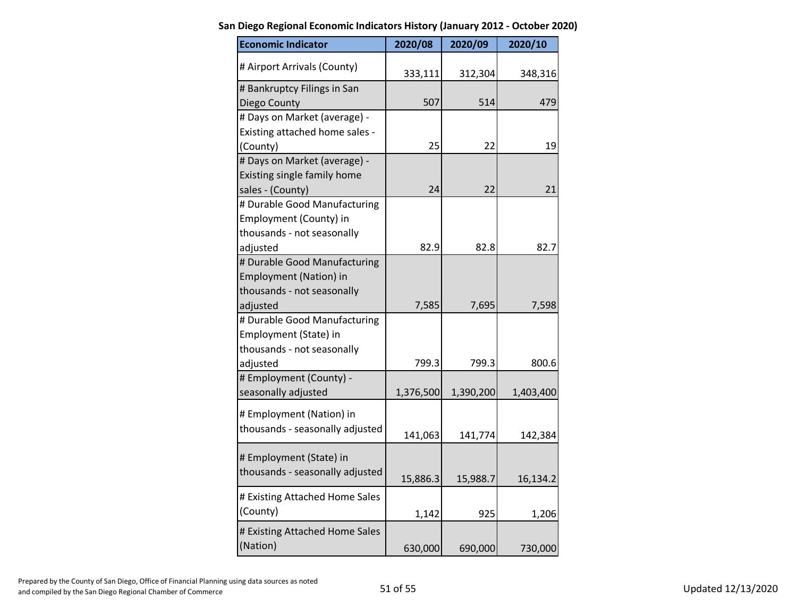| <b>Economic Indicator</b>       | 2020/08   | 2020/09   | 2020/10   |
|---------------------------------|-----------|-----------|-----------|
| # Airport Arrivals (County)     | 333,111   | 312,304   | 348,316   |
| # Bankruptcy Filings in San     |           |           |           |
| Diego County                    | 507       | 514       | 479       |
| # Days on Market (average) -    |           |           |           |
| Existing attached home sales -  |           |           |           |
| (County)                        | 25        | 22        | 19        |
| # Days on Market (average) -    |           |           |           |
| Existing single family home     |           |           |           |
| sales - (County)                | 24        | 22        | 21        |
| # Durable Good Manufacturing    |           |           |           |
| Employment (County) in          |           |           |           |
| thousands - not seasonally      |           |           |           |
| adjusted                        | 82.9      | 82.8      | 82.7      |
| # Durable Good Manufacturing    |           |           |           |
| <b>Employment (Nation) in</b>   |           |           |           |
| thousands - not seasonally      |           |           |           |
| adjusted                        | 7,585     | 7,695     | 7,598     |
| # Durable Good Manufacturing    |           |           |           |
| Employment (State) in           |           |           |           |
| thousands - not seasonally      |           |           |           |
| adjusted                        | 799.3     | 799.3     | 800.6     |
| # Employment (County) -         |           |           |           |
| seasonally adjusted             | 1,376,500 | 1,390,200 | 1,403,400 |
| # Employment (Nation) in        |           |           |           |
| thousands - seasonally adjusted |           |           |           |
|                                 | 141,063   | 141,774   | 142,384   |
| # Employment (State) in         |           |           |           |
| thousands - seasonally adjusted |           |           |           |
|                                 | 15,886.3  | 15,988.7  | 16,134.2  |
| # Existing Attached Home Sales  |           |           |           |
| (County)                        | 1,142     | 925       | 1,206     |
| # Existing Attached Home Sales  |           |           |           |
|                                 |           |           |           |
| (Nation)                        | 630,000   | 690,000   | 730,000   |

**San Diego Regional Economic Indicators History (January 2012 - October 2020)**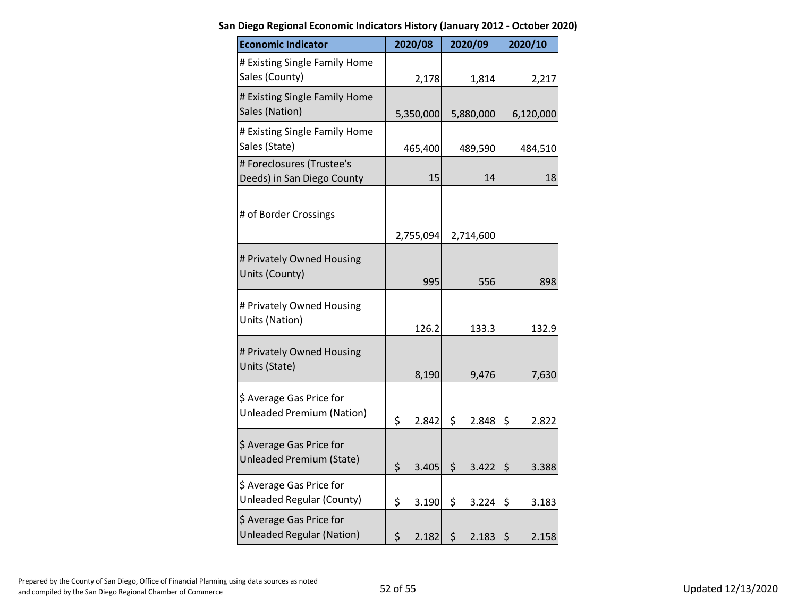| <b>Economic Indicator</b>                                    | 2020/08     | 2020/09     | 2020/10     |
|--------------------------------------------------------------|-------------|-------------|-------------|
| # Existing Single Family Home<br>Sales (County)              | 2,178       | 1,814       | 2,217       |
| # Existing Single Family Home<br>Sales (Nation)              | 5,350,000   | 5,880,000   | 6,120,000   |
| # Existing Single Family Home<br>Sales (State)               | 465,400     | 489,590     | 484,510     |
| # Foreclosures (Trustee's<br>Deeds) in San Diego County      | 15          | 14          | 18          |
| # of Border Crossings                                        | 2,755,094   | 2,714,600   |             |
| # Privately Owned Housing<br>Units (County)                  | 995         | 556         | 898         |
| # Privately Owned Housing<br>Units (Nation)                  | 126.2       | 133.3       | 132.9       |
| # Privately Owned Housing<br>Units (State)                   | 8,190       | 9,476       | 7,630       |
| \$ Average Gas Price for<br><b>Unleaded Premium (Nation)</b> | \$<br>2.842 | \$<br>2.848 | \$<br>2.822 |
| \$ Average Gas Price for<br><b>Unleaded Premium (State)</b>  | \$<br>3.405 | \$<br>3.422 | \$<br>3.388 |
| \$ Average Gas Price for<br><b>Unleaded Regular (County)</b> | \$<br>3.190 | \$<br>3.224 | \$<br>3.183 |
| \$ Average Gas Price for<br><b>Unleaded Regular (Nation)</b> | \$<br>2.182 | \$<br>2.183 | \$<br>2.158 |

**San Diego Regional Economic Indicators History (January 2012 - October 2020)**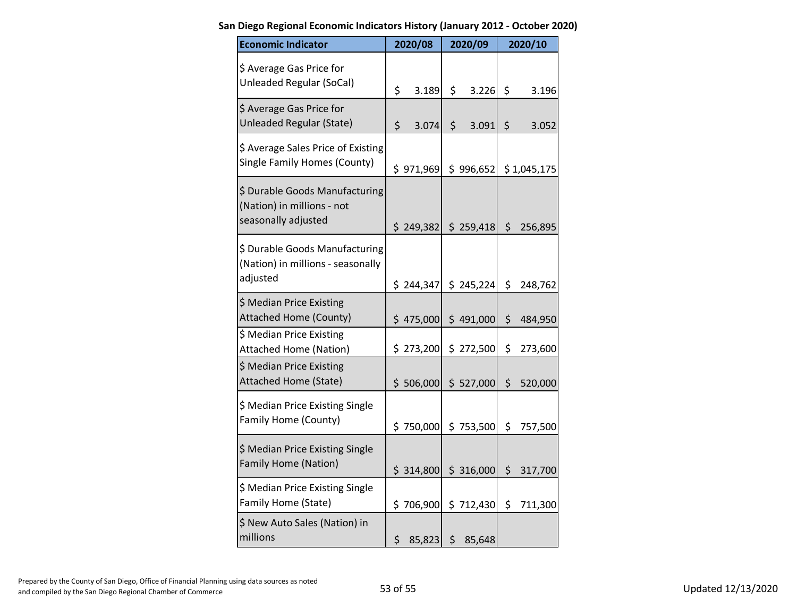| <b>Economic Indicator</b>                                                           | 2020/08           | 2020/09                  |         | 2020/10                         |
|-------------------------------------------------------------------------------------|-------------------|--------------------------|---------|---------------------------------|
| \$ Average Gas Price for<br><b>Unleaded Regular (SoCal)</b>                         | \$<br>3.189       | \$<br>3.226              | \$      | 3.196                           |
| \$ Average Gas Price for<br>Unleaded Regular (State)                                | \$<br>3.074       | \$<br>3.091              | \$      | 3.052                           |
| \$ Average Sales Price of Existing<br>Single Family Homes (County)                  |                   |                          |         | \$971,969 \$996,652 \$1,045,175 |
| \$ Durable Goods Manufacturing<br>(Nation) in millions - not<br>seasonally adjusted | \$249,382         | \$259,418                | $\zeta$ | 256,895                         |
| \$ Durable Goods Manufacturing<br>(Nation) in millions - seasonally<br>adjusted     |                   | $$244,347$ $$245,224$    | \$      | 248,762                         |
| \$ Median Price Existing<br><b>Attached Home (County)</b>                           |                   | $$ 475,000 \  $ 491,000$ | $\zeta$ | 484,950                         |
| \$ Median Price Existing<br><b>Attached Home (Nation)</b>                           | \$273,200         | \$272,500                | \$      | 273,600                         |
| \$ Median Price Existing<br><b>Attached Home (State)</b>                            |                   | $$506,000 \mid $527,000$ | $\zeta$ | 520,000                         |
| \$ Median Price Existing Single<br>Family Home (County)                             |                   | \$750,000 \$753,500      | \$      | 757,500                         |
| \$ Median Price Existing Single<br><b>Family Home (Nation)</b>                      |                   | $$314,800 \& 316,000$    |         | \$317,700                       |
| \$ Median Price Existing Single<br>Family Home (State)                              | \$706,900         | \$712,430                | \$      | 711,300                         |
| \$ New Auto Sales (Nation) in<br>millions                                           | \$<br>$85,823$ \$ | 85,648                   |         |                                 |

**San Diego Regional Economic Indicators History (January 2012 - October 2020)**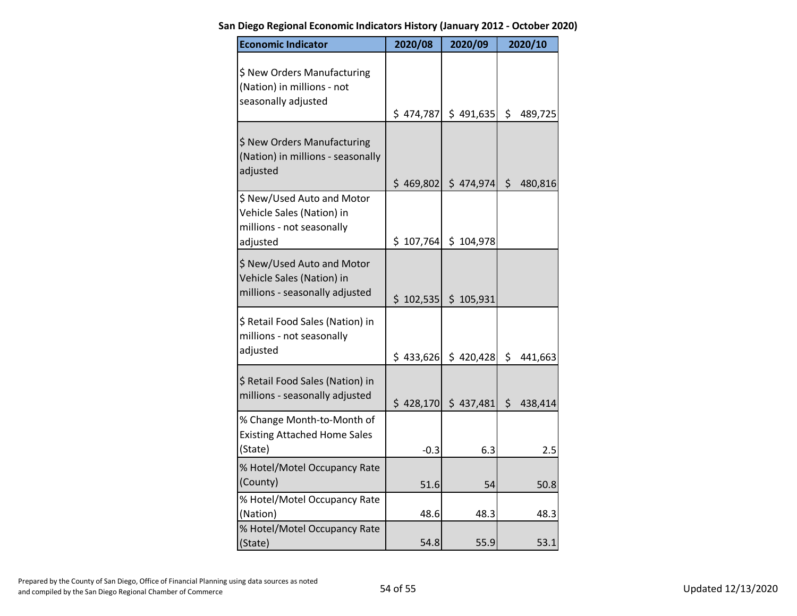| <b>Economic Indicator</b>                                                                        | 2020/08   | 2020/09               | 2020/10       |
|--------------------------------------------------------------------------------------------------|-----------|-----------------------|---------------|
| \$ New Orders Manufacturing<br>(Nation) in millions - not<br>seasonally adjusted                 | \$474,787 | \$491,635             | \$<br>489,725 |
| \$ New Orders Manufacturing<br>(Nation) in millions - seasonally<br>adjusted                     | \$469,802 | \$474,974             | \$<br>480,816 |
| \$ New/Used Auto and Motor<br>Vehicle Sales (Nation) in<br>millions - not seasonally<br>adjusted | \$107,764 | \$104,978             |               |
| \$ New/Used Auto and Motor<br>Vehicle Sales (Nation) in<br>millions - seasonally adjusted        |           | $$102,535$ $$105,931$ |               |
| \$ Retail Food Sales (Nation) in<br>millions - not seasonally<br>adjusted                        | \$433,626 | \$420,428             | \$<br>441,663 |
| \$ Retail Food Sales (Nation) in<br>millions - seasonally adjusted                               | \$428,170 | \$437,481             | \$<br>438,414 |
| % Change Month-to-Month of<br><b>Existing Attached Home Sales</b><br>(State)                     | $-0.3$    | 6.3                   | 2.5           |
| % Hotel/Motel Occupancy Rate<br>(County)                                                         | 51.6      | 54                    | 50.8          |
| % Hotel/Motel Occupancy Rate<br>(Nation)                                                         | 48.6      | 48.3                  | 48.3          |
| % Hotel/Motel Occupancy Rate<br>(State)                                                          | 54.8      | 55.9                  | 53.1          |